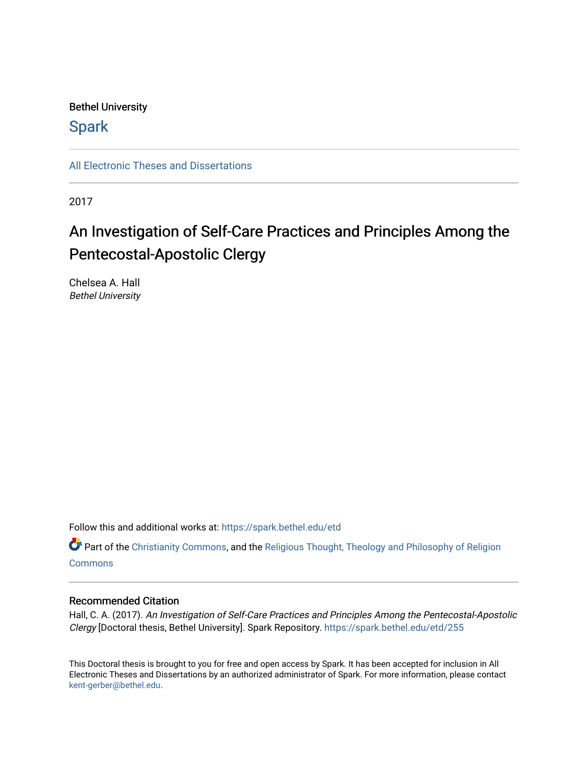Bethel University

**Spark** 

[All Electronic Theses and Dissertations](https://spark.bethel.edu/etd) 

2017

## An Investigation of Self-Care Practices and Principles Among the Pentecostal-Apostolic Clergy

Chelsea A. Hall Bethel University

Follow this and additional works at: [https://spark.bethel.edu/etd](https://spark.bethel.edu/etd?utm_source=spark.bethel.edu%2Fetd%2F255&utm_medium=PDF&utm_campaign=PDFCoverPages)

Part of the [Christianity Commons,](http://network.bepress.com/hgg/discipline/1181?utm_source=spark.bethel.edu%2Fetd%2F255&utm_medium=PDF&utm_campaign=PDFCoverPages) and the [Religious Thought, Theology and Philosophy of Religion](http://network.bepress.com/hgg/discipline/544?utm_source=spark.bethel.edu%2Fetd%2F255&utm_medium=PDF&utm_campaign=PDFCoverPages)  **[Commons](http://network.bepress.com/hgg/discipline/544?utm_source=spark.bethel.edu%2Fetd%2F255&utm_medium=PDF&utm_campaign=PDFCoverPages)** 

#### Recommended Citation

Hall, C. A. (2017). An Investigation of Self-Care Practices and Principles Among the Pentecostal-Apostolic Clergy [Doctoral thesis, Bethel University]. Spark Repository. [https://spark.bethel.edu/etd/255](https://spark.bethel.edu/etd/255?utm_source=spark.bethel.edu%2Fetd%2F255&utm_medium=PDF&utm_campaign=PDFCoverPages)

This Doctoral thesis is brought to you for free and open access by Spark. It has been accepted for inclusion in All Electronic Theses and Dissertations by an authorized administrator of Spark. For more information, please contact [kent-gerber@bethel.edu](mailto:kent-gerber@bethel.edu).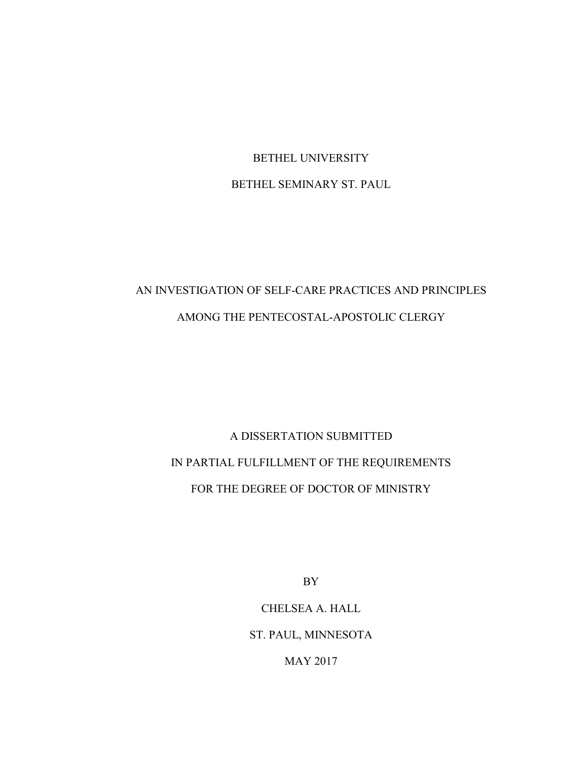BETHEL UNIVERSITY BETHEL SEMINARY ST. PAUL

### AN INVESTIGATION OF SELF-CARE PRACTICES AND PRINCIPLES AMONG THE PENTECOSTAL-APOSTOLIC CLERGY

# A DISSERTATION SUBMITTED IN PARTIAL FULFILLMENT OF THE REQUIREMENTS FOR THE DEGREE OF DOCTOR OF MINISTRY

BY

CHELSEA A. HALL ST. PAUL, MINNESOTA

MAY 2017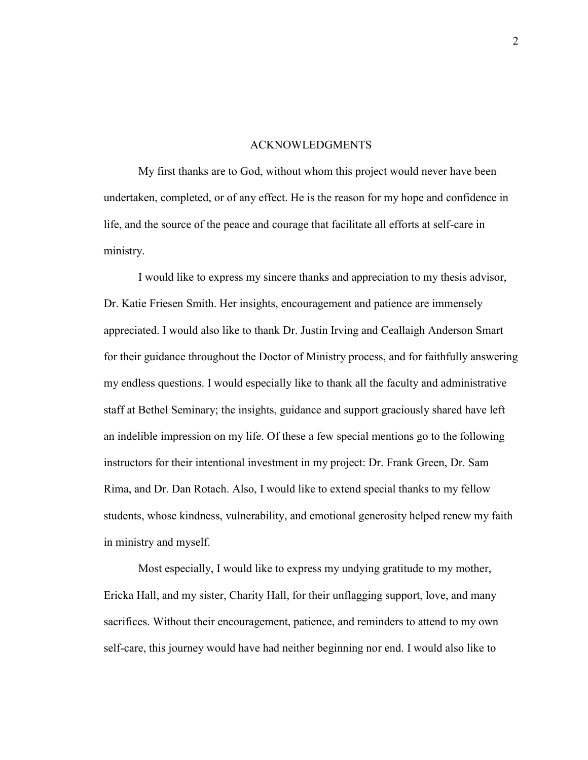#### ACKNOWLEDGMENTS

 My first thanks are to God, without whom this project would never have been undertaken, completed, or of any effect. He is the reason for my hope and confidence in life, and the source of the peace and courage that facilitate all efforts at self-care in ministry.

 I would like to express my sincere thanks and appreciation to my thesis advisor, Dr. Katie Friesen Smith. Her insights, encouragement and patience are immensely appreciated. I would also like to thank Dr. Justin Irving and Ceallaigh Anderson Smart for their guidance throughout the Doctor of Ministry process, and for faithfully answering my endless questions. I would especially like to thank all the faculty and administrative staff at Bethel Seminary; the insights, guidance and support graciously shared have left an indelible impression on my life. Of these a few special mentions go to the following instructors for their intentional investment in my project: Dr. Frank Green, Dr. Sam Rima, and Dr. Dan Rotach. Also, I would like to extend special thanks to my fellow students, whose kindness, vulnerability, and emotional generosity helped renew my faith in ministry and myself.

Most especially, I would like to express my undying gratitude to my mother, Ericka Hall, and my sister, Charity Hall, for their unflagging support, love, and many sacrifices. Without their encouragement, patience, and reminders to attend to my own self-care, this journey would have had neither beginning nor end. I would also like to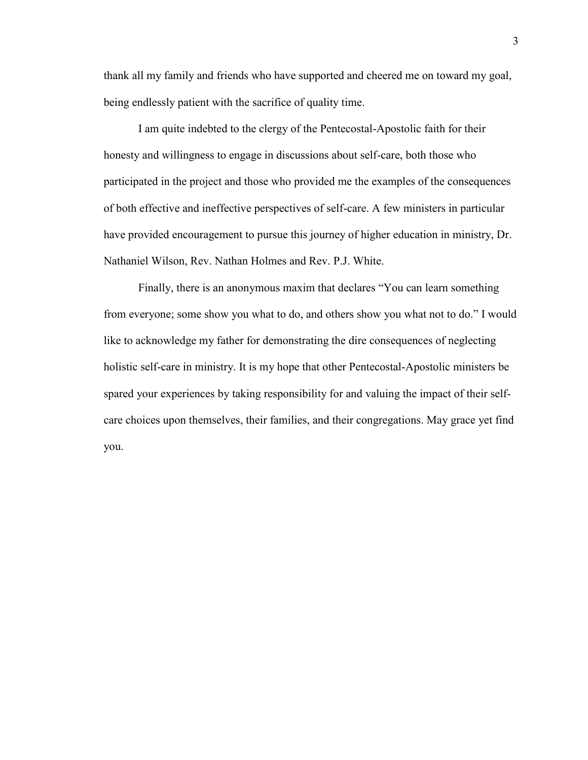thank all my family and friends who have supported and cheered me on toward my goal, being endlessly patient with the sacrifice of quality time.

 I am quite indebted to the clergy of the Pentecostal-Apostolic faith for their honesty and willingness to engage in discussions about self-care, both those who participated in the project and those who provided me the examples of the consequences of both effective and ineffective perspectives of self-care. A few ministers in particular have provided encouragement to pursue this journey of higher education in ministry, Dr. Nathaniel Wilson, Rev. Nathan Holmes and Rev. P.J. White.

 Finally, there is an anonymous maxim that declares "You can learn something from everyone; some show you what to do, and others show you what not to do." I would like to acknowledge my father for demonstrating the dire consequences of neglecting holistic self-care in ministry. It is my hope that other Pentecostal-Apostolic ministers be spared your experiences by taking responsibility for and valuing the impact of their selfcare choices upon themselves, their families, and their congregations. May grace yet find you.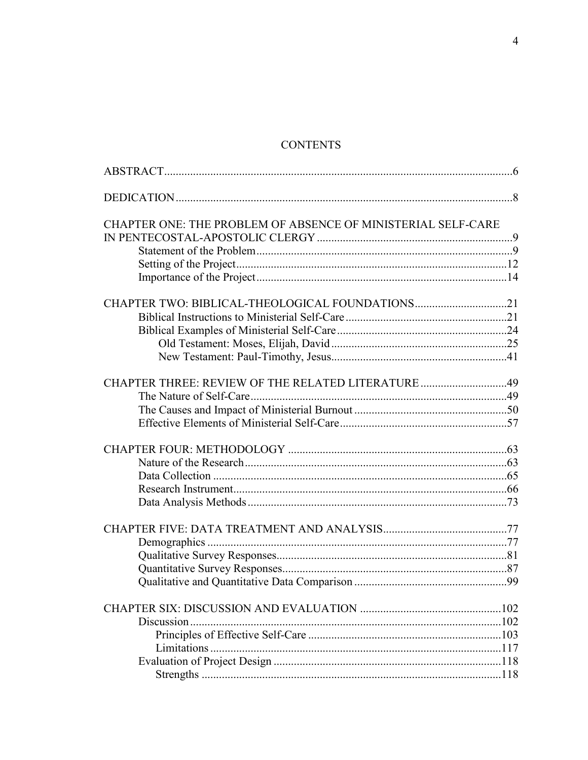### **CONTENTS**

| CHAPTER ONE: THE PROBLEM OF ABSENCE OF MINISTERIAL SELF-CARE |  |
|--------------------------------------------------------------|--|
|                                                              |  |
|                                                              |  |
|                                                              |  |
|                                                              |  |
|                                                              |  |
|                                                              |  |
|                                                              |  |
|                                                              |  |
|                                                              |  |
|                                                              |  |
|                                                              |  |
|                                                              |  |
|                                                              |  |
|                                                              |  |
|                                                              |  |
|                                                              |  |
|                                                              |  |
|                                                              |  |
|                                                              |  |
|                                                              |  |
|                                                              |  |
|                                                              |  |
|                                                              |  |
|                                                              |  |
|                                                              |  |
|                                                              |  |
|                                                              |  |
|                                                              |  |
|                                                              |  |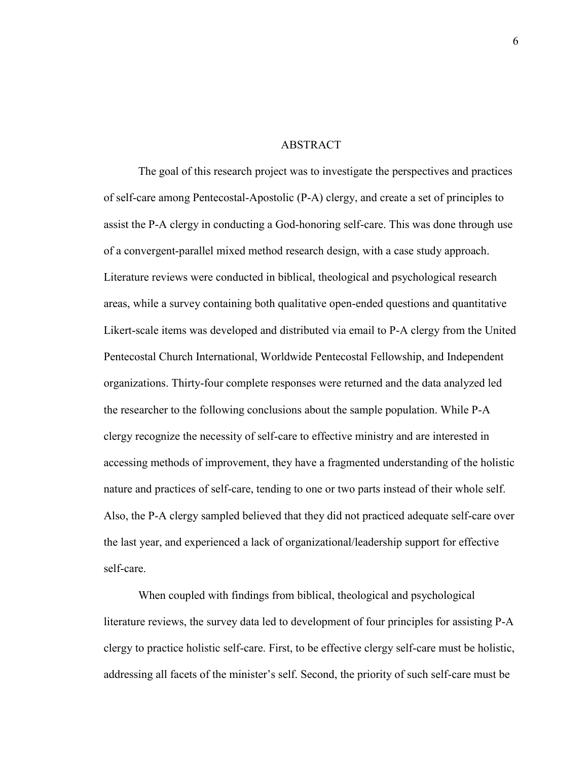#### ABSTRACT

The goal of this research project was to investigate the perspectives and practices of self-care among Pentecostal-Apostolic (P-A) clergy, and create a set of principles to assist the P-A clergy in conducting a God-honoring self-care. This was done through use of a convergent-parallel mixed method research design, with a case study approach. Literature reviews were conducted in biblical, theological and psychological research areas, while a survey containing both qualitative open-ended questions and quantitative Likert-scale items was developed and distributed via email to P-A clergy from the United Pentecostal Church International, Worldwide Pentecostal Fellowship, and Independent organizations. Thirty-four complete responses were returned and the data analyzed led the researcher to the following conclusions about the sample population. While P-A clergy recognize the necessity of self-care to effective ministry and are interested in accessing methods of improvement, they have a fragmented understanding of the holistic nature and practices of self-care, tending to one or two parts instead of their whole self. Also, the P-A clergy sampled believed that they did not practiced adequate self-care over the last year, and experienced a lack of organizational/leadership support for effective self-care.

When coupled with findings from biblical, theological and psychological literature reviews, the survey data led to development of four principles for assisting P-A clergy to practice holistic self-care. First, to be effective clergy self-care must be holistic, addressing all facets of the minister's self. Second, the priority of such self-care must be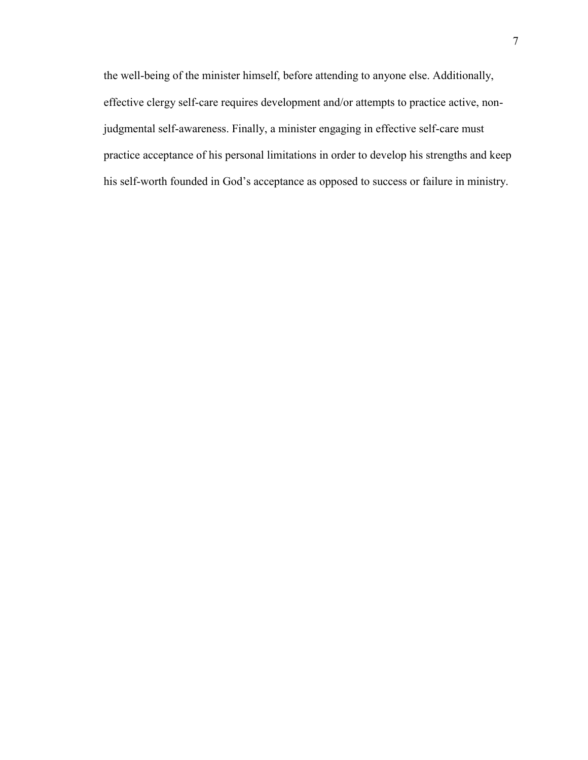the well-being of the minister himself, before attending to anyone else. Additionally, effective clergy self-care requires development and/or attempts to practice active, nonjudgmental self-awareness. Finally, a minister engaging in effective self-care must practice acceptance of his personal limitations in order to develop his strengths and keep his self-worth founded in God's acceptance as opposed to success or failure in ministry.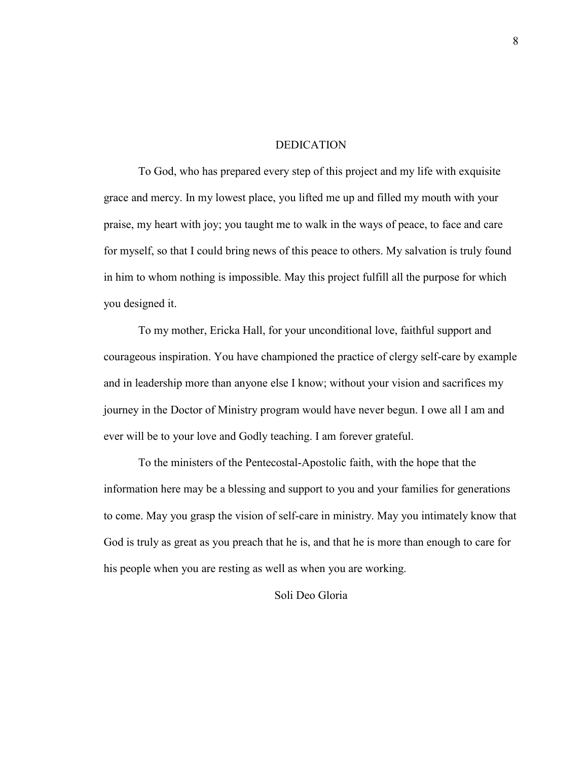#### DEDICATION

To God, who has prepared every step of this project and my life with exquisite grace and mercy. In my lowest place, you lifted me up and filled my mouth with your praise, my heart with joy; you taught me to walk in the ways of peace, to face and care for myself, so that I could bring news of this peace to others. My salvation is truly found in him to whom nothing is impossible. May this project fulfill all the purpose for which you designed it.

To my mother, Ericka Hall, for your unconditional love, faithful support and courageous inspiration. You have championed the practice of clergy self-care by example and in leadership more than anyone else I know; without your vision and sacrifices my journey in the Doctor of Ministry program would have never begun. I owe all I am and ever will be to your love and Godly teaching. I am forever grateful.

To the ministers of the Pentecostal-Apostolic faith, with the hope that the information here may be a blessing and support to you and your families for generations to come. May you grasp the vision of self-care in ministry. May you intimately know that God is truly as great as you preach that he is, and that he is more than enough to care for his people when you are resting as well as when you are working.

#### Soli Deo Gloria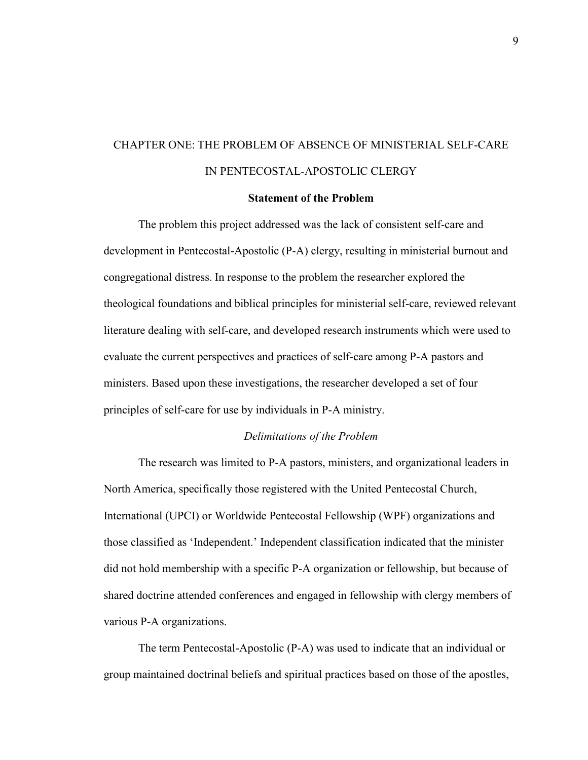## CHAPTER ONE: THE PROBLEM OF ABSENCE OF MINISTERIAL SELF-CARE IN PENTECOSTAL-APOSTOLIC CLERGY

#### **Statement of the Problem**

The problem this project addressed was the lack of consistent self-care and development in Pentecostal-Apostolic (P-A) clergy, resulting in ministerial burnout and congregational distress. In response to the problem the researcher explored the theological foundations and biblical principles for ministerial self-care, reviewed relevant literature dealing with self-care, and developed research instruments which were used to evaluate the current perspectives and practices of self-care among P-A pastors and ministers. Based upon these investigations, the researcher developed a set of four principles of self-care for use by individuals in P-A ministry.

#### *Delimitations of the Problem*

 The research was limited to P-A pastors, ministers, and organizational leaders in North America, specifically those registered with the United Pentecostal Church, International (UPCI) or Worldwide Pentecostal Fellowship (WPF) organizations and those classified as 'Independent.' Independent classification indicated that the minister did not hold membership with a specific P-A organization or fellowship, but because of shared doctrine attended conferences and engaged in fellowship with clergy members of various P-A organizations.

The term Pentecostal-Apostolic (P-A) was used to indicate that an individual or group maintained doctrinal beliefs and spiritual practices based on those of the apostles,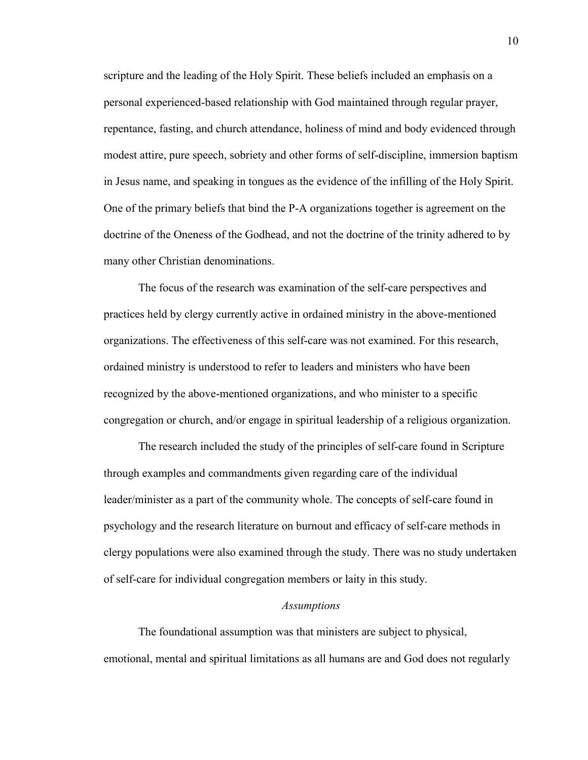scripture and the leading of the Holy Spirit. These beliefs included an emphasis on a personal experienced-based relationship with God maintained through regular prayer, repentance, fasting, and church attendance, holiness of mind and body evidenced through modest attire, pure speech, sobriety and other forms of self-discipline, immersion baptism in Jesus name, and speaking in tongues as the evidence of the infilling of the Holy Spirit. One of the primary beliefs that bind the P-A organizations together is agreement on the doctrine of the Oneness of the Godhead, and not the doctrine of the trinity adhered to by many other Christian denominations.

 The focus of the research was examination of the self-care perspectives and practices held by clergy currently active in ordained ministry in the above-mentioned organizations. The effectiveness of this self-care was not examined. For this research, ordained ministry is understood to refer to leaders and ministers who have been recognized by the above-mentioned organizations, and who minister to a specific congregation or church, and/or engage in spiritual leadership of a religious organization.

 The research included the study of the principles of self-care found in Scripture through examples and commandments given regarding care of the individual leader/minister as a part of the community whole. The concepts of self-care found in psychology and the research literature on burnout and efficacy of self-care methods in clergy populations were also examined through the study. There was no study undertaken of self-care for individual congregation members or laity in this study.

#### *Assumptions*

 The foundational assumption was that ministers are subject to physical, emotional, mental and spiritual limitations as all humans are and God does not regularly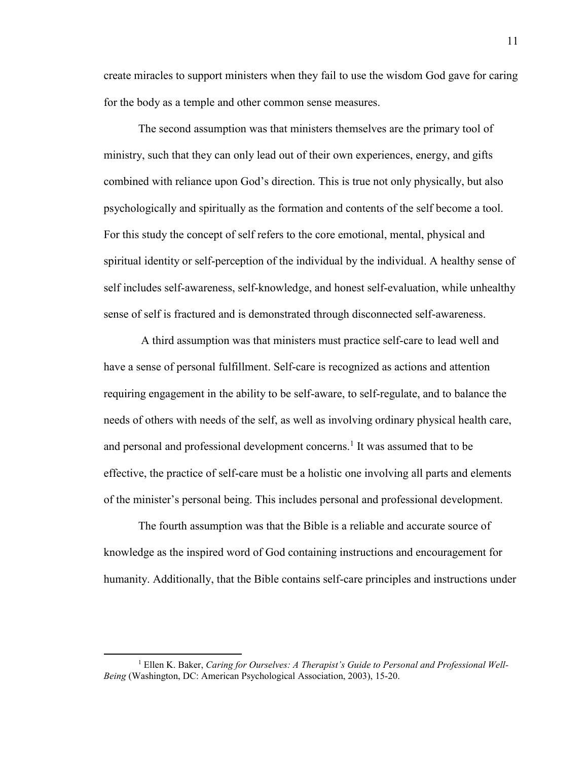create miracles to support ministers when they fail to use the wisdom God gave for caring for the body as a temple and other common sense measures.

 The second assumption was that ministers themselves are the primary tool of ministry, such that they can only lead out of their own experiences, energy, and gifts combined with reliance upon God's direction. This is true not only physically, but also psychologically and spiritually as the formation and contents of the self become a tool. For this study the concept of self refers to the core emotional, mental, physical and spiritual identity or self-perception of the individual by the individual. A healthy sense of self includes self-awareness, self-knowledge, and honest self-evaluation, while unhealthy sense of self is fractured and is demonstrated through disconnected self-awareness.

A third assumption was that ministers must practice self-care to lead well and have a sense of personal fulfillment. Self-care is recognized as actions and attention requiring engagement in the ability to be self-aware, to self-regulate, and to balance the needs of others with needs of the self, as well as involving ordinary physical health care, and personal and professional development concerns.<sup>1</sup> It was assumed that to be effective, the practice of self-care must be a holistic one involving all parts and elements of the minister's personal being. This includes personal and professional development.

 The fourth assumption was that the Bible is a reliable and accurate source of knowledge as the inspired word of God containing instructions and encouragement for humanity. Additionally, that the Bible contains self-care principles and instructions under

<sup>&</sup>lt;sup>1</sup> Ellen K. Baker, *Caring for Ourselves: A Therapist's Guide to Personal and Professional Well-Being* (Washington, DC: American Psychological Association, 2003), 15-20.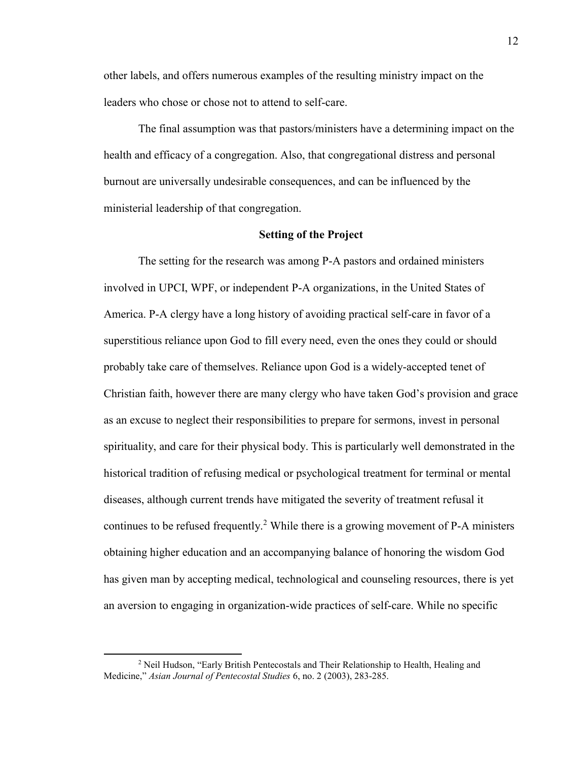other labels, and offers numerous examples of the resulting ministry impact on the leaders who chose or chose not to attend to self-care.

 The final assumption was that pastors/ministers have a determining impact on the health and efficacy of a congregation. Also, that congregational distress and personal burnout are universally undesirable consequences, and can be influenced by the ministerial leadership of that congregation.

#### **Setting of the Project**

 The setting for the research was among P-A pastors and ordained ministers involved in UPCI, WPF, or independent P-A organizations, in the United States of America. P-A clergy have a long history of avoiding practical self-care in favor of a superstitious reliance upon God to fill every need, even the ones they could or should probably take care of themselves. Reliance upon God is a widely-accepted tenet of Christian faith, however there are many clergy who have taken God's provision and grace as an excuse to neglect their responsibilities to prepare for sermons, invest in personal spirituality, and care for their physical body. This is particularly well demonstrated in the historical tradition of refusing medical or psychological treatment for terminal or mental diseases, although current trends have mitigated the severity of treatment refusal it continues to be refused frequently.<sup>2</sup> While there is a growing movement of P-A ministers obtaining higher education and an accompanying balance of honoring the wisdom God has given man by accepting medical, technological and counseling resources, there is yet an aversion to engaging in organization-wide practices of self-care. While no specific

<sup>&</sup>lt;sup>2</sup> Neil Hudson, "Early British Pentecostals and Their Relationship to Health, Healing and Medicine," *Asian Journal of Pentecostal Studies* 6, no. 2 (2003), 283-285.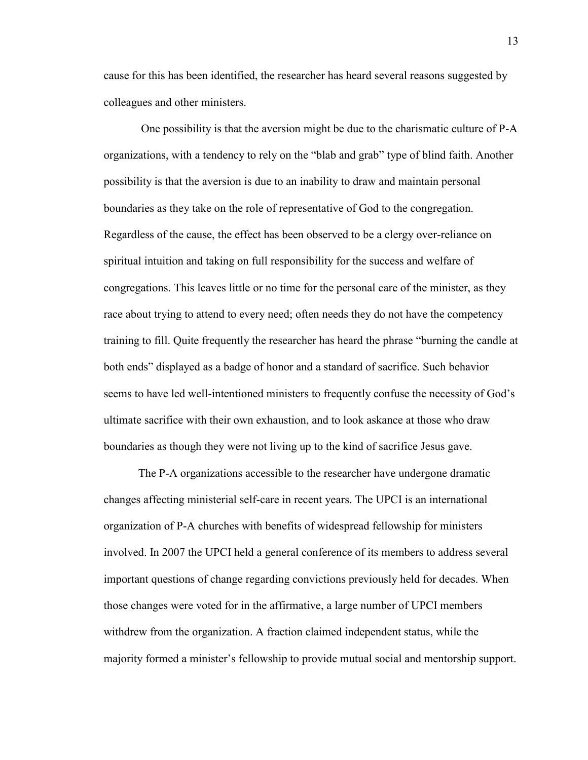cause for this has been identified, the researcher has heard several reasons suggested by colleagues and other ministers.

One possibility is that the aversion might be due to the charismatic culture of P-A organizations, with a tendency to rely on the "blab and grab" type of blind faith. Another possibility is that the aversion is due to an inability to draw and maintain personal boundaries as they take on the role of representative of God to the congregation. Regardless of the cause, the effect has been observed to be a clergy over-reliance on spiritual intuition and taking on full responsibility for the success and welfare of congregations. This leaves little or no time for the personal care of the minister, as they race about trying to attend to every need; often needs they do not have the competency training to fill. Quite frequently the researcher has heard the phrase "burning the candle at both ends" displayed as a badge of honor and a standard of sacrifice. Such behavior seems to have led well-intentioned ministers to frequently confuse the necessity of God's ultimate sacrifice with their own exhaustion, and to look askance at those who draw boundaries as though they were not living up to the kind of sacrifice Jesus gave.

 The P-A organizations accessible to the researcher have undergone dramatic changes affecting ministerial self-care in recent years. The UPCI is an international organization of P-A churches with benefits of widespread fellowship for ministers involved. In 2007 the UPCI held a general conference of its members to address several important questions of change regarding convictions previously held for decades. When those changes were voted for in the affirmative, a large number of UPCI members withdrew from the organization. A fraction claimed independent status, while the majority formed a minister's fellowship to provide mutual social and mentorship support.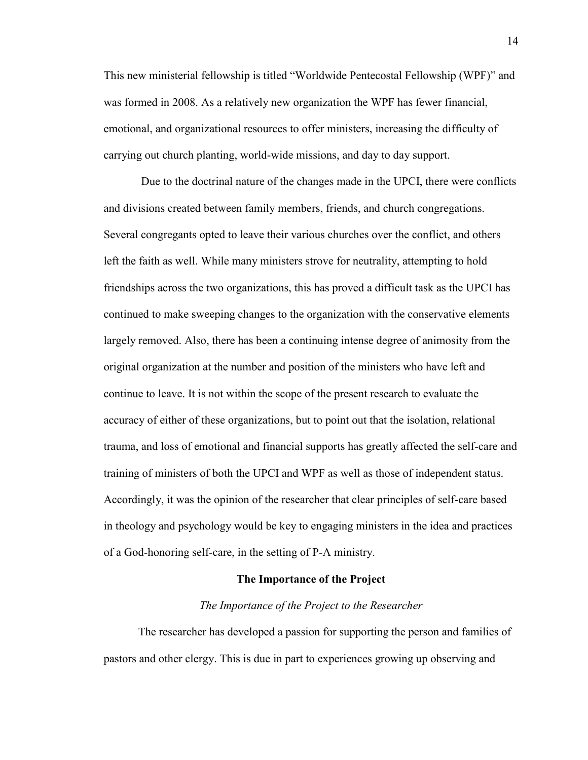This new ministerial fellowship is titled "Worldwide Pentecostal Fellowship (WPF)" and was formed in 2008. As a relatively new organization the WPF has fewer financial, emotional, and organizational resources to offer ministers, increasing the difficulty of carrying out church planting, world-wide missions, and day to day support.

Due to the doctrinal nature of the changes made in the UPCI, there were conflicts and divisions created between family members, friends, and church congregations. Several congregants opted to leave their various churches over the conflict, and others left the faith as well. While many ministers strove for neutrality, attempting to hold friendships across the two organizations, this has proved a difficult task as the UPCI has continued to make sweeping changes to the organization with the conservative elements largely removed. Also, there has been a continuing intense degree of animosity from the original organization at the number and position of the ministers who have left and continue to leave. It is not within the scope of the present research to evaluate the accuracy of either of these organizations, but to point out that the isolation, relational trauma, and loss of emotional and financial supports has greatly affected the self-care and training of ministers of both the UPCI and WPF as well as those of independent status. Accordingly, it was the opinion of the researcher that clear principles of self-care based in theology and psychology would be key to engaging ministers in the idea and practices of a God-honoring self-care, in the setting of P-A ministry.

#### **The Importance of the Project**

#### *The Importance of the Project to the Researcher*

The researcher has developed a passion for supporting the person and families of pastors and other clergy. This is due in part to experiences growing up observing and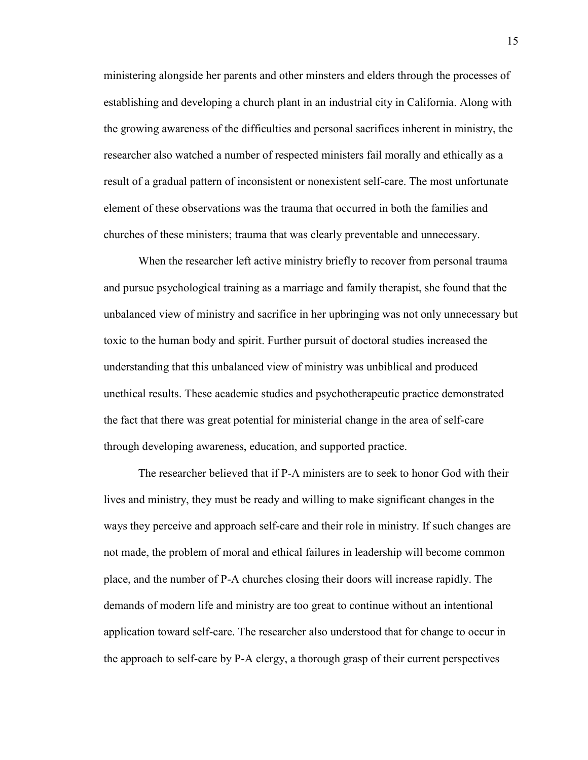ministering alongside her parents and other minsters and elders through the processes of establishing and developing a church plant in an industrial city in California. Along with the growing awareness of the difficulties and personal sacrifices inherent in ministry, the researcher also watched a number of respected ministers fail morally and ethically as a result of a gradual pattern of inconsistent or nonexistent self-care. The most unfortunate element of these observations was the trauma that occurred in both the families and churches of these ministers; trauma that was clearly preventable and unnecessary.

When the researcher left active ministry briefly to recover from personal trauma and pursue psychological training as a marriage and family therapist, she found that the unbalanced view of ministry and sacrifice in her upbringing was not only unnecessary but toxic to the human body and spirit. Further pursuit of doctoral studies increased the understanding that this unbalanced view of ministry was unbiblical and produced unethical results. These academic studies and psychotherapeutic practice demonstrated the fact that there was great potential for ministerial change in the area of self-care through developing awareness, education, and supported practice.

The researcher believed that if P-A ministers are to seek to honor God with their lives and ministry, they must be ready and willing to make significant changes in the ways they perceive and approach self-care and their role in ministry. If such changes are not made, the problem of moral and ethical failures in leadership will become common place, and the number of P-A churches closing their doors will increase rapidly. The demands of modern life and ministry are too great to continue without an intentional application toward self-care. The researcher also understood that for change to occur in the approach to self-care by P-A clergy, a thorough grasp of their current perspectives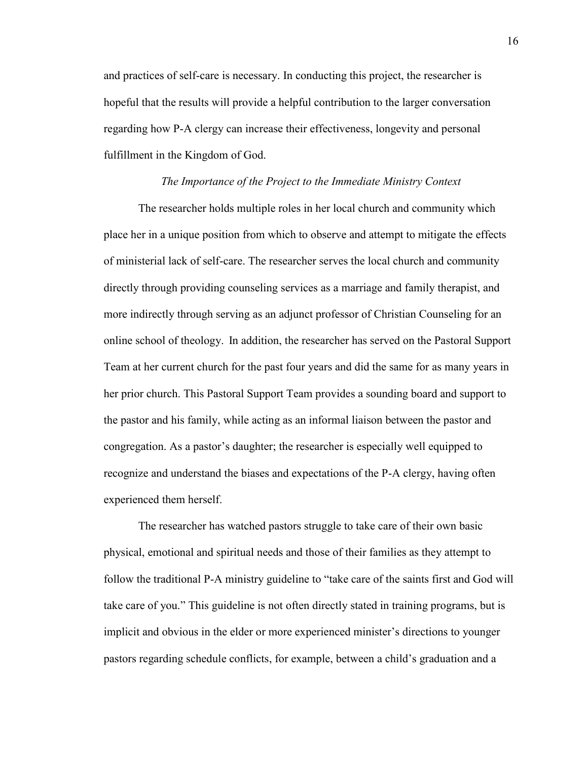and practices of self-care is necessary. In conducting this project, the researcher is hopeful that the results will provide a helpful contribution to the larger conversation regarding how P-A clergy can increase their effectiveness, longevity and personal fulfillment in the Kingdom of God.

#### *The Importance of the Project to the Immediate Ministry Context*

The researcher holds multiple roles in her local church and community which place her in a unique position from which to observe and attempt to mitigate the effects of ministerial lack of self-care. The researcher serves the local church and community directly through providing counseling services as a marriage and family therapist, and more indirectly through serving as an adjunct professor of Christian Counseling for an online school of theology. In addition, the researcher has served on the Pastoral Support Team at her current church for the past four years and did the same for as many years in her prior church. This Pastoral Support Team provides a sounding board and support to the pastor and his family, while acting as an informal liaison between the pastor and congregation. As a pastor's daughter; the researcher is especially well equipped to recognize and understand the biases and expectations of the P-A clergy, having often experienced them herself.

 The researcher has watched pastors struggle to take care of their own basic physical, emotional and spiritual needs and those of their families as they attempt to follow the traditional P-A ministry guideline to "take care of the saints first and God will take care of you." This guideline is not often directly stated in training programs, but is implicit and obvious in the elder or more experienced minister's directions to younger pastors regarding schedule conflicts, for example, between a child's graduation and a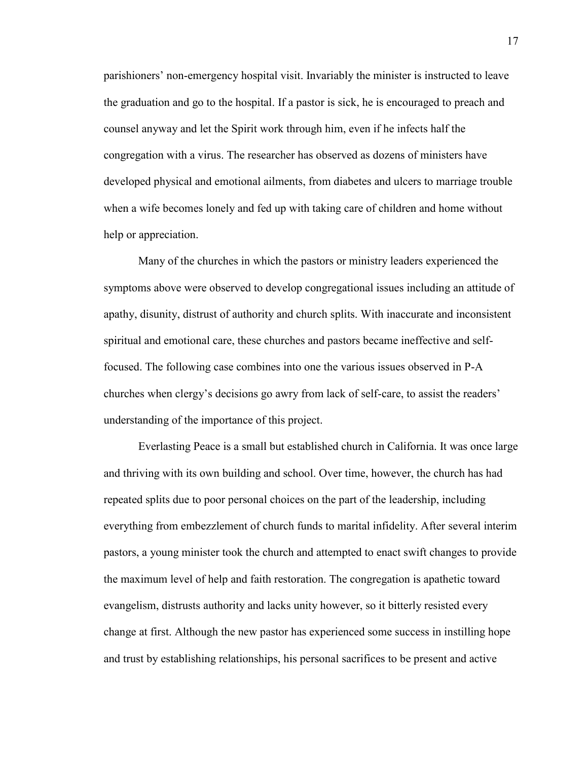parishioners' non-emergency hospital visit. Invariably the minister is instructed to leave the graduation and go to the hospital. If a pastor is sick, he is encouraged to preach and counsel anyway and let the Spirit work through him, even if he infects half the congregation with a virus. The researcher has observed as dozens of ministers have developed physical and emotional ailments, from diabetes and ulcers to marriage trouble when a wife becomes lonely and fed up with taking care of children and home without help or appreciation.

 Many of the churches in which the pastors or ministry leaders experienced the symptoms above were observed to develop congregational issues including an attitude of apathy, disunity, distrust of authority and church splits. With inaccurate and inconsistent spiritual and emotional care, these churches and pastors became ineffective and selffocused. The following case combines into one the various issues observed in P-A churches when clergy's decisions go awry from lack of self-care, to assist the readers' understanding of the importance of this project.

 Everlasting Peace is a small but established church in California. It was once large and thriving with its own building and school. Over time, however, the church has had repeated splits due to poor personal choices on the part of the leadership, including everything from embezzlement of church funds to marital infidelity. After several interim pastors, a young minister took the church and attempted to enact swift changes to provide the maximum level of help and faith restoration. The congregation is apathetic toward evangelism, distrusts authority and lacks unity however, so it bitterly resisted every change at first. Although the new pastor has experienced some success in instilling hope and trust by establishing relationships, his personal sacrifices to be present and active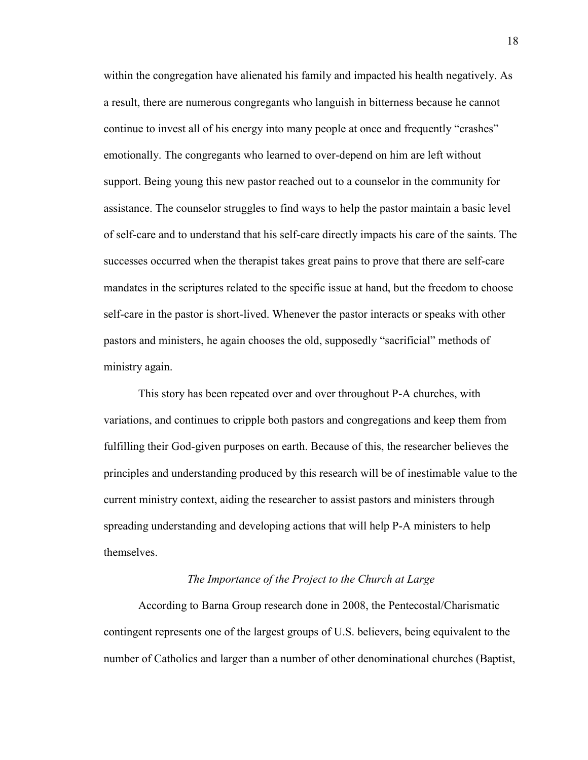within the congregation have alienated his family and impacted his health negatively. As a result, there are numerous congregants who languish in bitterness because he cannot continue to invest all of his energy into many people at once and frequently "crashes" emotionally. The congregants who learned to over-depend on him are left without support. Being young this new pastor reached out to a counselor in the community for assistance. The counselor struggles to find ways to help the pastor maintain a basic level of self-care and to understand that his self-care directly impacts his care of the saints. The successes occurred when the therapist takes great pains to prove that there are self-care mandates in the scriptures related to the specific issue at hand, but the freedom to choose self-care in the pastor is short-lived. Whenever the pastor interacts or speaks with other pastors and ministers, he again chooses the old, supposedly "sacrificial" methods of ministry again.

 This story has been repeated over and over throughout P-A churches, with variations, and continues to cripple both pastors and congregations and keep them from fulfilling their God-given purposes on earth. Because of this, the researcher believes the principles and understanding produced by this research will be of inestimable value to the current ministry context, aiding the researcher to assist pastors and ministers through spreading understanding and developing actions that will help P-A ministers to help themselves.

#### *The Importance of the Project to the Church at Large*

According to Barna Group research done in 2008, the Pentecostal/Charismatic contingent represents one of the largest groups of U.S. believers, being equivalent to the number of Catholics and larger than a number of other denominational churches (Baptist,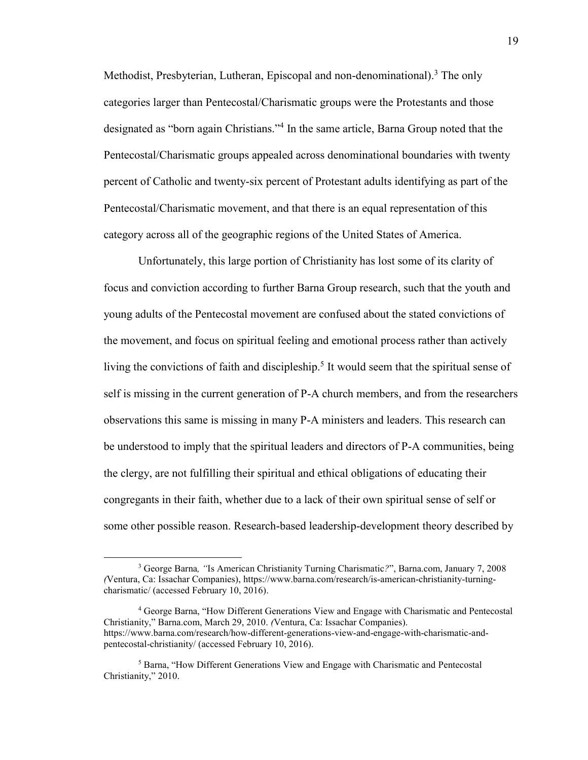Methodist, Presbyterian, Lutheran, Episcopal and non-denominational).<sup>3</sup> The only categories larger than Pentecostal/Charismatic groups were the Protestants and those designated as "born again Christians."<sup>4</sup> In the same article, Barna Group noted that the Pentecostal/Charismatic groups appealed across denominational boundaries with twenty percent of Catholic and twenty-six percent of Protestant adults identifying as part of the Pentecostal/Charismatic movement, and that there is an equal representation of this category across all of the geographic regions of the United States of America.

Unfortunately, this large portion of Christianity has lost some of its clarity of focus and conviction according to further Barna Group research, such that the youth and young adults of the Pentecostal movement are confused about the stated convictions of the movement, and focus on spiritual feeling and emotional process rather than actively living the convictions of faith and discipleship.<sup>5</sup> It would seem that the spiritual sense of self is missing in the current generation of P-A church members, and from the researchers observations this same is missing in many P-A ministers and leaders. This research can be understood to imply that the spiritual leaders and directors of P-A communities, being the clergy, are not fulfilling their spiritual and ethical obligations of educating their congregants in their faith, whether due to a lack of their own spiritual sense of self or some other possible reason. Research-based leadership-development theory described by

<sup>3</sup> George Barna*, "*Is American Christianity Turning Charismatic*?*", Barna.com, January 7, 2008 *(*Ventura, Ca: Issachar Companies), [https://www.barna.com/research/is-american-christianity-turning](https://www.barna.com/research/is-american-christianity-turning-charismatic/)[charismatic/](https://www.barna.com/research/is-american-christianity-turning-charismatic/) (accessed February 10, 2016).

<sup>&</sup>lt;sup>4</sup> George Barna, "How Different Generations View and Engage with Charismatic and Pentecostal Christianity," Barna.com, March 29, 2010. *(*Ventura, Ca: Issachar Companies). [https://www.barna.com/research/how-different-generations-view-and-engage-with-charismatic-and](https://www.barna.com/research/how-different-generations-view-and-engage-with-charismatic-and-pentecostal-christianity/)[pentecostal-christianity/](https://www.barna.com/research/how-different-generations-view-and-engage-with-charismatic-and-pentecostal-christianity/) (accessed February 10, 2016).

<sup>&</sup>lt;sup>5</sup> Barna, "How Different Generations View and Engage with Charismatic and Pentecostal Christianity," 2010.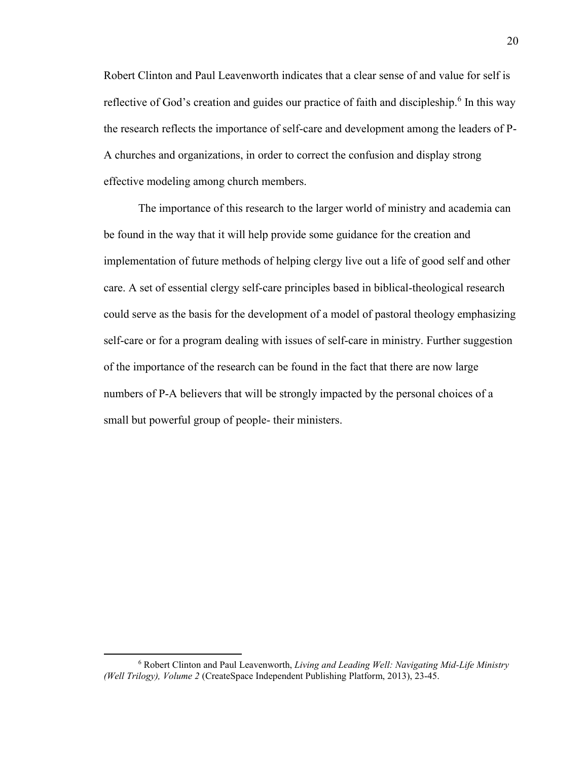Robert Clinton and Paul Leavenworth indicates that a clear sense of and value for self is reflective of God's creation and guides our practice of faith and discipleship.<sup>6</sup> In this way the research reflects the importance of self-care and development among the leaders of P-A churches and organizations, in order to correct the confusion and display strong effective modeling among church members.

The importance of this research to the larger world of ministry and academia can be found in the way that it will help provide some guidance for the creation and implementation of future methods of helping clergy live out a life of good self and other care. A set of essential clergy self-care principles based in biblical-theological research could serve as the basis for the development of a model of pastoral theology emphasizing self-care or for a program dealing with issues of self-care in ministry. Further suggestion of the importance of the research can be found in the fact that there are now large numbers of P-A believers that will be strongly impacted by the personal choices of a small but powerful group of people- their ministers.

<sup>6</sup> Robert Clinton and Paul Leavenworth, *Living and Leading Well: Navigating Mid-Life Ministry (Well Trilogy), Volume 2* (CreateSpace Independent Publishing Platform, 2013), 23-45.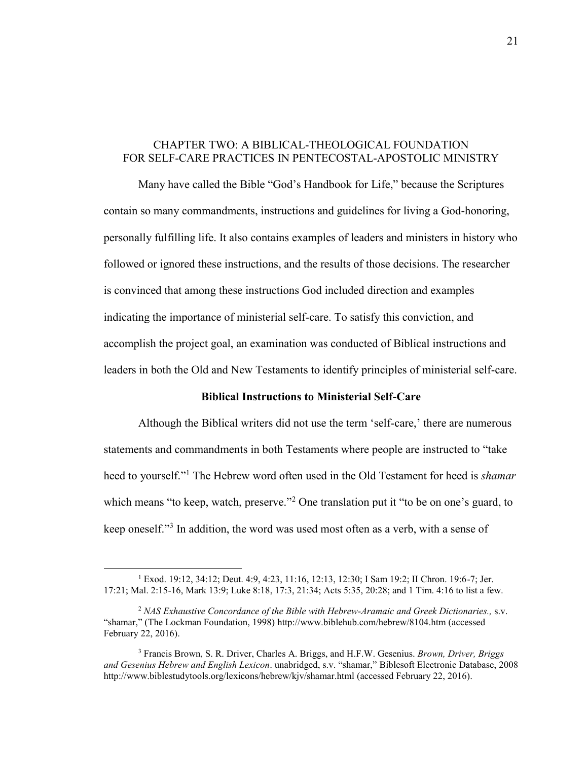#### CHAPTER TWO: A BIBLICAL-THEOLOGICAL FOUNDATION FOR SELF-CARE PRACTICES IN PENTECOSTAL-APOSTOLIC MINISTRY

Many have called the Bible "God's Handbook for Life," because the Scriptures contain so many commandments, instructions and guidelines for living a God-honoring, personally fulfilling life. It also contains examples of leaders and ministers in history who followed or ignored these instructions, and the results of those decisions. The researcher is convinced that among these instructions God included direction and examples indicating the importance of ministerial self-care. To satisfy this conviction, and accomplish the project goal, an examination was conducted of Biblical instructions and leaders in both the Old and New Testaments to identify principles of ministerial self-care.

#### **Biblical Instructions to Ministerial Self-Care**

Although the Biblical writers did not use the term 'self-care,' there are numerous statements and commandments in both Testaments where people are instructed to "take heed to yourself."<sup>1</sup> The Hebrew word often used in the Old Testament for heed is *shamar*  which means "to keep, watch, preserve."<sup>2</sup> One translation put it "to be on one's guard, to keep oneself."<sup>3</sup> In addition, the word was used most often as a verb, with a sense of

 $\overline{a}$ 

<sup>1</sup> Exod. 19:12, 34:12; Deut. 4:9, 4:23, 11:16, 12:13, 12:30; I Sam 19:2; II Chron. 19:6-7; Jer. 17:21; Mal. 2:15-16, Mark 13:9; Luke 8:18, 17:3, 21:34; Acts 5:35, 20:28; and 1 Tim. 4:16 to list a few.

<sup>2</sup> *NAS Exhaustive Concordance of the Bible with Hebrew-Aramaic and Greek Dictionaries.,* s.v. "shamar," (The Lockman Foundation, 1998)<http://www.biblehub.com/hebrew/8104.htm>(accessed February 22, 2016).

<sup>3</sup> Francis Brown, S. R. Driver, Charles A. Briggs, and H.F.W. Gesenius. *Brown, Driver, Briggs and Gesenius Hebrew and English Lexicon*. unabridged, s.v. "shamar," Biblesoft Electronic Database, 2008 [http://www.biblestudytools.org/lexicons/hebrew/kjv/shamar.html \(](http://www.biblestudytools.org/lexicons/hebrew/kjv/shamar.html)accessed February 22, 2016).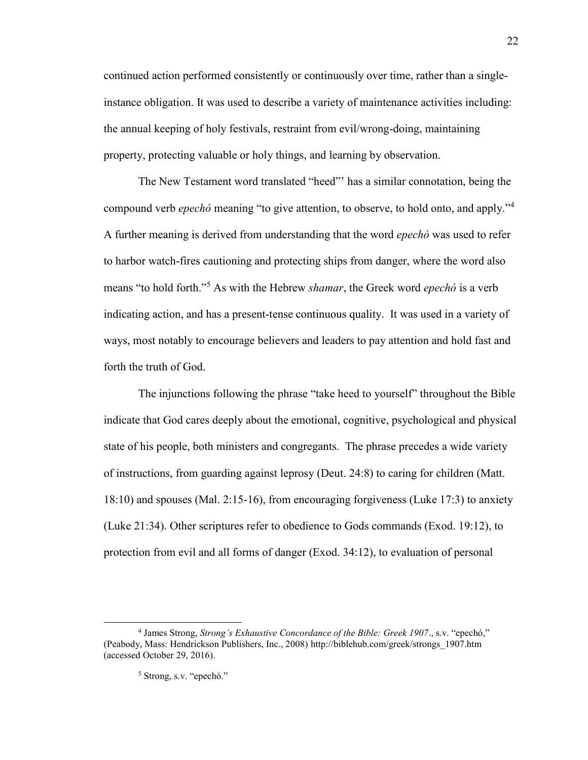continued action performed consistently or continuously over time, rather than a singleinstance obligation. It was used to describe a variety of maintenance activities including: the annual keeping of holy festivals, restraint from evil/wrong-doing, maintaining property, protecting valuable or holy things, and learning by observation.

The New Testament word translated "heed"' has a similar connotation, being the compound verb *epechó* meaning "to give attention, to observe, to hold onto, and apply."<sup>4</sup> A further meaning is derived from understanding that the word *epechó* was used to refer to harbor watch-fires cautioning and protecting ships from danger, where the word also means "to hold forth."<sup>5</sup> As with the Hebrew *shamar*, the Greek word *epechó* is a verb indicating action, and has a present-tense continuous quality. It was used in a variety of ways, most notably to encourage believers and leaders to pay attention and hold fast and forth the truth of God.

The injunctions following the phrase "take heed to yourself" throughout the Bible indicate that God cares deeply about the emotional, cognitive, psychological and physical state of his people, both ministers and congregants. The phrase precedes a wide variety of instructions, from guarding against leprosy (Deut. 24:8) to caring for children (Matt. 18:10) and spouses (Mal. 2:15-16), from encouraging forgiveness (Luke 17:3) to anxiety (Luke 21:34). Other scriptures refer to obedience to Gods commands (Exod. 19:12), to protection from evil and all forms of danger (Exod. 34:12), to evaluation of personal

<sup>4</sup> James Strong, *Strong's Exhaustive Concordance of the Bible: Greek 1907*., s.v. "epechó," (Peabody, Mass: Hendrickson Publishers, Inc., 2008) [http://biblehub.com/greek/strongs\\_1907.htm](http://biblehub.com/greek/strongs_1907.htm) (accessed October 29, 2016).

<sup>5</sup> Strong, s.v. "epechó."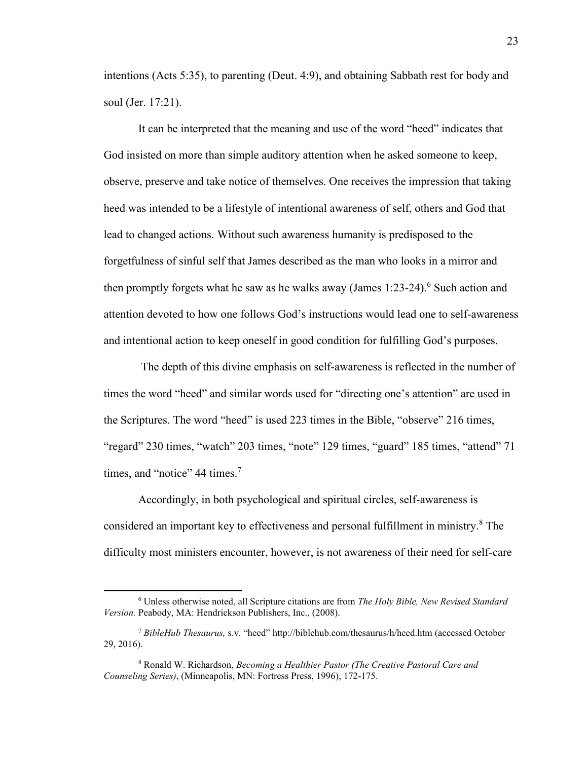intentions (Acts 5:35), to parenting (Deut. 4:9), and obtaining Sabbath rest for body and soul (Jer. 17:21).

It can be interpreted that the meaning and use of the word "heed" indicates that God insisted on more than simple auditory attention when he asked someone to keep, observe, preserve and take notice of themselves. One receives the impression that taking heed was intended to be a lifestyle of intentional awareness of self, others and God that lead to changed actions. Without such awareness humanity is predisposed to the forgetfulness of sinful self that James described as the man who looks in a mirror and then promptly forgets what he saw as he walks away (James  $1:23-24$ ).<sup>6</sup> Such action and attention devoted to how one follows God's instructions would lead one to self-awareness and intentional action to keep oneself in good condition for fulfilling God's purposes.

The depth of this divine emphasis on self-awareness is reflected in the number of times the word "heed" and similar words used for "directing one's attention" are used in the Scriptures. The word "heed" is used 223 times in the Bible, "observe" 216 times, "regard" 230 times, "watch" 203 times, "note" 129 times, "guard" 185 times, "attend" 71 times, and "notice" 44 times.<sup>7</sup>

Accordingly, in both psychological and spiritual circles, self-awareness is considered an important key to effectiveness and personal fulfillment in ministry.<sup>8</sup> The difficulty most ministers encounter, however, is not awareness of their need for self-care

<sup>6</sup> Unless otherwise noted, all Scripture citations are from *The Holy Bible, New Revised Standard Version.* Peabody, MA: Hendrickson Publishers, Inc., (2008).

<sup>7</sup> *BibleHub Thesaurus,* s.v. "heed" [http://biblehub.com/thesaurus/h/heed.htm \(](http://biblehub.com/thesaurus/h/heed.htm)accessed October 29, 2016).

<sup>8</sup> Ronald W. Richardson, *Becoming a Healthier Pastor (The Creative Pastoral Care and Counseling Series)*, (Minneapolis, MN: Fortress Press, 1996), 172-175.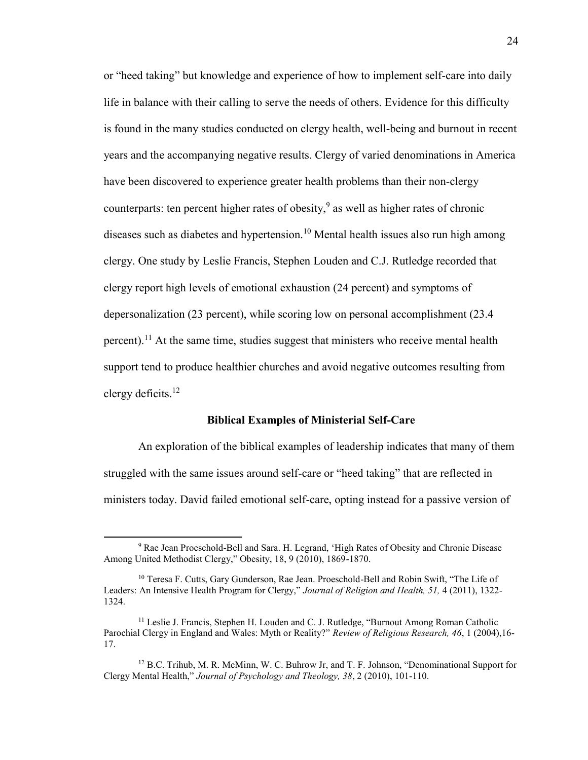or "heed taking" but knowledge and experience of how to implement self-care into daily life in balance with their calling to serve the needs of others. Evidence for this difficulty is found in the many studies conducted on clergy health, well-being and burnout in recent years and the accompanying negative results. Clergy of varied denominations in America have been discovered to experience greater health problems than their non-clergy counterparts: ten percent higher rates of obesity, $9$  as well as higher rates of chronic diseases such as diabetes and hypertension.<sup>10</sup> Mental health issues also run high among clergy. One study by Leslie Francis, Stephen Louden and C.J. Rutledge recorded that clergy report high levels of emotional exhaustion (24 percent) and symptoms of depersonalization (23 percent), while scoring low on personal accomplishment (23.4 percent).<sup>11</sup> At the same time, studies suggest that ministers who receive mental health support tend to produce healthier churches and avoid negative outcomes resulting from clergy deficits.<sup>12</sup>

#### **Biblical Examples of Ministerial Self-Care**

An exploration of the biblical examples of leadership indicates that many of them struggled with the same issues around self-care or "heed taking" that are reflected in ministers today. David failed emotional self-care, opting instead for a passive version of

 $\overline{a}$ 

<sup>&</sup>lt;sup>9</sup> Rae Jean Proeschold-Bell and Sara. H. Legrand, 'High Rates of Obesity and Chronic Disease Among United Methodist Clergy," Obesity, 18, 9 (2010), 1869-1870.

<sup>&</sup>lt;sup>10</sup> Teresa F. Cutts, Gary Gunderson, Rae Jean. Proeschold-Bell and Robin Swift, "The Life of Leaders: An Intensive Health Program for Clergy," *Journal of Religion and Health, 51,* 4 (2011), 1322- 1324.

<sup>&</sup>lt;sup>11</sup> Leslie J. Francis, Stephen H. Louden and C. J. Rutledge, "Burnout Among Roman Catholic Parochial Clergy in England and Wales: Myth or Reality?" *Review of Religious Research, 46*, 1 (2004),16- 17.

<sup>&</sup>lt;sup>12</sup> B.C. Trihub, M. R. McMinn, W. C. Buhrow Jr, and T. F. Johnson, "Denominational Support for Clergy Mental Health," *Journal of Psychology and Theology, 38*, 2 (2010), 101-110.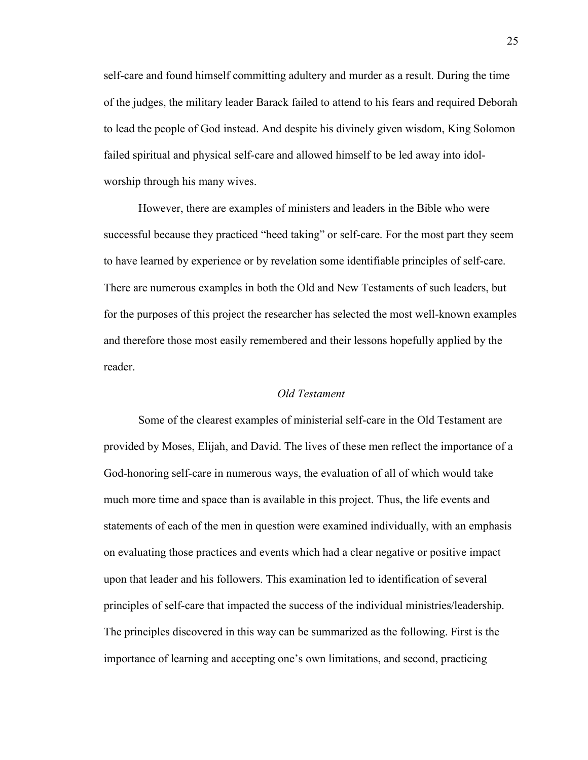self-care and found himself committing adultery and murder as a result. During the time of the judges, the military leader Barack failed to attend to his fears and required Deborah to lead the people of God instead. And despite his divinely given wisdom, King Solomon failed spiritual and physical self-care and allowed himself to be led away into idolworship through his many wives.

However, there are examples of ministers and leaders in the Bible who were successful because they practiced "heed taking" or self-care. For the most part they seem to have learned by experience or by revelation some identifiable principles of self-care. There are numerous examples in both the Old and New Testaments of such leaders, but for the purposes of this project the researcher has selected the most well-known examples and therefore those most easily remembered and their lessons hopefully applied by the reader.

#### *Old Testament*

 Some of the clearest examples of ministerial self-care in the Old Testament are provided by Moses, Elijah, and David. The lives of these men reflect the importance of a God-honoring self-care in numerous ways, the evaluation of all of which would take much more time and space than is available in this project. Thus, the life events and statements of each of the men in question were examined individually, with an emphasis on evaluating those practices and events which had a clear negative or positive impact upon that leader and his followers. This examination led to identification of several principles of self-care that impacted the success of the individual ministries/leadership. The principles discovered in this way can be summarized as the following. First is the importance of learning and accepting one's own limitations, and second, practicing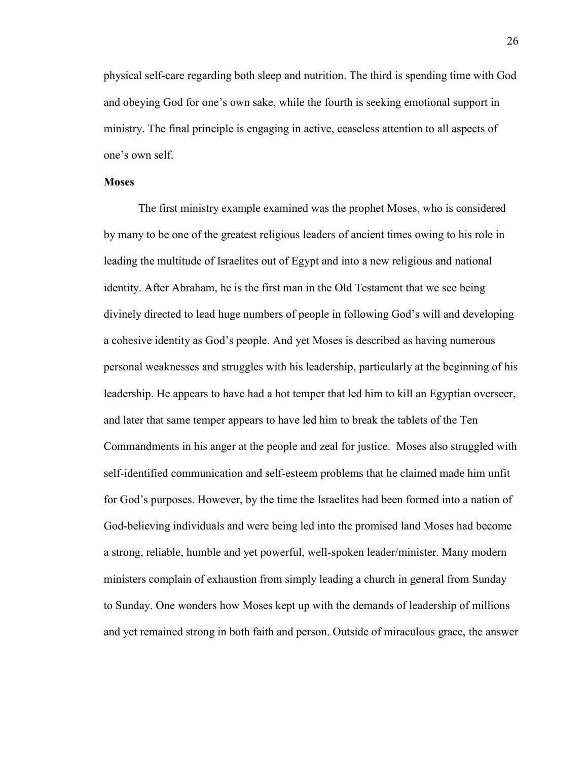physical self-care regarding both sleep and nutrition. The third is spending time with God and obeying God for one's own sake, while the fourth is seeking emotional support in ministry. The final principle is engaging in active, ceaseless attention to all aspects of one's own self.

#### **Moses**

The first ministry example examined was the prophet Moses, who is considered by many to be one of the greatest religious leaders of ancient times owing to his role in leading the multitude of Israelites out of Egypt and into a new religious and national identity. After Abraham, he is the first man in the Old Testament that we see being divinely directed to lead huge numbers of people in following God's will and developing a cohesive identity as God's people. And yet Moses is described as having numerous personal weaknesses and struggles with his leadership, particularly at the beginning of his leadership. He appears to have had a hot temper that led him to kill an Egyptian overseer, and later that same temper appears to have led him to break the tablets of the Ten Commandments in his anger at the people and zeal for justice. Moses also struggled with self-identified communication and self-esteem problems that he claimed made him unfit for God's purposes. However, by the time the Israelites had been formed into a nation of God-believing individuals and were being led into the promised land Moses had become a strong, reliable, humble and yet powerful, well-spoken leader/minister. Many modern ministers complain of exhaustion from simply leading a church in general from Sunday to Sunday. One wonders how Moses kept up with the demands of leadership of millions and yet remained strong in both faith and person. Outside of miraculous grace, the answer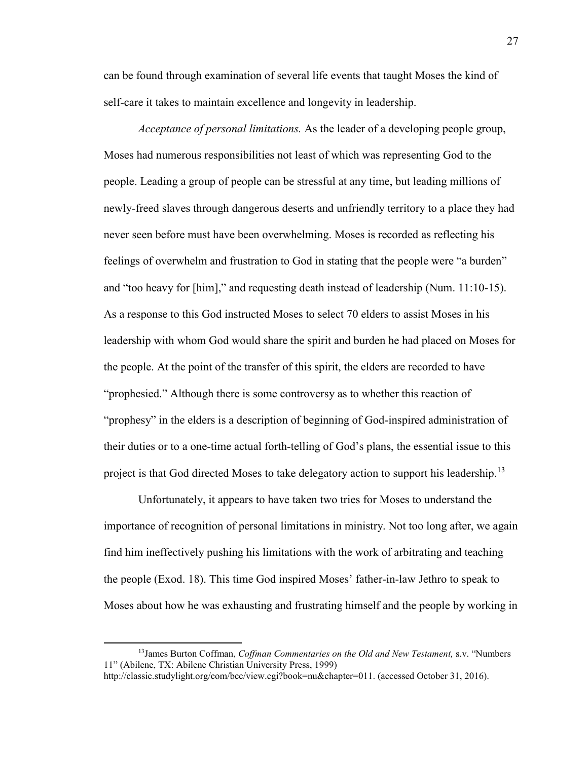can be found through examination of several life events that taught Moses the kind of self-care it takes to maintain excellence and longevity in leadership.

*Acceptance of personal limitations.* As the leader of a developing people group, Moses had numerous responsibilities not least of which was representing God to the people. Leading a group of people can be stressful at any time, but leading millions of newly-freed slaves through dangerous deserts and unfriendly territory to a place they had never seen before must have been overwhelming. Moses is recorded as reflecting his feelings of overwhelm and frustration to God in stating that the people were "a burden" and "too heavy for [him]," and requesting death instead of leadership (Num. 11:10-15). As a response to this God instructed Moses to select 70 elders to assist Moses in his leadership with whom God would share the spirit and burden he had placed on Moses for the people. At the point of the transfer of this spirit, the elders are recorded to have "prophesied." Although there is some controversy as to whether this reaction of "prophesy" in the elders is a description of beginning of God-inspired administration of their duties or to a one-time actual forth-telling of God's plans, the essential issue to this project is that God directed Moses to take delegatory action to support his leadership.<sup>13</sup>

 Unfortunately, it appears to have taken two tries for Moses to understand the importance of recognition of personal limitations in ministry. Not too long after, we again find him ineffectively pushing his limitations with the work of arbitrating and teaching the people (Exod. 18). This time God inspired Moses' father-in-law Jethro to speak to Moses about how he was exhausting and frustrating himself and the people by working in

 $\overline{\phantom{a}}$ 

<sup>13</sup>James Burton Coffman, *Coffman Commentaries on the Old and New Testament,* s.v. "Numbers 11" (Abilene, TX: Abilene Christian University Press, 1999)

http://classic.studylight.org/com/bcc/view.cgi?book=nu&chapter=011. (accessed October 31, 2016).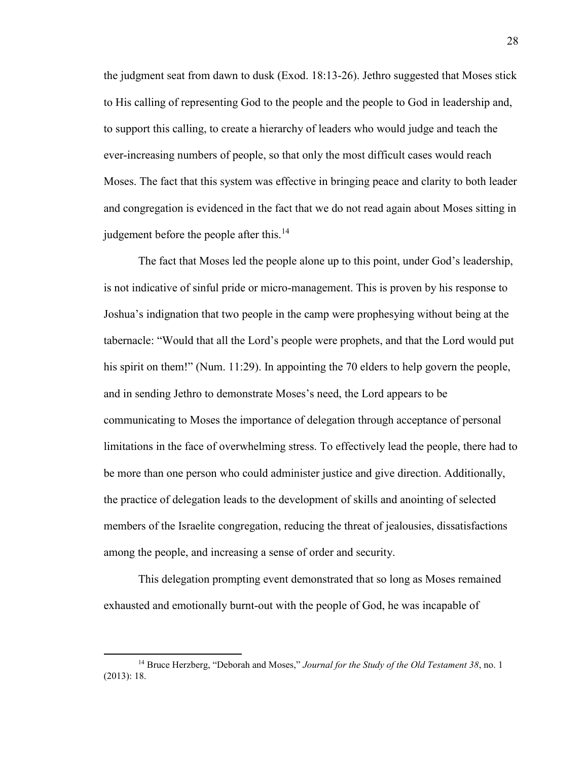the judgment seat from dawn to dusk (Exod. 18:13-26). Jethro suggested that Moses stick to His calling of representing God to the people and the people to God in leadership and, to support this calling, to create a hierarchy of leaders who would judge and teach the ever-increasing numbers of people, so that only the most difficult cases would reach Moses. The fact that this system was effective in bringing peace and clarity to both leader and congregation is evidenced in the fact that we do not read again about Moses sitting in judgement before the people after this.<sup>14</sup>

The fact that Moses led the people alone up to this point, under God's leadership, is not indicative of sinful pride or micro-management. This is proven by his response to Joshua's indignation that two people in the camp were prophesying without being at the tabernacle: "Would that all the Lord's people were prophets, and that the Lord would put his spirit on them!" (Num. 11:29). In appointing the 70 elders to help govern the people, and in sending Jethro to demonstrate Moses's need, the Lord appears to be communicating to Moses the importance of delegation through acceptance of personal limitations in the face of overwhelming stress. To effectively lead the people, there had to be more than one person who could administer justice and give direction. Additionally, the practice of delegation leads to the development of skills and anointing of selected members of the Israelite congregation, reducing the threat of jealousies, dissatisfactions among the people, and increasing a sense of order and security.

This delegation prompting event demonstrated that so long as Moses remained exhausted and emotionally burnt-out with the people of God, he was incapable of

<sup>14</sup> Bruce Herzberg, "Deborah and Moses," *Journal for the Study of the Old Testament 38*, no. 1 (2013): 18.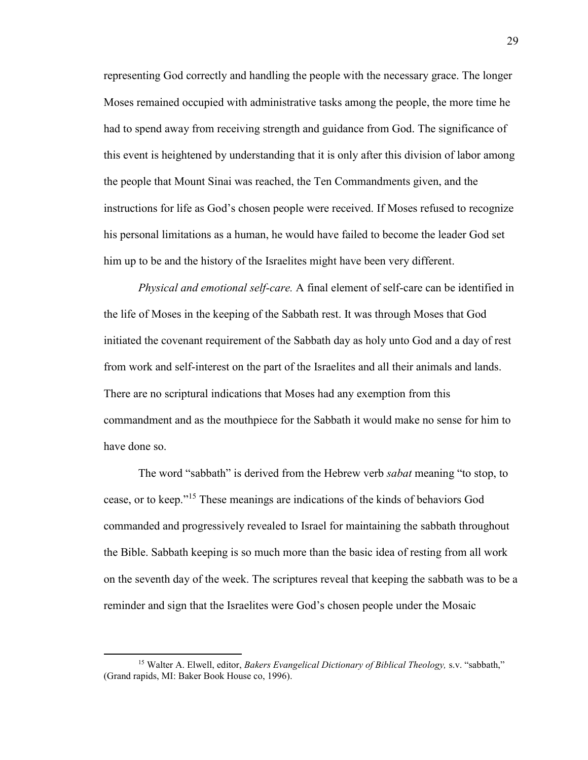representing God correctly and handling the people with the necessary grace. The longer Moses remained occupied with administrative tasks among the people, the more time he had to spend away from receiving strength and guidance from God. The significance of this event is heightened by understanding that it is only after this division of labor among the people that Mount Sinai was reached, the Ten Commandments given, and the instructions for life as God's chosen people were received. If Moses refused to recognize his personal limitations as a human, he would have failed to become the leader God set him up to be and the history of the Israelites might have been very different.

*Physical and emotional self-care.* A final element of self-care can be identified in the life of Moses in the keeping of the Sabbath rest. It was through Moses that God initiated the covenant requirement of the Sabbath day as holy unto God and a day of rest from work and self-interest on the part of the Israelites and all their animals and lands. There are no scriptural indications that Moses had any exemption from this commandment and as the mouthpiece for the Sabbath it would make no sense for him to have done so.

 The word "sabbath" is derived from the Hebrew verb *sabat* meaning "to stop, to cease, or to keep."<sup>15</sup> These meanings are indications of the kinds of behaviors God commanded and progressively revealed to Israel for maintaining the sabbath throughout the Bible. Sabbath keeping is so much more than the basic idea of resting from all work on the seventh day of the week. The scriptures reveal that keeping the sabbath was to be a reminder and sign that the Israelites were God's chosen people under the Mosaic

<sup>15</sup> Walter A. Elwell, editor, *Bakers Evangelical Dictionary of Biblical Theology,* s.v. "sabbath," (Grand rapids, MI: Baker Book House co, 1996).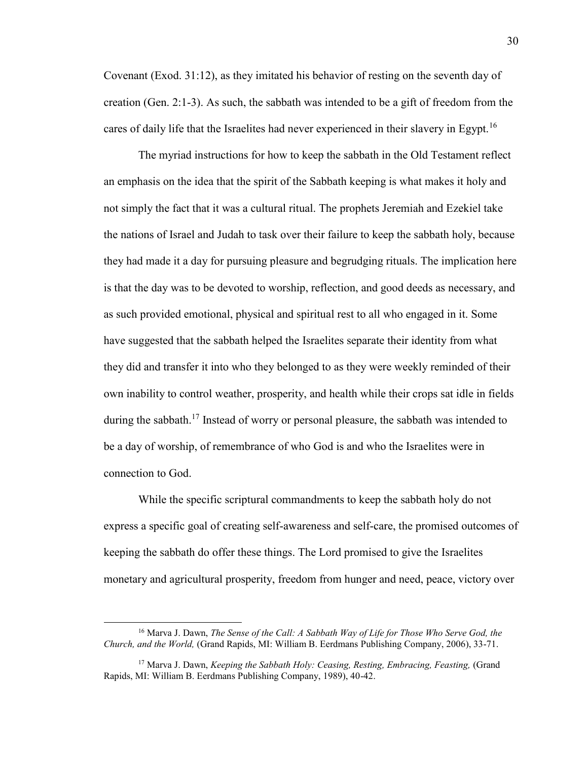Covenant (Exod. 31:12), as they imitated his behavior of resting on the seventh day of creation (Gen. 2:1-3). As such, the sabbath was intended to be a gift of freedom from the cares of daily life that the Israelites had never experienced in their slavery in Egypt.<sup>16</sup>

The myriad instructions for how to keep the sabbath in the Old Testament reflect an emphasis on the idea that the spirit of the Sabbath keeping is what makes it holy and not simply the fact that it was a cultural ritual. The prophets Jeremiah and Ezekiel take the nations of Israel and Judah to task over their failure to keep the sabbath holy, because they had made it a day for pursuing pleasure and begrudging rituals. The implication here is that the day was to be devoted to worship, reflection, and good deeds as necessary, and as such provided emotional, physical and spiritual rest to all who engaged in it. Some have suggested that the sabbath helped the Israelites separate their identity from what they did and transfer it into who they belonged to as they were weekly reminded of their own inability to control weather, prosperity, and health while their crops sat idle in fields during the sabbath.<sup>17</sup> Instead of worry or personal pleasure, the sabbath was intended to be a day of worship, of remembrance of who God is and who the Israelites were in connection to God.

 While the specific scriptural commandments to keep the sabbath holy do not express a specific goal of creating self-awareness and self-care, the promised outcomes of keeping the sabbath do offer these things. The Lord promised to give the Israelites monetary and agricultural prosperity, freedom from hunger and need, peace, victory over

<sup>16</sup> Marva J. Dawn, *The Sense of the Call: A Sabbath Way of Life for Those Who Serve God, the Church, and the World,* (Grand Rapids, MI: William B. Eerdmans Publishing Company, 2006), 33-71.

<sup>17</sup> Marva J. Dawn, *Keeping the Sabbath Holy: Ceasing, Resting, Embracing, Feasting,* (Grand Rapids, MI: William B. Eerdmans Publishing Company, 1989), 40-42.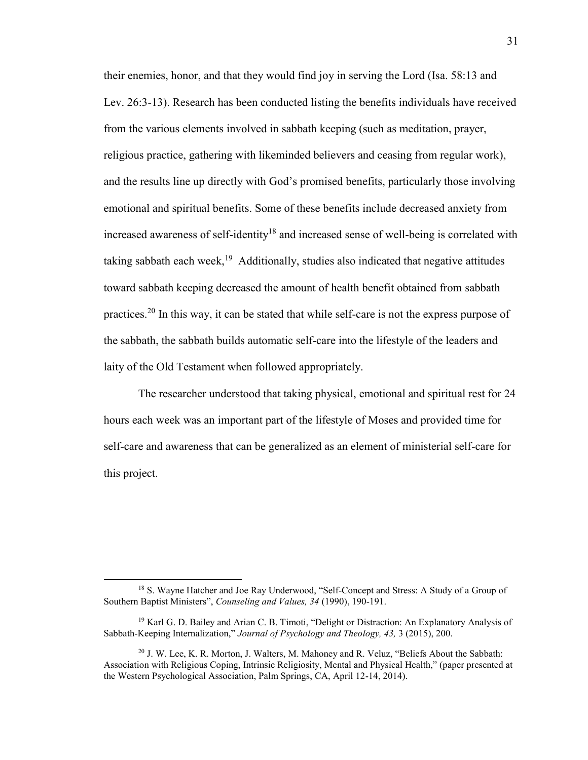their enemies, honor, and that they would find joy in serving the Lord (Isa. 58:13 and Lev. 26:3-13). Research has been conducted listing the benefits individuals have received from the various elements involved in sabbath keeping (such as meditation, prayer, religious practice, gathering with likeminded believers and ceasing from regular work), and the results line up directly with God's promised benefits, particularly those involving emotional and spiritual benefits. Some of these benefits include decreased anxiety from increased awareness of self-identity<sup>18</sup> and increased sense of well-being is correlated with taking sabbath each week,<sup>19</sup> Additionally, studies also indicated that negative attitudes toward sabbath keeping decreased the amount of health benefit obtained from sabbath practices.<sup>20</sup> In this way, it can be stated that while self-care is not the express purpose of the sabbath, the sabbath builds automatic self-care into the lifestyle of the leaders and laity of the Old Testament when followed appropriately.

The researcher understood that taking physical, emotional and spiritual rest for 24 hours each week was an important part of the lifestyle of Moses and provided time for self-care and awareness that can be generalized as an element of ministerial self-care for this project.

 $\overline{\phantom{a}}$ 

<sup>&</sup>lt;sup>18</sup> S. Wayne Hatcher and Joe Ray Underwood, "Self-Concept and Stress: A Study of a Group of Southern Baptist Ministers", *Counseling and Values, 34* (1990), 190-191.

<sup>19</sup> Karl G. D. Bailey and Arian C. B. Timoti, "Delight or Distraction: An Explanatory Analysis of Sabbath-Keeping Internalization," *Journal of Psychology and Theology, 43,* 3 (2015), 200.

<sup>20</sup> J. W. Lee, K. R. Morton, J. Walters, M. Mahoney and R. Veluz, "Beliefs About the Sabbath: Association with Religious Coping, Intrinsic Religiosity, Mental and Physical Health," (paper presented at the Western Psychological Association, Palm Springs, CA, April 12-14, 2014).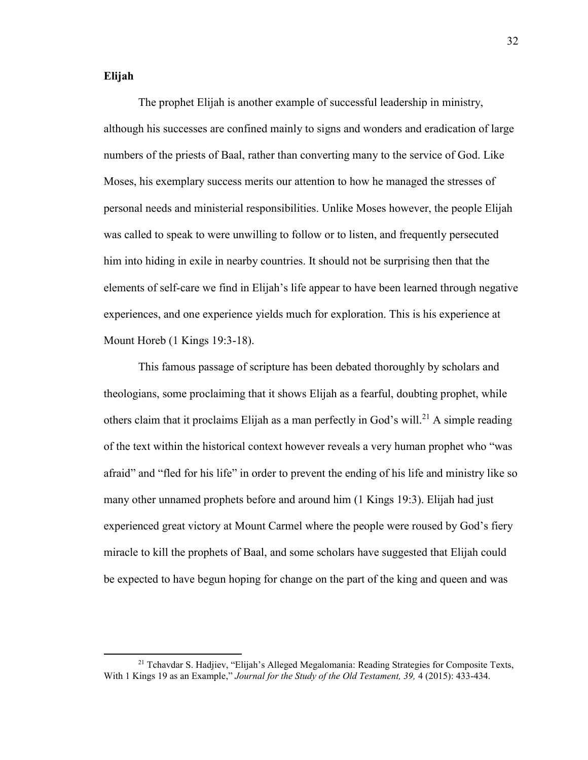#### **Elijah**

l

 The prophet Elijah is another example of successful leadership in ministry, although his successes are confined mainly to signs and wonders and eradication of large numbers of the priests of Baal, rather than converting many to the service of God. Like Moses, his exemplary success merits our attention to how he managed the stresses of personal needs and ministerial responsibilities. Unlike Moses however, the people Elijah was called to speak to were unwilling to follow or to listen, and frequently persecuted him into hiding in exile in nearby countries. It should not be surprising then that the elements of self-care we find in Elijah's life appear to have been learned through negative experiences, and one experience yields much for exploration. This is his experience at Mount Horeb (1 Kings 19:3-18).

 This famous passage of scripture has been debated thoroughly by scholars and theologians, some proclaiming that it shows Elijah as a fearful, doubting prophet, while others claim that it proclaims Elijah as a man perfectly in God's will.<sup>21</sup> A simple reading of the text within the historical context however reveals a very human prophet who "was afraid" and "fled for his life" in order to prevent the ending of his life and ministry like so many other unnamed prophets before and around him (1 Kings 19:3). Elijah had just experienced great victory at Mount Carmel where the people were roused by God's fiery miracle to kill the prophets of Baal, and some scholars have suggested that Elijah could be expected to have begun hoping for change on the part of the king and queen and was

<sup>&</sup>lt;sup>21</sup> Tchavdar S. Hadjiev, "Elijah's Alleged Megalomania: Reading Strategies for Composite Texts, With 1 Kings 19 as an Example," *Journal for the Study of the Old Testament, 39,* 4 (2015): 433-434.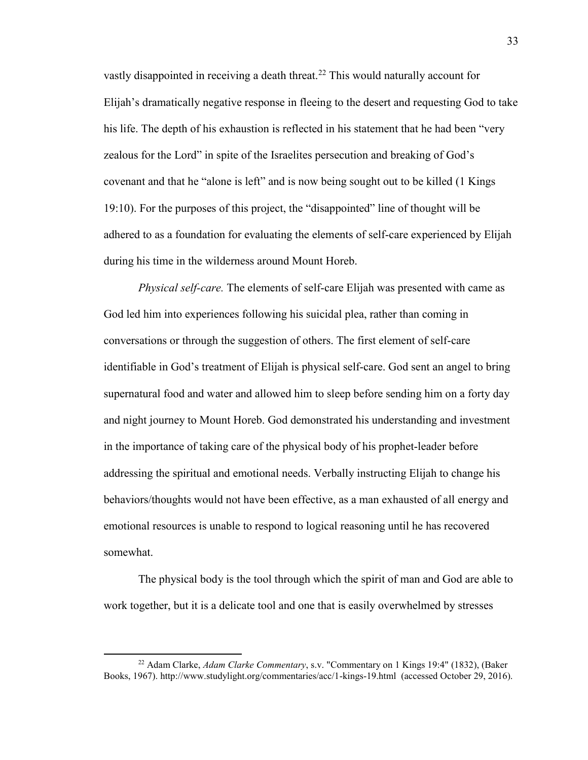vastly disappointed in receiving a death threat.<sup>22</sup> This would naturally account for Elijah's dramatically negative response in fleeing to the desert and requesting God to take his life. The depth of his exhaustion is reflected in his statement that he had been "very zealous for the Lord" in spite of the Israelites persecution and breaking of God's covenant and that he "alone is left" and is now being sought out to be killed (1 Kings 19:10). For the purposes of this project, the "disappointed" line of thought will be adhered to as a foundation for evaluating the elements of self-care experienced by Elijah during his time in the wilderness around Mount Horeb.

*Physical self-care.* The elements of self-care Elijah was presented with came as God led him into experiences following his suicidal plea, rather than coming in conversations or through the suggestion of others. The first element of self-care identifiable in God's treatment of Elijah is physical self-care. God sent an angel to bring supernatural food and water and allowed him to sleep before sending him on a forty day and night journey to Mount Horeb. God demonstrated his understanding and investment in the importance of taking care of the physical body of his prophet-leader before addressing the spiritual and emotional needs. Verbally instructing Elijah to change his behaviors/thoughts would not have been effective, as a man exhausted of all energy and emotional resources is unable to respond to logical reasoning until he has recovered somewhat.

The physical body is the tool through which the spirit of man and God are able to work together, but it is a delicate tool and one that is easily overwhelmed by stresses

<sup>22</sup> Adam Clarke, *Adam Clarke Commentary*, s.v. "Commentary on [1 Kings 19:4"](https://www.studylight.org/desk/index.cgi?q1=1%20Kings+19:4&t1=en_nas) (1832), (Baker Books, 1967). http://www.studylight.org/commentaries/acc/1-kings-19.html (accessed October 29, 2016).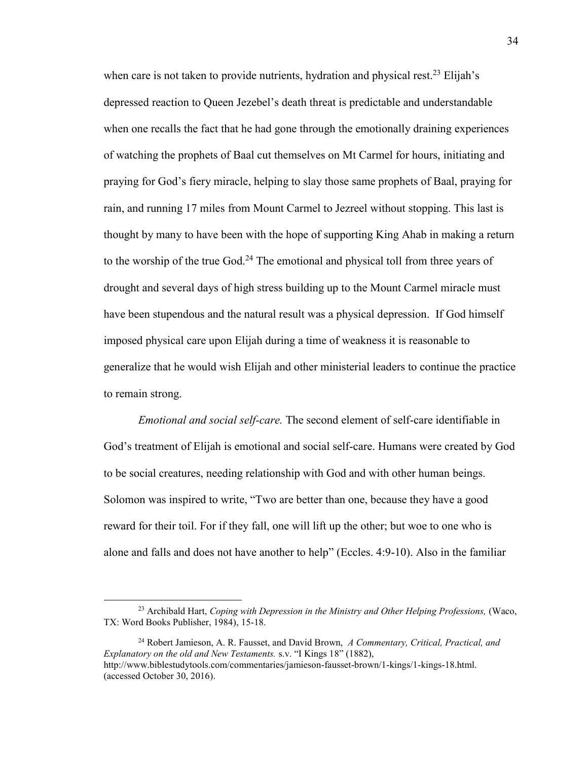when care is not taken to provide nutrients, hydration and physical rest.<sup>23</sup> Elijah's depressed reaction to Queen Jezebel's death threat is predictable and understandable when one recalls the fact that he had gone through the emotionally draining experiences of watching the prophets of Baal cut themselves on Mt Carmel for hours, initiating and praying for God's fiery miracle, helping to slay those same prophets of Baal, praying for rain, and running 17 miles from Mount Carmel to Jezreel without stopping. This last is thought by many to have been with the hope of supporting King Ahab in making a return to the worship of the true God.<sup>24</sup> The emotional and physical toll from three years of drought and several days of high stress building up to the Mount Carmel miracle must have been stupendous and the natural result was a physical depression. If God himself imposed physical care upon Elijah during a time of weakness it is reasonable to generalize that he would wish Elijah and other ministerial leaders to continue the practice to remain strong.

*Emotional and social self-care.* The second element of self-care identifiable in God's treatment of Elijah is emotional and social self-care. Humans were created by God to be social creatures, needing relationship with God and with other human beings. Solomon was inspired to write, "Two are better than one, because they have a good reward for their toil. For if they fall, one will lift up the other; but woe to one who is alone and falls and does not have another to help" (Eccles. 4:9-10). Also in the familiar

<sup>24</sup> Robert Jamieson, A. R. Fausset, and David Brown, *A Commentary, Critical, Practical, and Explanatory on the old and New Testaments.* s.v. "I Kings 18" (1882), [http://www.biblestudytools.com/commentaries/jamieson-fausset-brown/1-kings/1-kings-18.html.](http://www.biblestudytools.com/commentaries/jamieson-fausset-brown/1-kings/1-kings-18.html.%20%20(accessed%20October%2030,%202016)  [\(accessed October 30, 2016\)](http://www.biblestudytools.com/commentaries/jamieson-fausset-brown/1-kings/1-kings-18.html.%20%20(accessed%20October%2030,%202016).

 $\overline{\phantom{a}}$ 

<sup>23</sup> Archibald Hart, *Coping with Depression in the Ministry and Other Helping Professions,* (Waco, TX: Word Books Publisher, 1984), 15-18.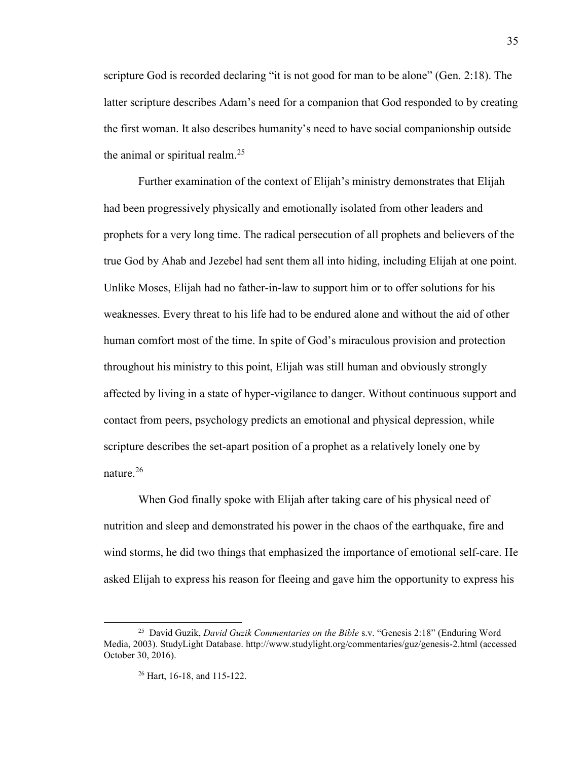scripture God is recorded declaring "it is not good for man to be alone" (Gen. 2:18). The latter scripture describes Adam's need for a companion that God responded to by creating the first woman. It also describes humanity's need to have social companionship outside the animal or spiritual realm.<sup>25</sup>

Further examination of the context of Elijah's ministry demonstrates that Elijah had been progressively physically and emotionally isolated from other leaders and prophets for a very long time. The radical persecution of all prophets and believers of the true God by Ahab and Jezebel had sent them all into hiding, including Elijah at one point. Unlike Moses, Elijah had no father-in-law to support him or to offer solutions for his weaknesses. Every threat to his life had to be endured alone and without the aid of other human comfort most of the time. In spite of God's miraculous provision and protection throughout his ministry to this point, Elijah was still human and obviously strongly affected by living in a state of hyper-vigilance to danger. Without continuous support and contact from peers, psychology predicts an emotional and physical depression, while scripture describes the set-apart position of a prophet as a relatively lonely one by nature. $26$ 

When God finally spoke with Elijah after taking care of his physical need of nutrition and sleep and demonstrated his power in the chaos of the earthquake, fire and wind storms, he did two things that emphasized the importance of emotional self-care. He asked Elijah to express his reason for fleeing and gave him the opportunity to express his

l

<sup>25</sup> David Guzik, *David Guzik Commentaries on the Bible* s.v. "Genesis 2:18" (Enduring Word Media, 2003). StudyLight Database. http://www.studylight.org/commentaries/guz/genesis-2.html (accessed October 30, 2016).

<sup>26</sup> Hart, 16-18, and 115-122.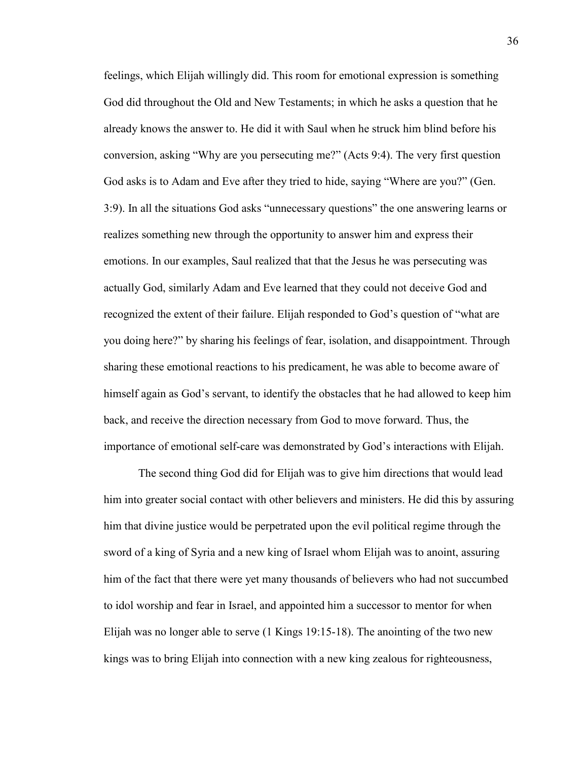feelings, which Elijah willingly did. This room for emotional expression is something God did throughout the Old and New Testaments; in which he asks a question that he already knows the answer to. He did it with Saul when he struck him blind before his conversion, asking "Why are you persecuting me?" (Acts 9:4). The very first question God asks is to Adam and Eve after they tried to hide, saying "Where are you?" (Gen. 3:9). In all the situations God asks "unnecessary questions" the one answering learns or realizes something new through the opportunity to answer him and express their emotions. In our examples, Saul realized that that the Jesus he was persecuting was actually God, similarly Adam and Eve learned that they could not deceive God and recognized the extent of their failure. Elijah responded to God's question of "what are you doing here?" by sharing his feelings of fear, isolation, and disappointment. Through sharing these emotional reactions to his predicament, he was able to become aware of himself again as God's servant, to identify the obstacles that he had allowed to keep him back, and receive the direction necessary from God to move forward. Thus, the importance of emotional self-care was demonstrated by God's interactions with Elijah.

The second thing God did for Elijah was to give him directions that would lead him into greater social contact with other believers and ministers. He did this by assuring him that divine justice would be perpetrated upon the evil political regime through the sword of a king of Syria and a new king of Israel whom Elijah was to anoint, assuring him of the fact that there were yet many thousands of believers who had not succumbed to idol worship and fear in Israel, and appointed him a successor to mentor for when Elijah was no longer able to serve (1 Kings 19:15-18). The anointing of the two new kings was to bring Elijah into connection with a new king zealous for righteousness,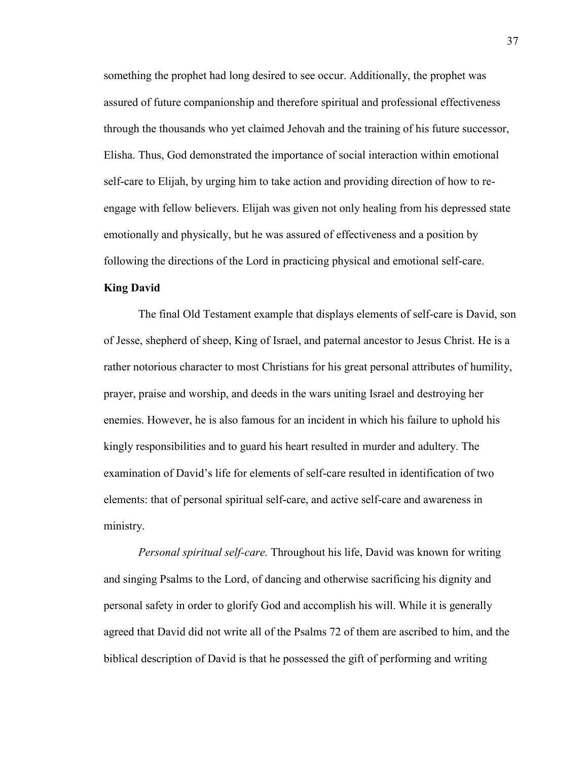something the prophet had long desired to see occur. Additionally, the prophet was assured of future companionship and therefore spiritual and professional effectiveness through the thousands who yet claimed Jehovah and the training of his future successor, Elisha. Thus, God demonstrated the importance of social interaction within emotional self-care to Elijah, by urging him to take action and providing direction of how to reengage with fellow believers. Elijah was given not only healing from his depressed state emotionally and physically, but he was assured of effectiveness and a position by following the directions of the Lord in practicing physical and emotional self-care.

## **King David**

 The final Old Testament example that displays elements of self-care is David, son of Jesse, shepherd of sheep, King of Israel, and paternal ancestor to Jesus Christ. He is a rather notorious character to most Christians for his great personal attributes of humility, prayer, praise and worship, and deeds in the wars uniting Israel and destroying her enemies. However, he is also famous for an incident in which his failure to uphold his kingly responsibilities and to guard his heart resulted in murder and adultery. The examination of David's life for elements of self-care resulted in identification of two elements: that of personal spiritual self-care, and active self-care and awareness in ministry.

*Personal spiritual self-care.* Throughout his life, David was known for writing and singing Psalms to the Lord, of dancing and otherwise sacrificing his dignity and personal safety in order to glorify God and accomplish his will. While it is generally agreed that David did not write all of the Psalms 72 of them are ascribed to him, and the biblical description of David is that he possessed the gift of performing and writing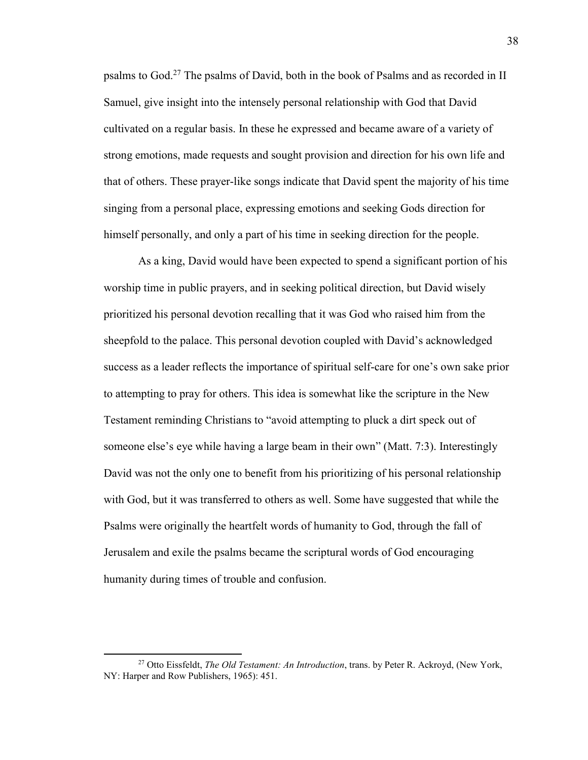psalms to God.<sup>27</sup> The psalms of David, both in the book of Psalms and as recorded in II Samuel, give insight into the intensely personal relationship with God that David cultivated on a regular basis. In these he expressed and became aware of a variety of strong emotions, made requests and sought provision and direction for his own life and that of others. These prayer-like songs indicate that David spent the majority of his time singing from a personal place, expressing emotions and seeking Gods direction for himself personally, and only a part of his time in seeking direction for the people.

 As a king, David would have been expected to spend a significant portion of his worship time in public prayers, and in seeking political direction, but David wisely prioritized his personal devotion recalling that it was God who raised him from the sheepfold to the palace. This personal devotion coupled with David's acknowledged success as a leader reflects the importance of spiritual self-care for one's own sake prior to attempting to pray for others. This idea is somewhat like the scripture in the New Testament reminding Christians to "avoid attempting to pluck a dirt speck out of someone else's eye while having a large beam in their own" (Matt. 7:3). Interestingly David was not the only one to benefit from his prioritizing of his personal relationship with God, but it was transferred to others as well. Some have suggested that while the Psalms were originally the heartfelt words of humanity to God, through the fall of Jerusalem and exile the psalms became the scriptural words of God encouraging humanity during times of trouble and confusion.

l

<sup>27</sup> Otto Eissfeldt, *The Old Testament: An Introduction*, trans. by Peter R. Ackroyd, (New York, NY: Harper and Row Publishers, 1965): 451.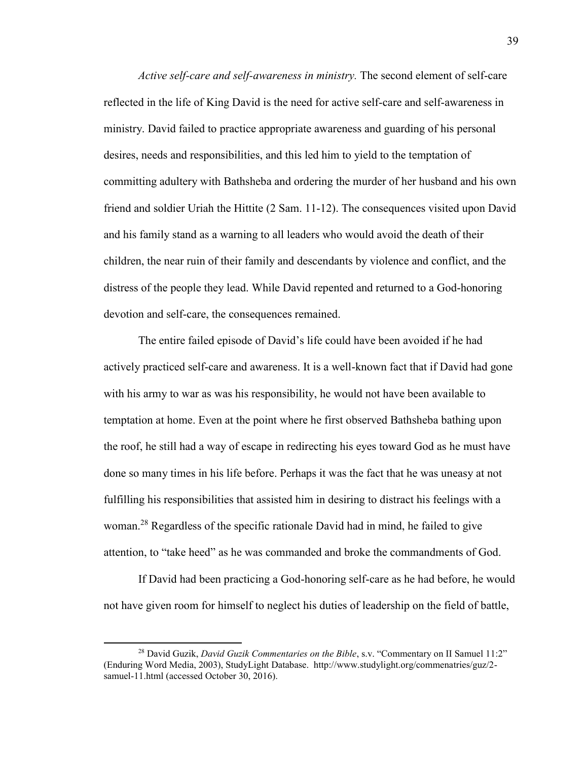*Active self-care and self-awareness in ministry.* The second element of self-care reflected in the life of King David is the need for active self-care and self-awareness in ministry. David failed to practice appropriate awareness and guarding of his personal desires, needs and responsibilities, and this led him to yield to the temptation of committing adultery with Bathsheba and ordering the murder of her husband and his own friend and soldier Uriah the Hittite (2 Sam. 11-12). The consequences visited upon David and his family stand as a warning to all leaders who would avoid the death of their children, the near ruin of their family and descendants by violence and conflict, and the distress of the people they lead. While David repented and returned to a God-honoring devotion and self-care, the consequences remained.

 The entire failed episode of David's life could have been avoided if he had actively practiced self-care and awareness. It is a well-known fact that if David had gone with his army to war as was his responsibility, he would not have been available to temptation at home. Even at the point where he first observed Bathsheba bathing upon the roof, he still had a way of escape in redirecting his eyes toward God as he must have done so many times in his life before. Perhaps it was the fact that he was uneasy at not fulfilling his responsibilities that assisted him in desiring to distract his feelings with a woman.<sup>28</sup> Regardless of the specific rationale David had in mind, he failed to give attention, to "take heed" as he was commanded and broke the commandments of God.

 If David had been practicing a God-honoring self-care as he had before, he would not have given room for himself to neglect his duties of leadership on the field of battle,

<sup>28</sup> David Guzik, *David Guzik Commentaries on the Bible*, s.v. "Commentary on II Samuel 11:2" (Enduring Word Media, 2003), StudyLight Database. [http://www.studylight.org/commenatries/guz/2](http://www.studylight.org/commenatries/guz/2-samuel-11.html%20(accessed%20October%2030,%202016) [samuel-11.html \(accessed October 30, 2016\)](http://www.studylight.org/commenatries/guz/2-samuel-11.html%20(accessed%20October%2030,%202016).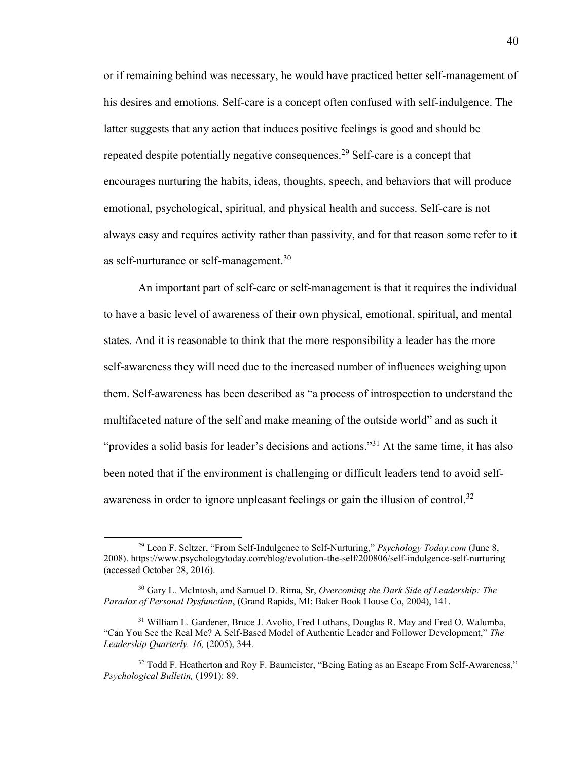or if remaining behind was necessary, he would have practiced better self-management of his desires and emotions. Self-care is a concept often confused with self-indulgence. The latter suggests that any action that induces positive feelings is good and should be repeated despite potentially negative consequences.<sup>29</sup> Self-care is a concept that encourages nurturing the habits, ideas, thoughts, speech, and behaviors that will produce emotional, psychological, spiritual, and physical health and success. Self-care is not always easy and requires activity rather than passivity, and for that reason some refer to it as self-nurturance or self-management.<sup>30</sup>

 An important part of self-care or self-management is that it requires the individual to have a basic level of awareness of their own physical, emotional, spiritual, and mental states. And it is reasonable to think that the more responsibility a leader has the more self-awareness they will need due to the increased number of influences weighing upon them. Self-awareness has been described as "a process of introspection to understand the multifaceted nature of the self and make meaning of the outside world" and as such it "provides a solid basis for leader's decisions and actions."<sup>31</sup> At the same time, it has also been noted that if the environment is challenging or difficult leaders tend to avoid selfawareness in order to ignore unpleasant feelings or gain the illusion of control.<sup>32</sup>

 $\overline{a}$ 

<sup>29</sup> Leon F. Seltzer, "From Self-Indulgence to Self-Nurturing," *Psychology Today.com* (June 8, 2008). <https://www.psychologytoday.com/blog/evolution-the-self/200806/self-indulgence-self-nurturing> (accessed October 28, 2016).

<sup>30</sup> Gary L. McIntosh, and Samuel D. Rima, Sr, *Overcoming the Dark Side of Leadership: The Paradox of Personal Dysfunction*, (Grand Rapids, MI: Baker Book House Co, 2004), 141.

<sup>31</sup> William L. Gardener, Bruce J. Avolio, Fred Luthans, Douglas R. May and Fred O. Walumba, "Can You See the Real Me? A Self-Based Model of Authentic Leader and Follower Development," *The Leadership Quarterly, 16,* (2005), 344.

<sup>&</sup>lt;sup>32</sup> Todd F. Heatherton and Roy F. Baumeister, "Being Eating as an Escape From Self-Awareness," *Psychological Bulletin,* (1991): 89.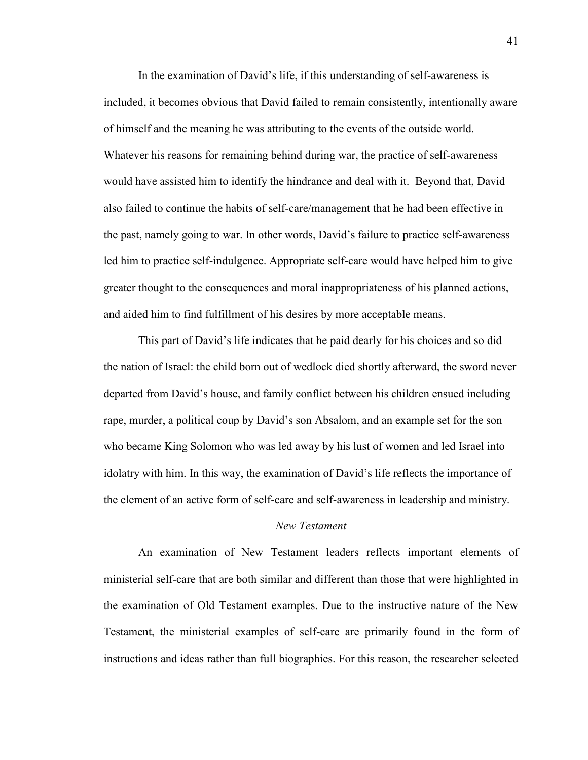In the examination of David's life, if this understanding of self-awareness is included, it becomes obvious that David failed to remain consistently, intentionally aware of himself and the meaning he was attributing to the events of the outside world. Whatever his reasons for remaining behind during war, the practice of self-awareness would have assisted him to identify the hindrance and deal with it. Beyond that, David also failed to continue the habits of self-care/management that he had been effective in the past, namely going to war. In other words, David's failure to practice self-awareness led him to practice self-indulgence. Appropriate self-care would have helped him to give greater thought to the consequences and moral inappropriateness of his planned actions, and aided him to find fulfillment of his desires by more acceptable means.

This part of David's life indicates that he paid dearly for his choices and so did the nation of Israel: the child born out of wedlock died shortly afterward, the sword never departed from David's house, and family conflict between his children ensued including rape, murder, a political coup by David's son Absalom, and an example set for the son who became King Solomon who was led away by his lust of women and led Israel into idolatry with him. In this way, the examination of David's life reflects the importance of the element of an active form of self-care and self-awareness in leadership and ministry.

## *New Testament*

An examination of New Testament leaders reflects important elements of ministerial self-care that are both similar and different than those that were highlighted in the examination of Old Testament examples. Due to the instructive nature of the New Testament, the ministerial examples of self-care are primarily found in the form of instructions and ideas rather than full biographies. For this reason, the researcher selected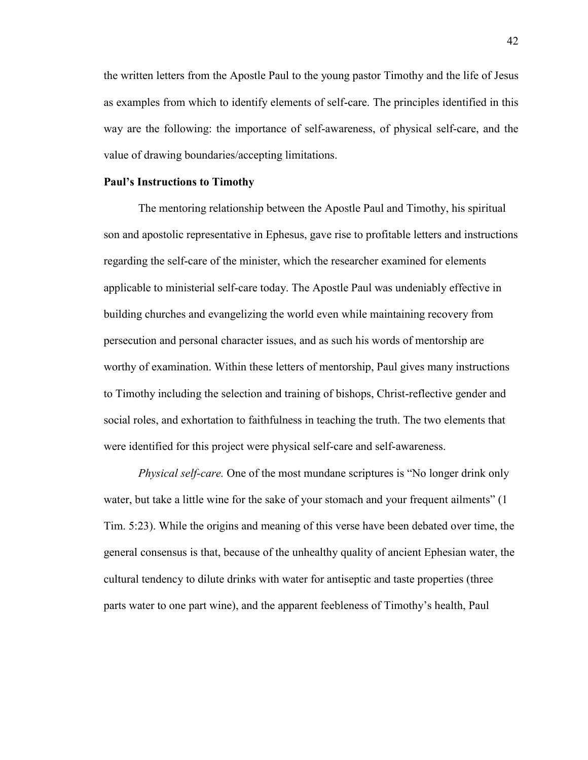the written letters from the Apostle Paul to the young pastor Timothy and the life of Jesus as examples from which to identify elements of self-care. The principles identified in this way are the following: the importance of self-awareness, of physical self-care, and the value of drawing boundaries/accepting limitations.

### **Paul's Instructions to Timothy**

The mentoring relationship between the Apostle Paul and Timothy, his spiritual son and apostolic representative in Ephesus, gave rise to profitable letters and instructions regarding the self-care of the minister, which the researcher examined for elements applicable to ministerial self-care today. The Apostle Paul was undeniably effective in building churches and evangelizing the world even while maintaining recovery from persecution and personal character issues, and as such his words of mentorship are worthy of examination. Within these letters of mentorship, Paul gives many instructions to Timothy including the selection and training of bishops, Christ-reflective gender and social roles, and exhortation to faithfulness in teaching the truth. The two elements that were identified for this project were physical self-care and self-awareness.

*Physical self-care.* One of the most mundane scriptures is "No longer drink only water, but take a little wine for the sake of your stomach and your frequent ailments" (1 Tim. 5:23). While the origins and meaning of this verse have been debated over time, the general consensus is that, because of the unhealthy quality of ancient Ephesian water, the cultural tendency to dilute drinks with water for antiseptic and taste properties (three parts water to one part wine), and the apparent feebleness of Timothy's health, Paul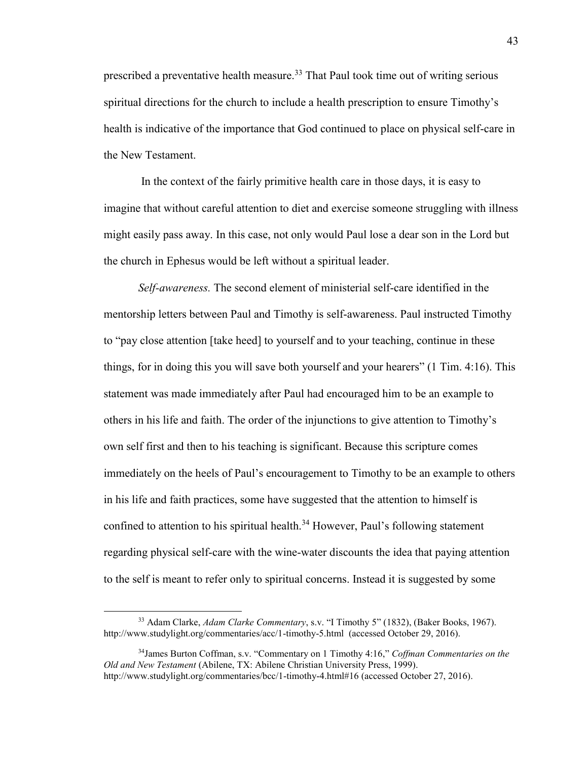prescribed a preventative health measure.<sup>33</sup> That Paul took time out of writing serious spiritual directions for the church to include a health prescription to ensure Timothy's health is indicative of the importance that God continued to place on physical self-care in the New Testament.

 In the context of the fairly primitive health care in those days, it is easy to imagine that without careful attention to diet and exercise someone struggling with illness might easily pass away. In this case, not only would Paul lose a dear son in the Lord but the church in Ephesus would be left without a spiritual leader.

*Self-awareness.* The second element of ministerial self-care identified in the mentorship letters between Paul and Timothy is self-awareness. Paul instructed Timothy to "pay close attention [take heed] to yourself and to your teaching, continue in these things, for in doing this you will save both yourself and your hearers" (1 Tim. 4:16). This statement was made immediately after Paul had encouraged him to be an example to others in his life and faith. The order of the injunctions to give attention to Timothy's own self first and then to his teaching is significant. Because this scripture comes immediately on the heels of Paul's encouragement to Timothy to be an example to others in his life and faith practices, some have suggested that the attention to himself is confined to attention to his spiritual health.<sup>34</sup> However, Paul's following statement regarding physical self-care with the wine-water discounts the idea that paying attention to the self is meant to refer only to spiritual concerns. Instead it is suggested by some

<sup>33</sup> Adam Clarke, *Adam Clarke Commentary*, s.v. "I Timothy 5" (1832), (Baker Books, 1967). http://www.studylight.org/commentaries/acc/1-timothy-5.html (accessed October 29, 2016).

<sup>34</sup>James Burton Coffman, s.v. "Commentary on 1 Timothy 4:16," *Coffman Commentaries on the Old and New Testament* (Abilene, TX: Abilene Christian University Press, 1999). http://www.studylight.org/commentaries/bcc/1-timothy-4.html#16 (accessed October 27, 2016).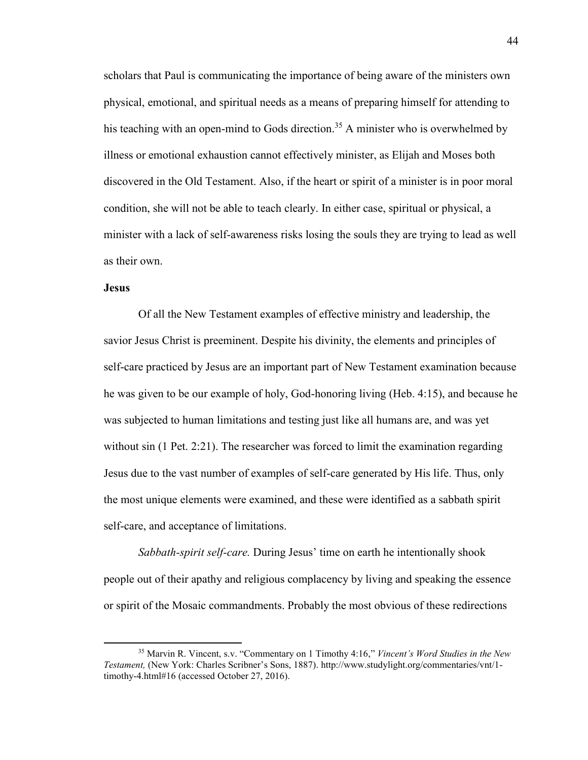scholars that Paul is communicating the importance of being aware of the ministers own physical, emotional, and spiritual needs as a means of preparing himself for attending to his teaching with an open-mind to Gods direction.<sup>35</sup> A minister who is overwhelmed by illness or emotional exhaustion cannot effectively minister, as Elijah and Moses both discovered in the Old Testament. Also, if the heart or spirit of a minister is in poor moral condition, she will not be able to teach clearly. In either case, spiritual or physical, a minister with a lack of self-awareness risks losing the souls they are trying to lead as well as their own.

## **Jesus**

 $\overline{\phantom{a}}$ 

 Of all the New Testament examples of effective ministry and leadership, the savior Jesus Christ is preeminent. Despite his divinity, the elements and principles of self-care practiced by Jesus are an important part of New Testament examination because he was given to be our example of holy, God-honoring living (Heb. 4:15), and because he was subjected to human limitations and testing just like all humans are, and was yet without sin (1 Pet. 2:21). The researcher was forced to limit the examination regarding Jesus due to the vast number of examples of self-care generated by His life. Thus, only the most unique elements were examined, and these were identified as a sabbath spirit self-care, and acceptance of limitations.

*Sabbath-spirit self-care.* During Jesus' time on earth he intentionally shook people out of their apathy and religious complacency by living and speaking the essence or spirit of the Mosaic commandments. Probably the most obvious of these redirections

<sup>35</sup> Marvin R. Vincent, s.v. "Commentary on 1 Timothy 4:16," *Vincent's Word Studies in the New Testament,* (New York: Charles Scribner's Sons, 1887). [http://www.studylight.org/commentaries/vnt/1](http://www.studylight.org/commentaries/vnt/1-timothy-4.html#16) [timothy-4.html#16 \(](http://www.studylight.org/commentaries/vnt/1-timothy-4.html#16)accessed October 27, 2016).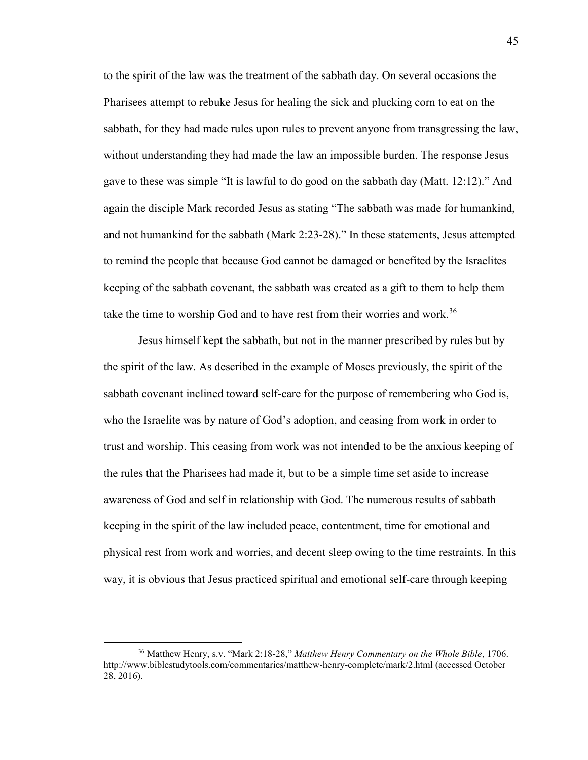to the spirit of the law was the treatment of the sabbath day. On several occasions the Pharisees attempt to rebuke Jesus for healing the sick and plucking corn to eat on the sabbath, for they had made rules upon rules to prevent anyone from transgressing the law, without understanding they had made the law an impossible burden. The response Jesus gave to these was simple "It is lawful to do good on the sabbath day (Matt. 12:12)." And again the disciple Mark recorded Jesus as stating "The sabbath was made for humankind, and not humankind for the sabbath (Mark 2:23-28)." In these statements, Jesus attempted to remind the people that because God cannot be damaged or benefited by the Israelites keeping of the sabbath covenant, the sabbath was created as a gift to them to help them take the time to worship God and to have rest from their worries and work.<sup>36</sup>

 Jesus himself kept the sabbath, but not in the manner prescribed by rules but by the spirit of the law. As described in the example of Moses previously, the spirit of the sabbath covenant inclined toward self-care for the purpose of remembering who God is, who the Israelite was by nature of God's adoption, and ceasing from work in order to trust and worship. This ceasing from work was not intended to be the anxious keeping of the rules that the Pharisees had made it, but to be a simple time set aside to increase awareness of God and self in relationship with God. The numerous results of sabbath keeping in the spirit of the law included peace, contentment, time for emotional and physical rest from work and worries, and decent sleep owing to the time restraints. In this way, it is obvious that Jesus practiced spiritual and emotional self-care through keeping

<sup>36</sup> Matthew Henry, s.v. "Mark 2:18-28," *Matthew Henry Commentary on the Whole Bible*, 1706. <http://www.biblestudytools.com/commentaries/matthew-henry-complete/mark/2.html>(accessed October 28, 2016).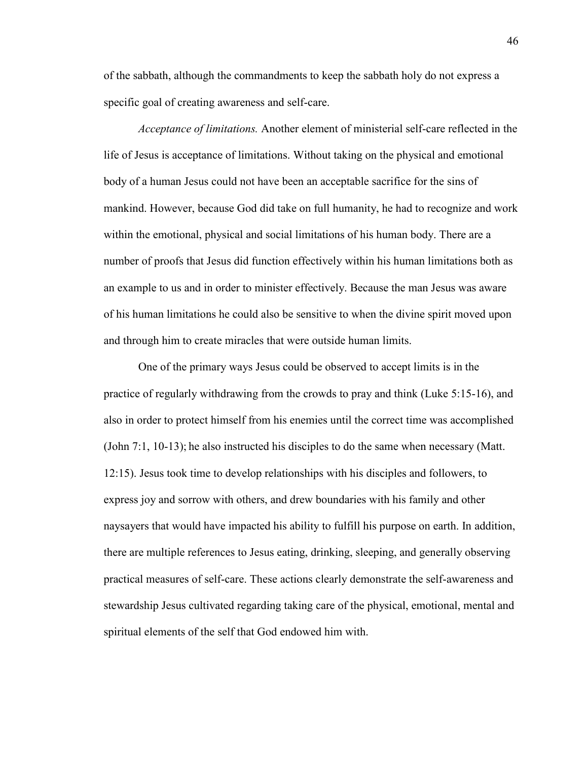of the sabbath, although the commandments to keep the sabbath holy do not express a specific goal of creating awareness and self-care.

*Acceptance of limitations.* Another element of ministerial self-care reflected in the life of Jesus is acceptance of limitations. Without taking on the physical and emotional body of a human Jesus could not have been an acceptable sacrifice for the sins of mankind. However, because God did take on full humanity, he had to recognize and work within the emotional, physical and social limitations of his human body. There are a number of proofs that Jesus did function effectively within his human limitations both as an example to us and in order to minister effectively. Because the man Jesus was aware of his human limitations he could also be sensitive to when the divine spirit moved upon and through him to create miracles that were outside human limits.

 One of the primary ways Jesus could be observed to accept limits is in the practice of regularly withdrawing from the crowds to pray and think (Luke 5:15-16), and also in order to protect himself from his enemies until the correct time was accomplished (John 7:1, 10-13); he also instructed his disciples to do the same when necessary (Matt. 12:15). Jesus took time to develop relationships with his disciples and followers, to express joy and sorrow with others, and drew boundaries with his family and other naysayers that would have impacted his ability to fulfill his purpose on earth. In addition, there are multiple references to Jesus eating, drinking, sleeping, and generally observing practical measures of self-care. These actions clearly demonstrate the self-awareness and stewardship Jesus cultivated regarding taking care of the physical, emotional, mental and spiritual elements of the self that God endowed him with.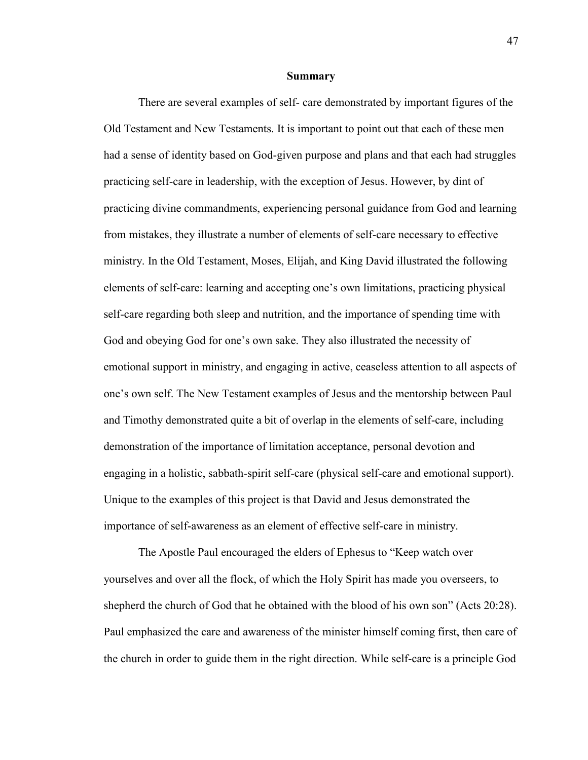#### **Summary**

There are several examples of self- care demonstrated by important figures of the Old Testament and New Testaments. It is important to point out that each of these men had a sense of identity based on God-given purpose and plans and that each had struggles practicing self-care in leadership, with the exception of Jesus. However, by dint of practicing divine commandments, experiencing personal guidance from God and learning from mistakes, they illustrate a number of elements of self-care necessary to effective ministry. In the Old Testament, Moses, Elijah, and King David illustrated the following elements of self-care: learning and accepting one's own limitations, practicing physical self-care regarding both sleep and nutrition, and the importance of spending time with God and obeying God for one's own sake. They also illustrated the necessity of emotional support in ministry, and engaging in active, ceaseless attention to all aspects of one's own self. The New Testament examples of Jesus and the mentorship between Paul and Timothy demonstrated quite a bit of overlap in the elements of self-care, including demonstration of the importance of limitation acceptance, personal devotion and engaging in a holistic, sabbath-spirit self-care (physical self-care and emotional support). Unique to the examples of this project is that David and Jesus demonstrated the importance of self-awareness as an element of effective self-care in ministry.

 The Apostle Paul encouraged the elders of Ephesus to "Keep watch over yourselves and over all the flock, of which the Holy Spirit has made you overseers, to shepherd the church of God that he obtained with the blood of his own son" (Acts 20:28). Paul emphasized the care and awareness of the minister himself coming first, then care of the church in order to guide them in the right direction. While self-care is a principle God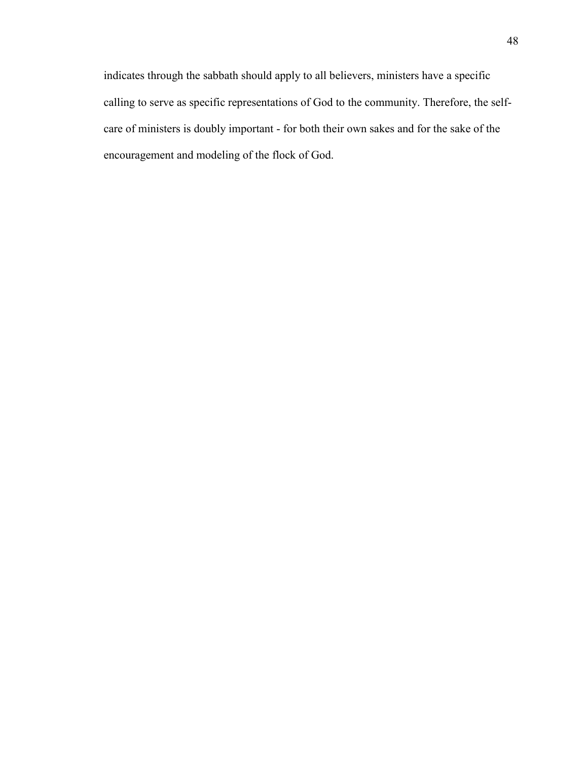indicates through the sabbath should apply to all believers, ministers have a specific calling to serve as specific representations of God to the community. Therefore, the selfcare of ministers is doubly important - for both their own sakes and for the sake of the encouragement and modeling of the flock of God.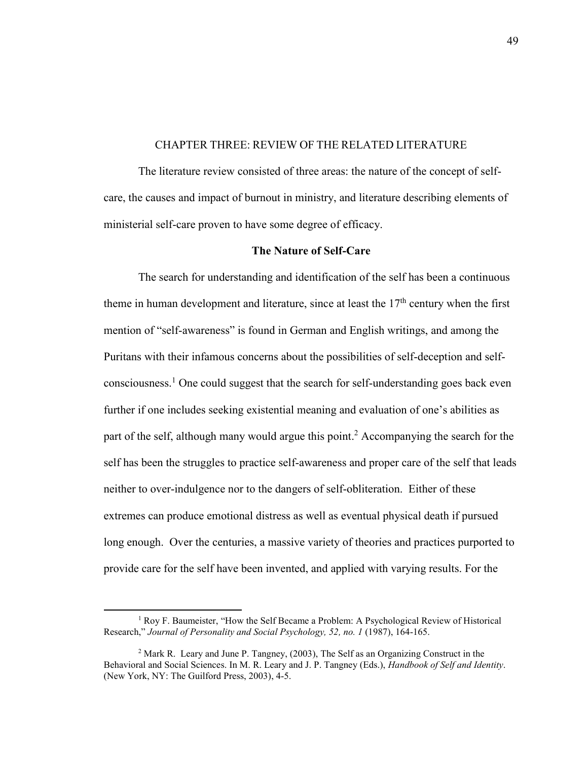### CHAPTER THREE: REVIEW OF THE RELATED LITERATURE

 The literature review consisted of three areas: the nature of the concept of selfcare, the causes and impact of burnout in ministry, and literature describing elements of ministerial self-care proven to have some degree of efficacy.

## **The Nature of Self-Care**

 The search for understanding and identification of the self has been a continuous theme in human development and literature, since at least the  $17<sup>th</sup>$  century when the first mention of "self-awareness" is found in German and English writings, and among the Puritans with their infamous concerns about the possibilities of self-deception and selfconsciousness.<sup>1</sup> One could suggest that the search for self-understanding goes back even further if one includes seeking existential meaning and evaluation of one's abilities as part of the self, although many would argue this point.<sup>2</sup> Accompanying the search for the self has been the struggles to practice self-awareness and proper care of the self that leads neither to over-indulgence nor to the dangers of self-obliteration. Either of these extremes can produce emotional distress as well as eventual physical death if pursued long enough. Over the centuries, a massive variety of theories and practices purported to provide care for the self have been invented, and applied with varying results. For the

<sup>&</sup>lt;sup>1</sup> Roy F. Baumeister, "How the Self Became a Problem: A Psychological Review of Historical Research," Journal of Personality and Social Psychology, 52, no. 1 (1987), 164-165.

<sup>&</sup>lt;sup>2</sup> Mark R. Leary and June P. Tangney, (2003), The Self as an Organizing Construct in the Behavioral and Social Sciences. In M. R. Leary and J. P. Tangney (Eds.), *Handbook of Self and Identity*. (New York, NY: The Guilford Press, 2003), 4-5.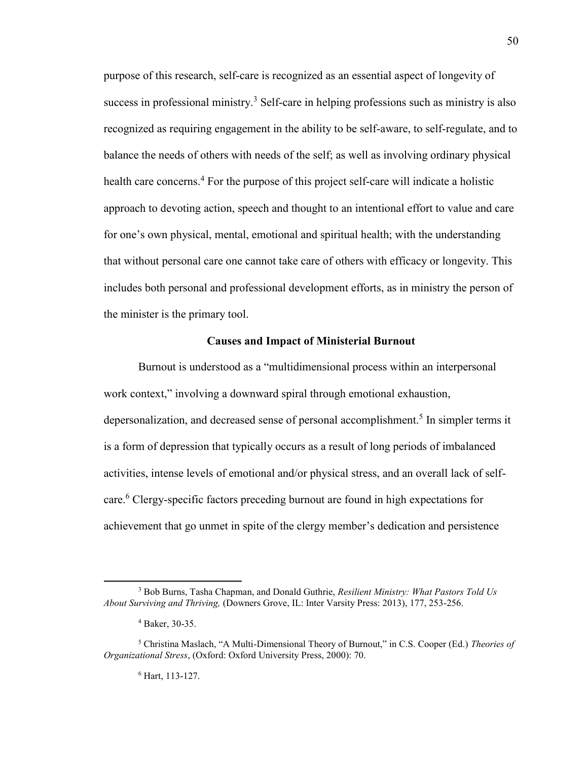purpose of this research, self-care is recognized as an essential aspect of longevity of success in professional ministry.<sup>3</sup> Self-care in helping professions such as ministry is also recognized as requiring engagement in the ability to be self-aware, to self-regulate, and to balance the needs of others with needs of the self; as well as involving ordinary physical health care concerns.<sup>4</sup> For the purpose of this project self-care will indicate a holistic approach to devoting action, speech and thought to an intentional effort to value and care for one's own physical, mental, emotional and spiritual health; with the understanding that without personal care one cannot take care of others with efficacy or longevity. This includes both personal and professional development efforts, as in ministry the person of the minister is the primary tool.

### **Causes and Impact of Ministerial Burnout**

 Burnout is understood as a "multidimensional process within an interpersonal work context," involving a downward spiral through emotional exhaustion, depersonalization, and decreased sense of personal accomplishment.<sup>5</sup> In simpler terms it is a form of depression that typically occurs as a result of long periods of imbalanced activities, intense levels of emotional and/or physical stress, and an overall lack of selfcare.<sup>6</sup> Clergy-specific factors preceding burnout are found in high expectations for achievement that go unmet in spite of the clergy member's dedication and persistence

<sup>3</sup> Bob Burns, Tasha Chapman, and Donald Guthrie, *Resilient Ministry: What Pastors Told Us About Surviving and Thriving,* (Downers Grove, IL: Inter Varsity Press: 2013), 177, 253-256.

<sup>4</sup> Baker, 30-35.

<sup>5</sup> Christina Maslach, "A Multi-Dimensional Theory of Burnout," in C.S. Cooper (Ed.) *Theories of Organizational Stress*, (Oxford: Oxford University Press, 2000): 70.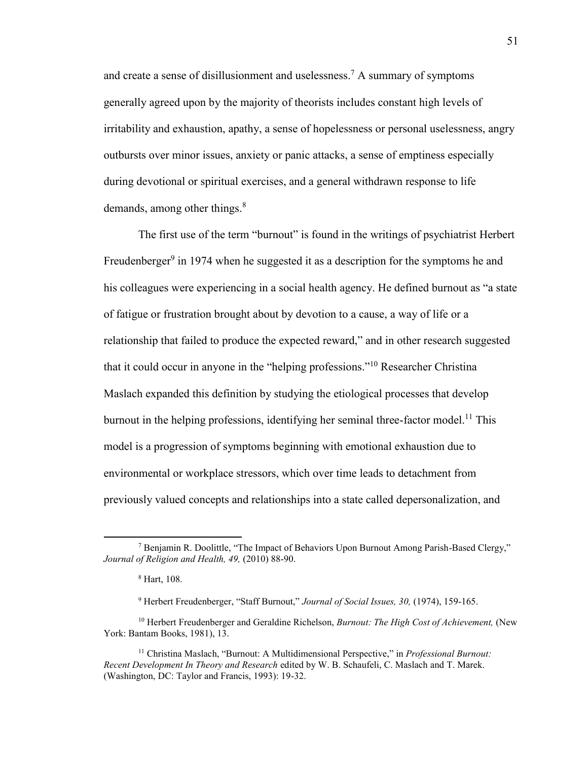and create a sense of disillusionment and uselessness.<sup>7</sup> A summary of symptoms generally agreed upon by the majority of theorists includes constant high levels of irritability and exhaustion, apathy, a sense of hopelessness or personal uselessness, angry outbursts over minor issues, anxiety or panic attacks, a sense of emptiness especially during devotional or spiritual exercises, and a general withdrawn response to life demands, among other things.<sup>8</sup>

The first use of the term "burnout" is found in the writings of psychiatrist Herbert Freudenberger<sup>9</sup> in 1974 when he suggested it as a description for the symptoms he and his colleagues were experiencing in a social health agency. He defined burnout as "a state of fatigue or frustration brought about by devotion to a cause, a way of life or a relationship that failed to produce the expected reward," and in other research suggested that it could occur in anyone in the "helping professions."<sup>10</sup> Researcher Christina Maslach expanded this definition by studying the etiological processes that develop burnout in the helping professions, identifying her seminal three-factor model.<sup>11</sup> This model is a progression of symptoms beginning with emotional exhaustion due to environmental or workplace stressors, which over time leads to detachment from previously valued concepts and relationships into a state called depersonalization, and

 $\overline{a}$ 

<sup>&</sup>lt;sup>7</sup> Benjamin R. Doolittle, "The Impact of Behaviors Upon Burnout Among Parish-Based Clergy," *Journal of Religion and Health, 49,* (2010) 88-90.

<sup>8</sup> Hart, 108.

<sup>9</sup> Herbert Freudenberger, "Staff Burnout," *Journal of Social Issues, 30,* (1974), 159-165.

<sup>10</sup> Herbert Freudenberger and Geraldine Richelson, *Burnout: The High Cost of Achievement,* (New York: Bantam Books, 1981), 13.

<sup>&</sup>lt;sup>11</sup> Christina Maslach, "Burnout: A Multidimensional Perspective," in *Professional Burnout: Recent Development In Theory and Research* edited by W. B. Schaufeli, C. Maslach and T. Marek. (Washington, DC: Taylor and Francis, 1993): 19-32.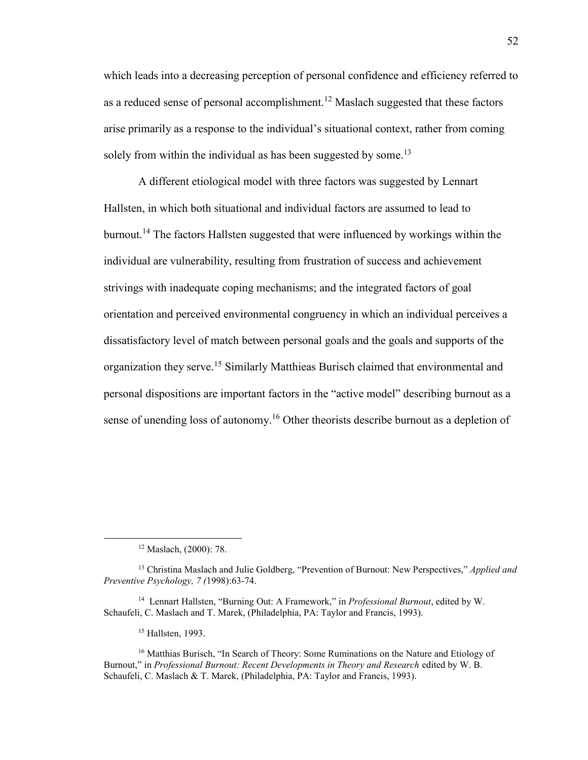which leads into a decreasing perception of personal confidence and efficiency referred to as a reduced sense of personal accomplishment.<sup>12</sup> Maslach suggested that these factors arise primarily as a response to the individual's situational context, rather from coming solely from within the individual as has been suggested by some.<sup>13</sup>

 A different etiological model with three factors was suggested by Lennart Hallsten, in which both situational and individual factors are assumed to lead to burnout.<sup>14</sup> The factors Hallsten suggested that were influenced by workings within the individual are vulnerability, resulting from frustration of success and achievement strivings with inadequate coping mechanisms; and the integrated factors of goal orientation and perceived environmental congruency in which an individual perceives a dissatisfactory level of match between personal goals and the goals and supports of the organization they serve.<sup>15</sup> Similarly Matthieas Burisch claimed that environmental and personal dispositions are important factors in the "active model" describing burnout as a sense of unending loss of autonomy.<sup>16</sup> Other theorists describe burnout as a depletion of

<sup>12</sup> Maslach, (2000): 78.

<sup>13</sup> Christina Maslach and Julie Goldberg, "Prevention of Burnout: New Perspectives," *Applied and Preventive Psychology, 7 (*1998):63-74.

<sup>&</sup>lt;sup>14</sup> Lennart Hallsten, "Burning Out: A Framework," in *Professional Burnout*, edited by W. Schaufeli, C. Maslach and T. Marek, (Philadelphia, PA: Taylor and Francis, 1993).

<sup>&</sup>lt;sup>15</sup> Hallsten, 1993.

<sup>&</sup>lt;sup>16</sup> Matthias Burisch, "In Search of Theory: Some Ruminations on the Nature and Etiology of Burnout," in *Professional Burnout: Recent Developments in Theory and Research* edited by W. B. Schaufeli, C. Maslach & T. Marek, (Philadelphia, PA: Taylor and Francis, 1993).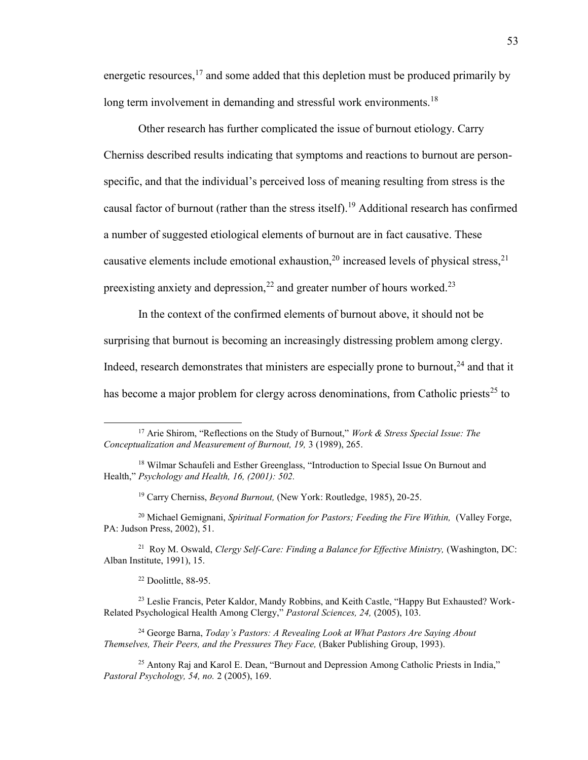energetic resources, $17$  and some added that this depletion must be produced primarily by long term involvement in demanding and stressful work environments.<sup>18</sup>

 Other research has further complicated the issue of burnout etiology. Carry Cherniss described results indicating that symptoms and reactions to burnout are personspecific, and that the individual's perceived loss of meaning resulting from stress is the causal factor of burnout (rather than the stress itself).<sup>19</sup> Additional research has confirmed a number of suggested etiological elements of burnout are in fact causative. These causative elements include emotional exhaustion,  $^{20}$  increased levels of physical stress,  $^{21}$ preexisting anxiety and depression,  $2<sup>2</sup>$  and greater number of hours worked.<sup>23</sup>

 In the context of the confirmed elements of burnout above, it should not be surprising that burnout is becoming an increasingly distressing problem among clergy. Indeed, research demonstrates that ministers are especially prone to burnout,  $24$  and that it has become a major problem for clergy across denominations, from Catholic priests<sup>25</sup> to

<sup>19</sup> Carry Cherniss, *Beyond Burnout,* (New York: Routledge, 1985), 20-25.

<sup>20</sup> Michael Gemignani, *Spiritual Formation for Pastors; Feeding the Fire Within, (Valley Forge,* PA: Judson Press, 2002), 51.

<sup>21</sup> Roy M. Oswald, *Clergy Self-Care: Finding a Balance for Effective Ministry*, (Washington, DC: Alban Institute, 1991), 15.

<sup>22</sup> Doolittle, 88-95.

 $\overline{\phantom{a}}$ 

<sup>23</sup> Leslie Francis, Peter Kaldor, Mandy Robbins, and Keith Castle, "Happy But Exhausted? Work-Related Psychological Health Among Clergy," *Pastoral Sciences, 24,* (2005), 103.

<sup>24</sup> George Barna, *Today's Pastors: A Revealing Look at What Pastors Are Saying About Themselves, Their Peers, and the Pressures They Face, (Baker Publishing Group, 1993).* 

<sup>25</sup> Antony Raj and Karol E. Dean, "Burnout and Depression Among Catholic Priests in India," *Pastoral Psychology, 54, no.* 2 (2005), 169.

<sup>17</sup> Arie Shirom, "Reflections on the Study of Burnout," *Work & Stress Special Issue: The Conceptualization and Measurement of Burnout, 19,* 3 (1989), 265.

<sup>&</sup>lt;sup>18</sup> Wilmar Schaufeli and Esther Greenglass, "Introduction to Special Issue On Burnout and Health," *Psychology and Health, 16, (2001): 502.*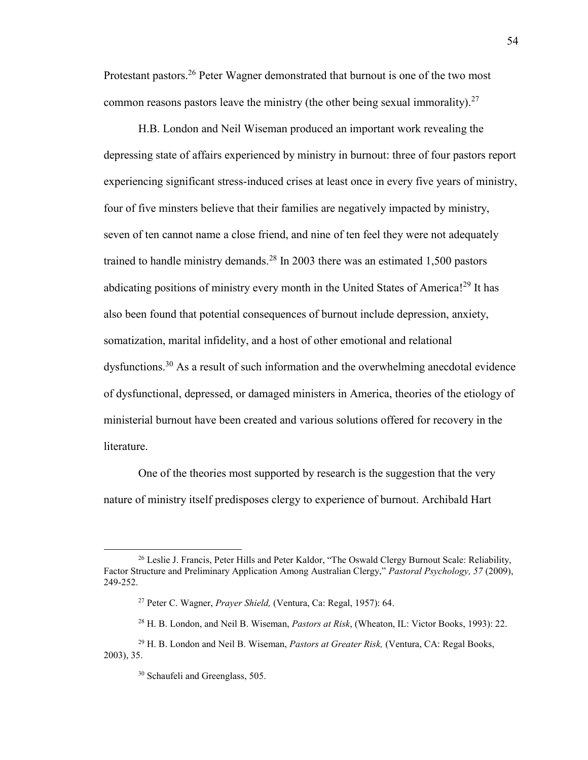Protestant pastors.<sup>26</sup> Peter Wagner demonstrated that burnout is one of the two most common reasons pastors leave the ministry (the other being sexual immorality).<sup>27</sup>

 H.B. London and Neil Wiseman produced an important work revealing the depressing state of affairs experienced by ministry in burnout: three of four pastors report experiencing significant stress-induced crises at least once in every five years of ministry, four of five minsters believe that their families are negatively impacted by ministry, seven of ten cannot name a close friend, and nine of ten feel they were not adequately trained to handle ministry demands.<sup>28</sup> In 2003 there was an estimated  $1,500$  pastors abdicating positions of ministry every month in the United States of America!<sup>29</sup> It has also been found that potential consequences of burnout include depression, anxiety, somatization, marital infidelity, and a host of other emotional and relational dysfunctions.<sup>30</sup> As a result of such information and the overwhelming anecdotal evidence of dysfunctional, depressed, or damaged ministers in America, theories of the etiology of ministerial burnout have been created and various solutions offered for recovery in the literature.

 One of the theories most supported by research is the suggestion that the very nature of ministry itself predisposes clergy to experience of burnout. Archibald Hart

<sup>&</sup>lt;sup>26</sup> Leslie J. Francis, Peter Hills and Peter Kaldor, "The Oswald Clergy Burnout Scale: Reliability, Factor Structure and Preliminary Application Among Australian Clergy," *Pastoral Psychology, 57* (2009), 249-252.

<sup>27</sup> Peter C. Wagner, *Prayer Shield,* (Ventura, Ca: Regal, 1957): 64.

<sup>28</sup> H. B. London, and Neil B. Wiseman, *Pastors at Risk*, (Wheaton, IL: Victor Books, 1993): 22.

<sup>29</sup> H. B. London and Neil B. Wiseman, *Pastors at Greater Risk,* (Ventura, CA: Regal Books, 2003), 35.

<sup>30</sup> Schaufeli and Greenglass, 505.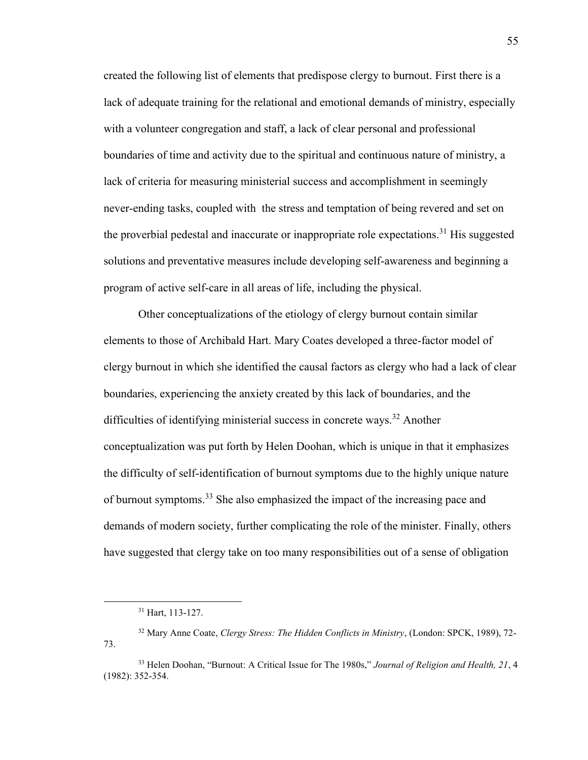created the following list of elements that predispose clergy to burnout. First there is a lack of adequate training for the relational and emotional demands of ministry, especially with a volunteer congregation and staff, a lack of clear personal and professional boundaries of time and activity due to the spiritual and continuous nature of ministry, a lack of criteria for measuring ministerial success and accomplishment in seemingly never-ending tasks, coupled with the stress and temptation of being revered and set on the proverbial pedestal and inaccurate or inappropriate role expectations.<sup>31</sup> His suggested solutions and preventative measures include developing self-awareness and beginning a program of active self-care in all areas of life, including the physical.

 Other conceptualizations of the etiology of clergy burnout contain similar elements to those of Archibald Hart. Mary Coates developed a three-factor model of clergy burnout in which she identified the causal factors as clergy who had a lack of clear boundaries, experiencing the anxiety created by this lack of boundaries, and the difficulties of identifying ministerial success in concrete ways.<sup>32</sup> Another conceptualization was put forth by Helen Doohan, which is unique in that it emphasizes the difficulty of self-identification of burnout symptoms due to the highly unique nature of burnout symptoms.<sup>33</sup> She also emphasized the impact of the increasing pace and demands of modern society, further complicating the role of the minister. Finally, others have suggested that clergy take on too many responsibilities out of a sense of obligation

 $\overline{a}$ 

<sup>31</sup> Hart, 113-127.

<sup>32</sup> Mary Anne Coate, *Clergy Stress: The Hidden Conflicts in Ministry*, (London: SPCK, 1989), 72- 73.

<sup>33</sup> Helen Doohan, "Burnout: A Critical Issue for The 1980s," *Journal of Religion and Health, 21*, 4 (1982): 352-354.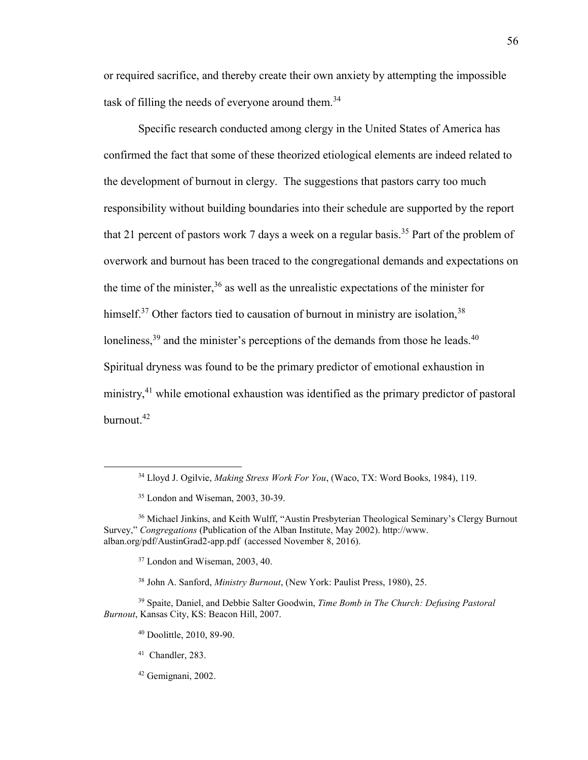or required sacrifice, and thereby create their own anxiety by attempting the impossible task of filling the needs of everyone around them.<sup>34</sup>

 Specific research conducted among clergy in the United States of America has confirmed the fact that some of these theorized etiological elements are indeed related to the development of burnout in clergy. The suggestions that pastors carry too much responsibility without building boundaries into their schedule are supported by the report that 21 percent of pastors work 7 days a week on a regular basis.<sup>35</sup> Part of the problem of overwork and burnout has been traced to the congregational demands and expectations on the time of the minister,  $36$  as well as the unrealistic expectations of the minister for himself.<sup>37</sup> Other factors tied to causation of burnout in ministry are isolation,  $38$ loneliness,  $39$  and the minister's perceptions of the demands from those he leads.  $40$ Spiritual dryness was found to be the primary predictor of emotional exhaustion in ministry,<sup>41</sup> while emotional exhaustion was identified as the primary predictor of pastoral burnout.<sup>42</sup>

<sup>41</sup> Chandler, 283.

 $\overline{a}$ 

<sup>34</sup> Lloyd J. Ogilvie, *Making Stress Work For You*, (Waco, TX: Word Books, 1984), 119.

<sup>35</sup> London and Wiseman, 2003, 30-39.

<sup>&</sup>lt;sup>36</sup> Michael Jinkins, and Keith Wulff, "Austin Presbyterian Theological Seminary's Clergy Burnout Survey," *Congregations* (Publication of the Alban Institute, May 2002). http://www. alban.org/pdf/AustinGrad2-app.pdf (accessed November 8, 2016).

<sup>&</sup>lt;sup>37</sup> London and Wiseman, 2003, 40.

<sup>38</sup> John A. Sanford, *Ministry Burnout*, (New York: Paulist Press, 1980), 25.

<sup>39</sup> Spaite, Daniel, and Debbie Salter Goodwin, *Time Bomb in The Church: Defusing Pastoral Burnout*, Kansas City, KS: Beacon Hill, 2007.

<sup>40</sup> Doolittle, 2010, 89-90.

<sup>42</sup> Gemignani, 2002.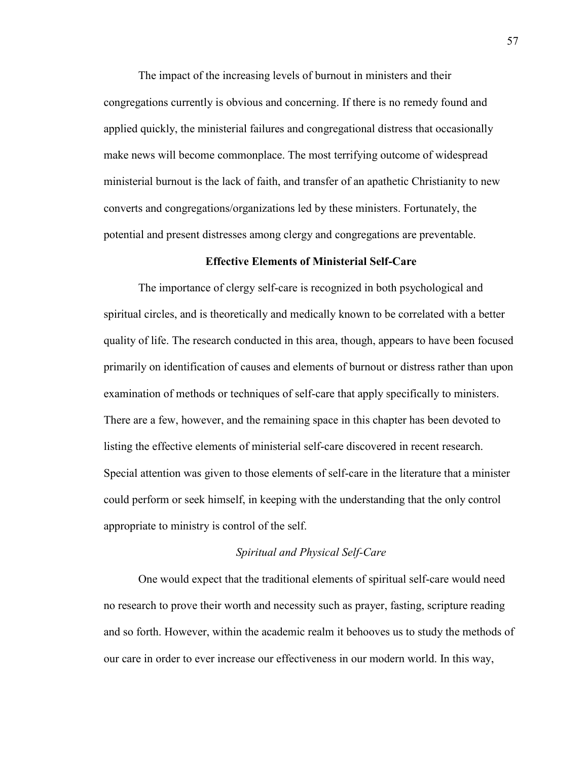The impact of the increasing levels of burnout in ministers and their congregations currently is obvious and concerning. If there is no remedy found and applied quickly, the ministerial failures and congregational distress that occasionally make news will become commonplace. The most terrifying outcome of widespread ministerial burnout is the lack of faith, and transfer of an apathetic Christianity to new converts and congregations/organizations led by these ministers. Fortunately, the potential and present distresses among clergy and congregations are preventable.

## **Effective Elements of Ministerial Self-Care**

 The importance of clergy self-care is recognized in both psychological and spiritual circles, and is theoretically and medically known to be correlated with a better quality of life. The research conducted in this area, though, appears to have been focused primarily on identification of causes and elements of burnout or distress rather than upon examination of methods or techniques of self-care that apply specifically to ministers. There are a few, however, and the remaining space in this chapter has been devoted to listing the effective elements of ministerial self-care discovered in recent research. Special attention was given to those elements of self-care in the literature that a minister could perform or seek himself, in keeping with the understanding that the only control appropriate to ministry is control of the self.

#### *Spiritual and Physical Self-Care*

 One would expect that the traditional elements of spiritual self-care would need no research to prove their worth and necessity such as prayer, fasting, scripture reading and so forth. However, within the academic realm it behooves us to study the methods of our care in order to ever increase our effectiveness in our modern world. In this way,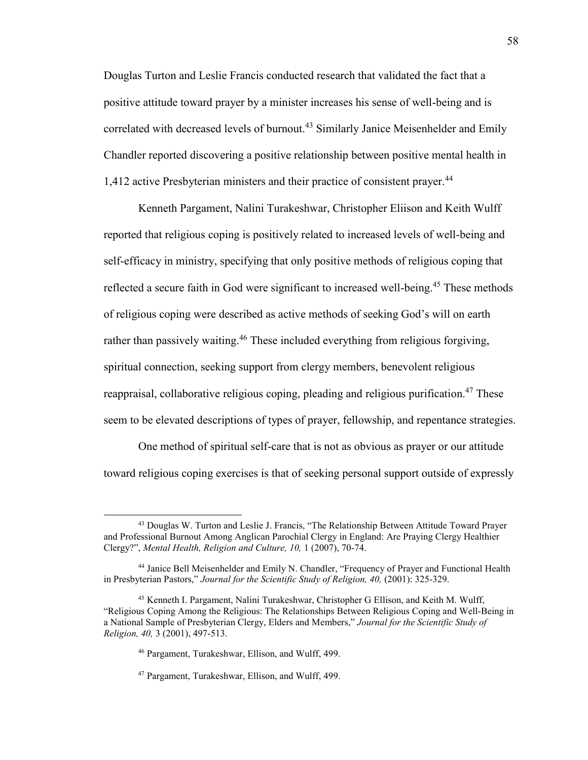Douglas Turton and Leslie Francis conducted research that validated the fact that a positive attitude toward prayer by a minister increases his sense of well-being and is correlated with decreased levels of burnout.<sup>43</sup> Similarly Janice Meisenhelder and Emily Chandler reported discovering a positive relationship between positive mental health in 1,412 active Presbyterian ministers and their practice of consistent prayer.<sup>44</sup>

 Kenneth Pargament, Nalini Turakeshwar, Christopher Eliison and Keith Wulff reported that religious coping is positively related to increased levels of well-being and self-efficacy in ministry, specifying that only positive methods of religious coping that reflected a secure faith in God were significant to increased well-being.<sup>45</sup> These methods of religious coping were described as active methods of seeking God's will on earth rather than passively waiting.<sup>46</sup> These included everything from religious forgiving, spiritual connection, seeking support from clergy members, benevolent religious reappraisal, collaborative religious coping, pleading and religious purification.<sup>47</sup> These seem to be elevated descriptions of types of prayer, fellowship, and repentance strategies.

 One method of spiritual self-care that is not as obvious as prayer or our attitude toward religious coping exercises is that of seeking personal support outside of expressly

<sup>43</sup> Douglas W. Turton and Leslie J. Francis, "The Relationship Between Attitude Toward Prayer and Professional Burnout Among Anglican Parochial Clergy in England: Are Praying Clergy Healthier Clergy?", *Mental Health, Religion and Culture, 10,* 1 (2007), 70-74.

<sup>44</sup> Janice Bell Meisenhelder and Emily N. Chandler, "Frequency of Prayer and Functional Health in Presbyterian Pastors," *Journal for the Scientific Study of Religion, 40,* (2001): 325-329.

<sup>45</sup> Kenneth I. Pargament, Nalini Turakeshwar, Christopher G Ellison, and Keith M. Wulff, "Religious Coping Among the Religious: The Relationships Between Religious Coping and Well-Being in a National Sample of Presbyterian Clergy, Elders and Members," *Journal for the Scientific Study of Religion, 40,* 3 (2001), 497-513.

<sup>46</sup> Pargament, Turakeshwar, Ellison, and Wulff, 499.

<sup>47</sup> Pargament, Turakeshwar, Ellison, and Wulff, 499.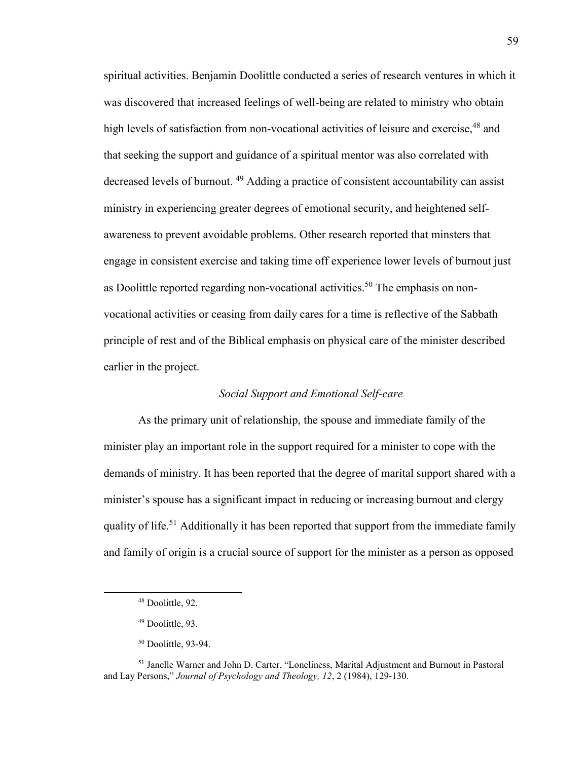spiritual activities. Benjamin Doolittle conducted a series of research ventures in which it was discovered that increased feelings of well-being are related to ministry who obtain high levels of satisfaction from non-vocational activities of leisure and exercise.<sup>48</sup> and that seeking the support and guidance of a spiritual mentor was also correlated with decreased levels of burnout. <sup>49</sup> Adding a practice of consistent accountability can assist ministry in experiencing greater degrees of emotional security, and heightened selfawareness to prevent avoidable problems. Other research reported that minsters that engage in consistent exercise and taking time off experience lower levels of burnout just as Doolittle reported regarding non-vocational activities.<sup>50</sup> The emphasis on nonvocational activities or ceasing from daily cares for a time is reflective of the Sabbath principle of rest and of the Biblical emphasis on physical care of the minister described earlier in the project.

## *Social Support and Emotional Self-care*

 As the primary unit of relationship, the spouse and immediate family of the minister play an important role in the support required for a minister to cope with the demands of ministry. It has been reported that the degree of marital support shared with a minister's spouse has a significant impact in reducing or increasing burnout and clergy quality of life.<sup>51</sup> Additionally it has been reported that support from the immediate family and family of origin is a crucial source of support for the minister as a person as opposed

<sup>48</sup> Doolittle, 92.

<sup>49</sup> Doolittle, 93.

<sup>50</sup> Doolittle, 93-94.

<sup>51</sup> Janelle Warner and John D. Carter, "Loneliness, Marital Adjustment and Burnout in Pastoral and Lay Persons," *Journal of Psychology and Theology, 12*, 2 (1984), 129-130.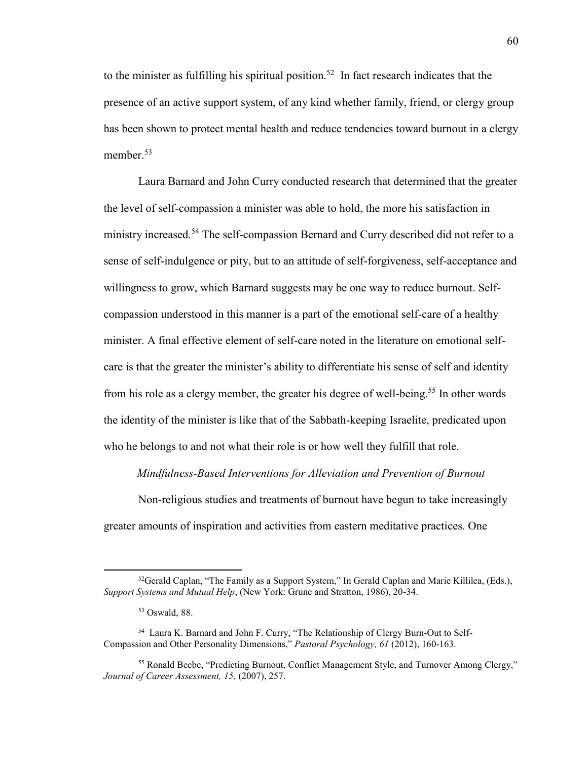to the minister as fulfilling his spiritual position.<sup>52</sup> In fact research indicates that the presence of an active support system, of any kind whether family, friend, or clergy group has been shown to protect mental health and reduce tendencies toward burnout in a clergy member  $53$ 

 Laura Barnard and John Curry conducted research that determined that the greater the level of self-compassion a minister was able to hold, the more his satisfaction in ministry increased.<sup>54</sup> The self-compassion Bernard and Curry described did not refer to a sense of self-indulgence or pity, but to an attitude of self-forgiveness, self-acceptance and willingness to grow, which Barnard suggests may be one way to reduce burnout. Selfcompassion understood in this manner is a part of the emotional self-care of a healthy minister. A final effective element of self-care noted in the literature on emotional selfcare is that the greater the minister's ability to differentiate his sense of self and identity from his role as a clergy member, the greater his degree of well-being.<sup>55</sup> In other words the identity of the minister is like that of the Sabbath-keeping Israelite, predicated upon who he belongs to and not what their role is or how well they fulfill that role.

*Mindfulness-Based Interventions for Alleviation and Prevention of Burnout* 

 Non-religious studies and treatments of burnout have begun to take increasingly greater amounts of inspiration and activities from eastern meditative practices. One

<sup>&</sup>lt;sup>52</sup>Gerald Caplan, "The Family as a Support System," In Gerald Caplan and Marie Killilea, (Eds.), *Support Systems and Mutual Help*, (New York: Grune and Stratton, 1986), 20-34.

<sup>53</sup> Oswald, 88.

<sup>54</sup> Laura K. Barnard and John F. Curry, "The Relationship of Clergy Burn-Out to Self-Compassion and Other Personality Dimensions," *Pastoral Psychology, 61* (2012), 160-163.

<sup>55</sup> Ronald Beebe, "Predicting Burnout, Conflict Management Style, and Turnover Among Clergy," *Journal of Career Assessment, 15,* (2007), 257.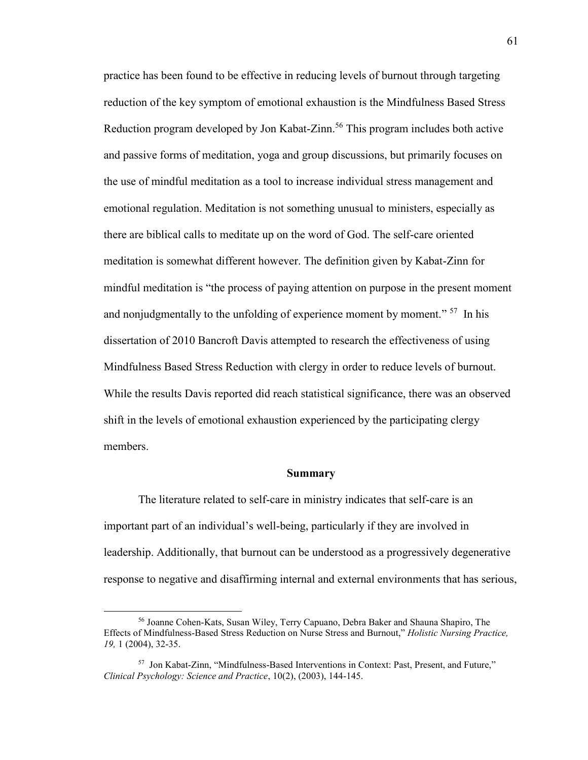practice has been found to be effective in reducing levels of burnout through targeting reduction of the key symptom of emotional exhaustion is the Mindfulness Based Stress Reduction program developed by Jon Kabat-Zinn.<sup>56</sup> This program includes both active and passive forms of meditation, yoga and group discussions, but primarily focuses on the use of mindful meditation as a tool to increase individual stress management and emotional regulation. Meditation is not something unusual to ministers, especially as there are biblical calls to meditate up on the word of God. The self-care oriented meditation is somewhat different however. The definition given by Kabat-Zinn for mindful meditation is "the process of paying attention on purpose in the present moment and nonjudgmentally to the unfolding of experience moment by moment."  $57$  In his dissertation of 2010 Bancroft Davis attempted to research the effectiveness of using Mindfulness Based Stress Reduction with clergy in order to reduce levels of burnout. While the results Davis reported did reach statistical significance, there was an observed shift in the levels of emotional exhaustion experienced by the participating clergy members.

#### **Summary**

 The literature related to self-care in ministry indicates that self-care is an important part of an individual's well-being, particularly if they are involved in leadership. Additionally, that burnout can be understood as a progressively degenerative response to negative and disaffirming internal and external environments that has serious,

<sup>56</sup> Joanne Cohen-Kats, Susan Wiley, Terry Capuano, Debra Baker and Shauna Shapiro, The Effects of Mindfulness-Based Stress Reduction on Nurse Stress and Burnout," *Holistic Nursing Practice, 19,* 1 (2004), 32-35.

<sup>57</sup> Jon Kabat-Zinn, "Mindfulness-Based Interventions in Context: Past, Present, and Future," *Clinical Psychology: Science and Practice*, 10(2), (2003), 144-145.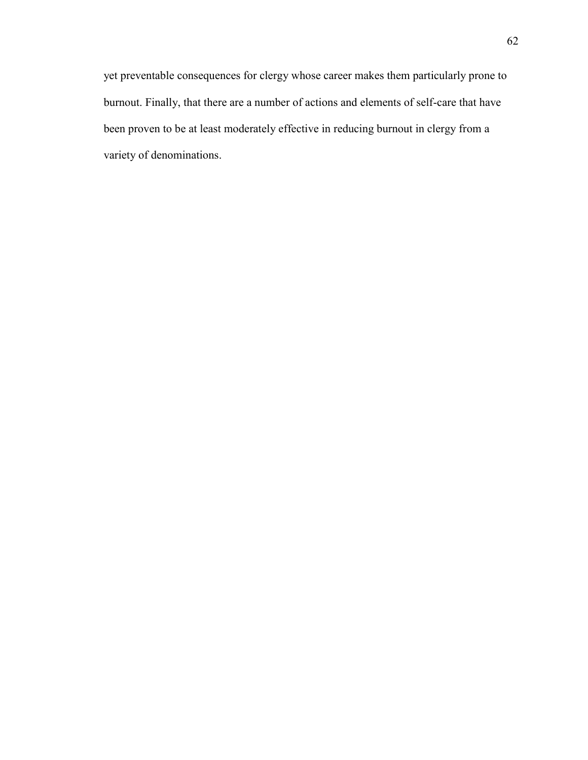yet preventable consequences for clergy whose career makes them particularly prone to burnout. Finally, that there are a number of actions and elements of self-care that have been proven to be at least moderately effective in reducing burnout in clergy from a variety of denominations.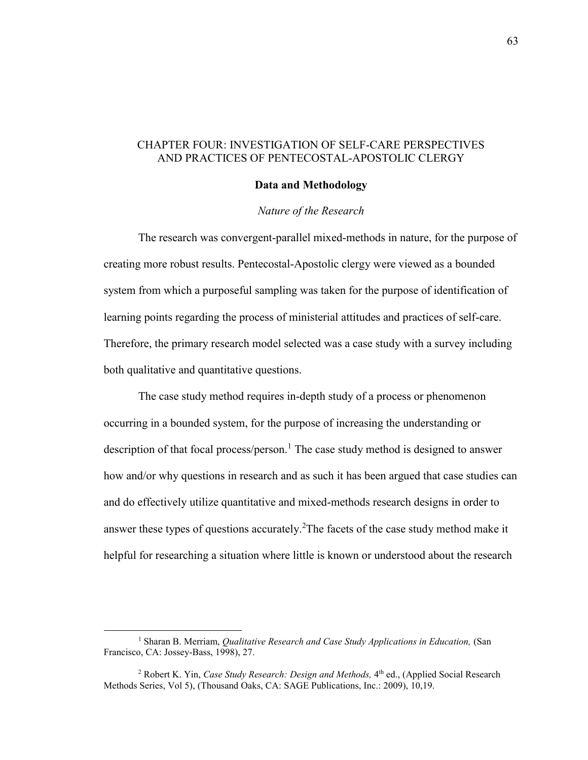# CHAPTER FOUR: INVESTIGATION OF SELF-CARE PERSPECTIVES AND PRACTICES OF PENTECOSTAL-APOSTOLIC CLERGY

#### **Data and Methodology**

## *Nature of the Research*

 The research was convergent-parallel mixed-methods in nature, for the purpose of creating more robust results. Pentecostal-Apostolic clergy were viewed as a bounded system from which a purposeful sampling was taken for the purpose of identification of learning points regarding the process of ministerial attitudes and practices of self-care. Therefore, the primary research model selected was a case study with a survey including both qualitative and quantitative questions.

 The case study method requires in-depth study of a process or phenomenon occurring in a bounded system, for the purpose of increasing the understanding or description of that focal process/person.<sup>1</sup> The case study method is designed to answer how and/or why questions in research and as such it has been argued that case studies can and do effectively utilize quantitative and mixed-methods research designs in order to answer these types of questions accurately.<sup>2</sup>The facets of the case study method make it helpful for researching a situation where little is known or understood about the research

 $\overline{a}$ 

<sup>&</sup>lt;sup>1</sup> Sharan B. Merriam, *Qualitative Research and Case Study Applications in Education*, (San Francisco, CA: Jossey-Bass, 1998), 27.

<sup>&</sup>lt;sup>2</sup> Robert K. Yin, *Case Study Research: Design and Methods*, 4<sup>th</sup> ed., (Applied Social Research Methods Series, Vol 5), (Thousand Oaks, CA: SAGE Publications, Inc.: 2009), 10,19.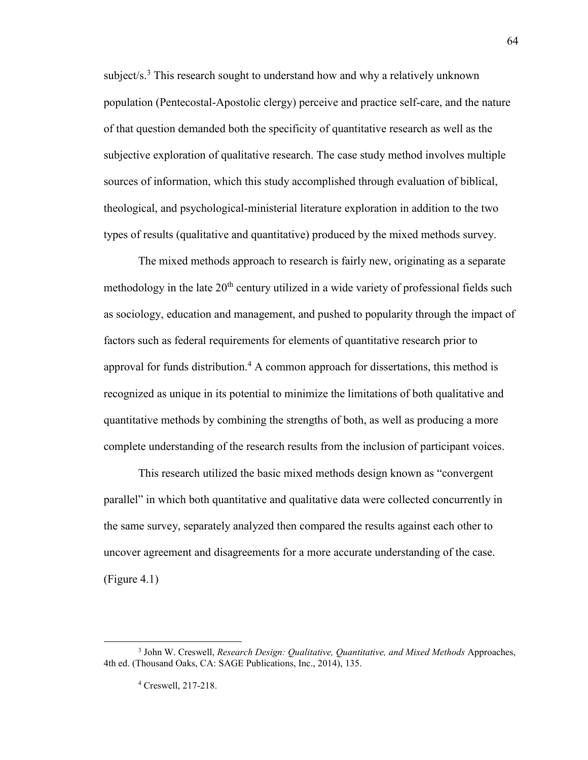subject/s.<sup>3</sup> This research sought to understand how and why a relatively unknown population (Pentecostal-Apostolic clergy) perceive and practice self-care, and the nature of that question demanded both the specificity of quantitative research as well as the subjective exploration of qualitative research. The case study method involves multiple sources of information, which this study accomplished through evaluation of biblical, theological, and psychological-ministerial literature exploration in addition to the two types of results (qualitative and quantitative) produced by the mixed methods survey.

 The mixed methods approach to research is fairly new, originating as a separate methodology in the late  $20<sup>th</sup>$  century utilized in a wide variety of professional fields such as sociology, education and management, and pushed to popularity through the impact of factors such as federal requirements for elements of quantitative research prior to approval for funds distribution.<sup>4</sup> A common approach for dissertations, this method is recognized as unique in its potential to minimize the limitations of both qualitative and quantitative methods by combining the strengths of both, as well as producing a more complete understanding of the research results from the inclusion of participant voices.

 This research utilized the basic mixed methods design known as "convergent parallel" in which both quantitative and qualitative data were collected concurrently in the same survey, separately analyzed then compared the results against each other to uncover agreement and disagreements for a more accurate understanding of the case. (Figure 4.1)

<sup>3</sup> John W. Creswell, *Research Design: Qualitative, Quantitative, and Mixed Methods* Approaches, 4th ed. (Thousand Oaks, CA: SAGE Publications, Inc., 2014), 135.

<sup>4</sup> Creswell, 217-218.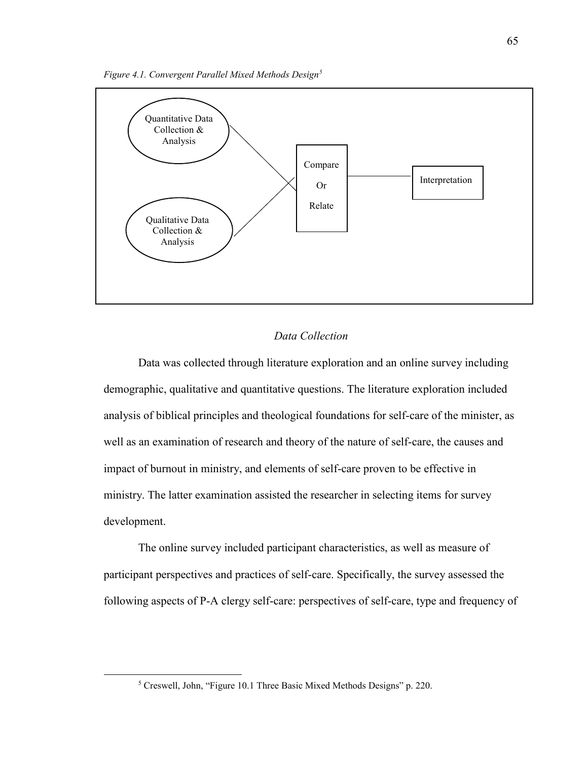

## *Data Collection*

 Data was collected through literature exploration and an online survey including demographic, qualitative and quantitative questions. The literature exploration included analysis of biblical principles and theological foundations for self-care of the minister, as well as an examination of research and theory of the nature of self-care, the causes and impact of burnout in ministry, and elements of self-care proven to be effective in ministry. The latter examination assisted the researcher in selecting items for survey development.

 The online survey included participant characteristics, as well as measure of participant perspectives and practices of self-care. Specifically, the survey assessed the following aspects of P-A clergy self-care: perspectives of self-care, type and frequency of

<sup>&</sup>lt;sup>5</sup> Creswell, John, "Figure 10.1 Three Basic Mixed Methods Designs" p. 220.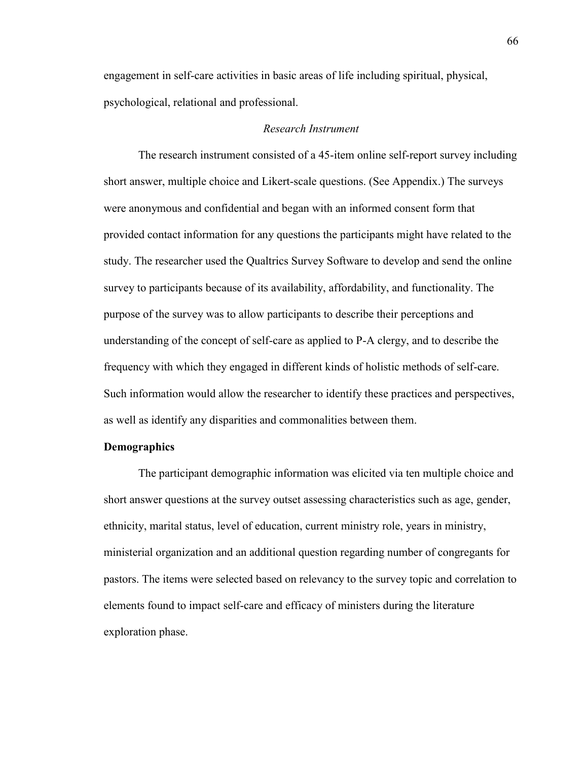engagement in self-care activities in basic areas of life including spiritual, physical, psychological, relational and professional.

## *Research Instrument*

The research instrument consisted of a 45-item online self-report survey including short answer, multiple choice and Likert-scale questions. (See Appendix.) The surveys were anonymous and confidential and began with an informed consent form that provided contact information for any questions the participants might have related to the study. The researcher used the Qualtrics Survey Software to develop and send the online survey to participants because of its availability, affordability, and functionality. The purpose of the survey was to allow participants to describe their perceptions and understanding of the concept of self-care as applied to P-A clergy, and to describe the frequency with which they engaged in different kinds of holistic methods of self-care. Such information would allow the researcher to identify these practices and perspectives, as well as identify any disparities and commonalities between them.

## **Demographics**

The participant demographic information was elicited via ten multiple choice and short answer questions at the survey outset assessing characteristics such as age, gender, ethnicity, marital status, level of education, current ministry role, years in ministry, ministerial organization and an additional question regarding number of congregants for pastors. The items were selected based on relevancy to the survey topic and correlation to elements found to impact self-care and efficacy of ministers during the literature exploration phase.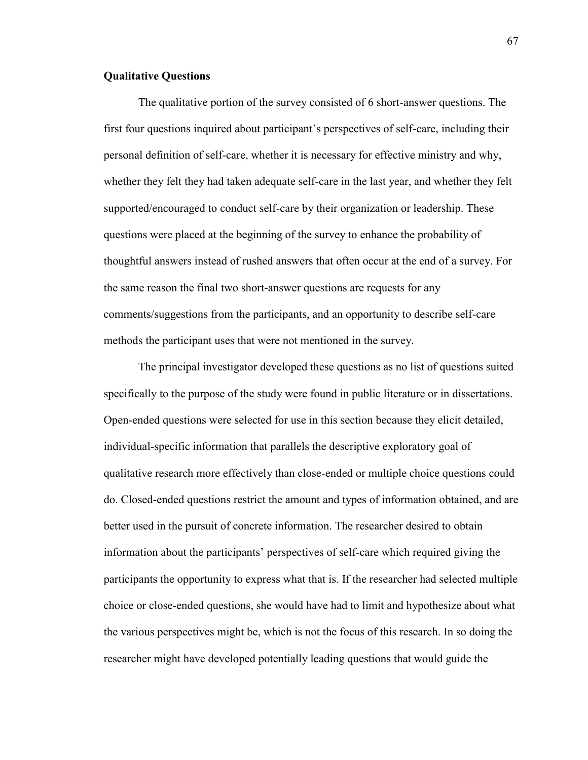## **Qualitative Questions**

 The qualitative portion of the survey consisted of 6 short-answer questions. The first four questions inquired about participant's perspectives of self-care, including their personal definition of self-care, whether it is necessary for effective ministry and why, whether they felt they had taken adequate self-care in the last year, and whether they felt supported/encouraged to conduct self-care by their organization or leadership. These questions were placed at the beginning of the survey to enhance the probability of thoughtful answers instead of rushed answers that often occur at the end of a survey. For the same reason the final two short-answer questions are requests for any comments/suggestions from the participants, and an opportunity to describe self-care methods the participant uses that were not mentioned in the survey.

The principal investigator developed these questions as no list of questions suited specifically to the purpose of the study were found in public literature or in dissertations. Open-ended questions were selected for use in this section because they elicit detailed, individual-specific information that parallels the descriptive exploratory goal of qualitative research more effectively than close-ended or multiple choice questions could do. Closed-ended questions restrict the amount and types of information obtained, and are better used in the pursuit of concrete information. The researcher desired to obtain information about the participants' perspectives of self-care which required giving the participants the opportunity to express what that is. If the researcher had selected multiple choice or close-ended questions, she would have had to limit and hypothesize about what the various perspectives might be, which is not the focus of this research. In so doing the researcher might have developed potentially leading questions that would guide the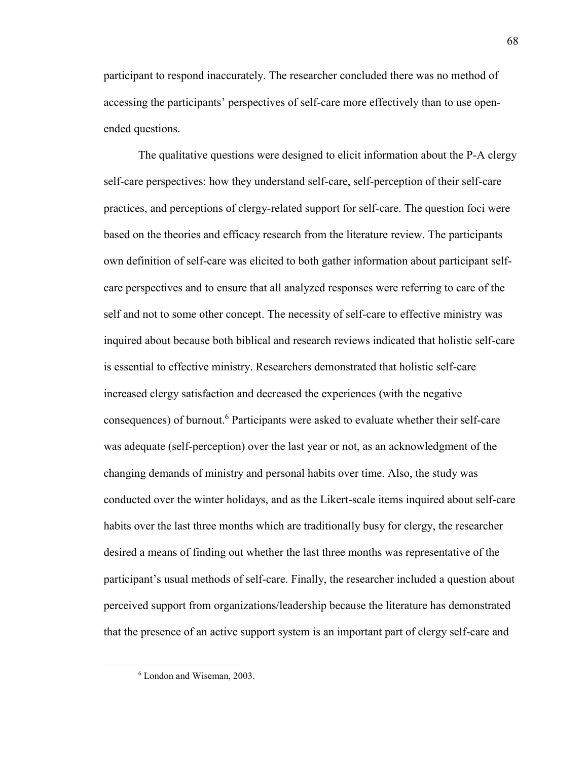participant to respond inaccurately. The researcher concluded there was no method of accessing the participants' perspectives of self-care more effectively than to use openended questions.

The qualitative questions were designed to elicit information about the P-A clergy self-care perspectives: how they understand self-care, self-perception of their self-care practices, and perceptions of clergy-related support for self-care. The question foci were based on the theories and efficacy research from the literature review. The participants own definition of self-care was elicited to both gather information about participant selfcare perspectives and to ensure that all analyzed responses were referring to care of the self and not to some other concept. The necessity of self-care to effective ministry was inquired about because both biblical and research reviews indicated that holistic self-care is essential to effective ministry. Researchers demonstrated that holistic self-care increased clergy satisfaction and decreased the experiences (with the negative consequences) of burnout.<sup>6</sup> Participants were asked to evaluate whether their self-care was adequate (self-perception) over the last year or not, as an acknowledgment of the changing demands of ministry and personal habits over time. Also, the study was conducted over the winter holidays, and as the Likert-scale items inquired about self-care habits over the last three months which are traditionally busy for clergy, the researcher desired a means of finding out whether the last three months was representative of the participant's usual methods of self-care. Finally, the researcher included a question about perceived support from organizations/leadership because the literature has demonstrated that the presence of an active support system is an important part of clergy self-care and

 $\overline{a}$ 

<sup>6</sup> London and Wiseman, 2003.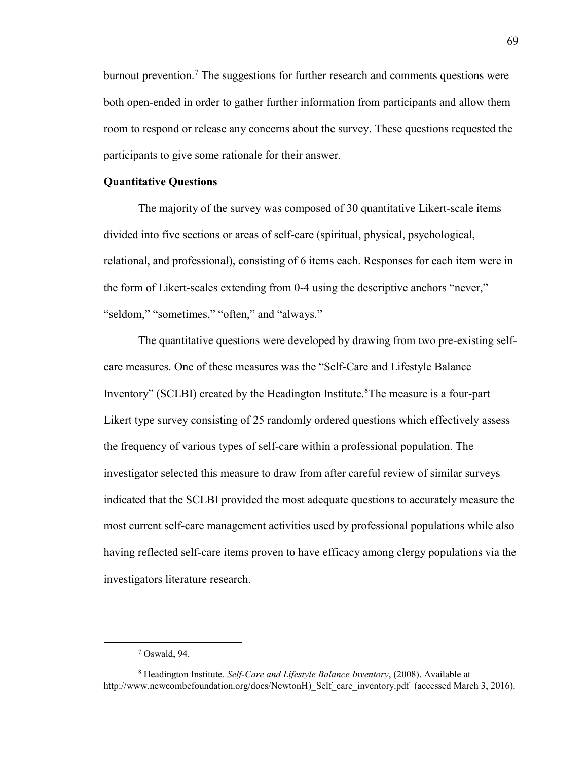burnout prevention.<sup>7</sup> The suggestions for further research and comments questions were both open-ended in order to gather further information from participants and allow them room to respond or release any concerns about the survey. These questions requested the participants to give some rationale for their answer.

#### **Quantitative Questions**

The majority of the survey was composed of 30 quantitative Likert-scale items divided into five sections or areas of self-care (spiritual, physical, psychological, relational, and professional), consisting of 6 items each. Responses for each item were in the form of Likert-scales extending from 0-4 using the descriptive anchors "never," "seldom," "sometimes," "often," and "always."

The quantitative questions were developed by drawing from two pre-existing selfcare measures. One of these measures was the "Self-Care and Lifestyle Balance Inventory" (SCLBI) created by the Headington Institute.<sup>8</sup>The measure is a four-part Likert type survey consisting of 25 randomly ordered questions which effectively assess the frequency of various types of self-care within a professional population. The investigator selected this measure to draw from after careful review of similar surveys indicated that the SCLBI provided the most adequate questions to accurately measure the most current self-care management activities used by professional populations while also having reflected self-care items proven to have efficacy among clergy populations via the investigators literature research.

<sup>7</sup> Oswald, 94.

<sup>8</sup> Headington Institute. *Self-Care and Lifestyle Balance Inventory*, (2008). Available at http://www.newcombefoundation.org/docs/NewtonH) Self care inventory.pdf (accessed March 3, 2016).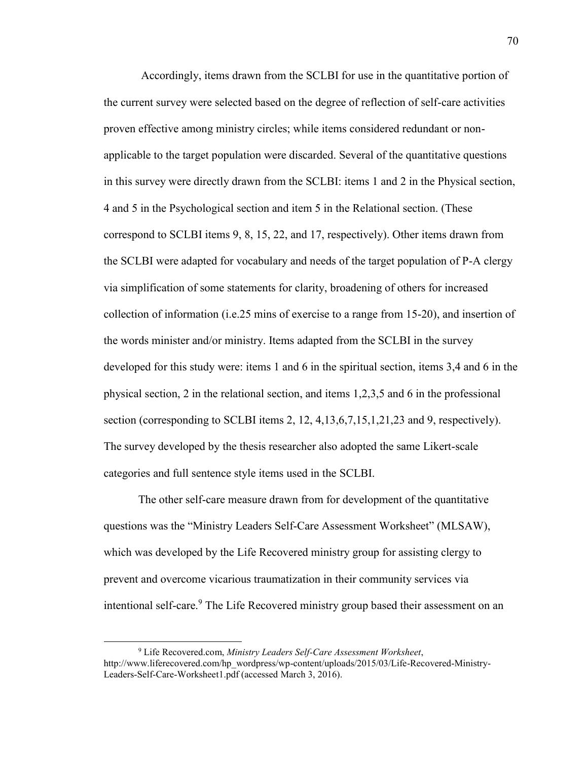Accordingly, items drawn from the SCLBI for use in the quantitative portion of the current survey were selected based on the degree of reflection of self-care activities proven effective among ministry circles; while items considered redundant or nonapplicable to the target population were discarded. Several of the quantitative questions in this survey were directly drawn from the SCLBI: items 1 and 2 in the Physical section, 4 and 5 in the Psychological section and item 5 in the Relational section. (These correspond to SCLBI items 9, 8, 15, 22, and 17, respectively). Other items drawn from the SCLBI were adapted for vocabulary and needs of the target population of P-A clergy via simplification of some statements for clarity, broadening of others for increased collection of information (i.e.25 mins of exercise to a range from 15-20), and insertion of the words minister and/or ministry. Items adapted from the SCLBI in the survey developed for this study were: items 1 and 6 in the spiritual section, items 3,4 and 6 in the physical section, 2 in the relational section, and items 1,2,3,5 and 6 in the professional section (corresponding to SCLBI items 2, 12, 4,13,6,7,15,1,21,23 and 9, respectively). The survey developed by the thesis researcher also adopted the same Likert-scale categories and full sentence style items used in the SCLBI.

The other self-care measure drawn from for development of the quantitative questions was the "Ministry Leaders Self-Care Assessment Worksheet" (MLSAW), which was developed by the Life Recovered ministry group for assisting clergy to prevent and overcome vicarious traumatization in their community services via intentional self-care.<sup>9</sup> The Life Recovered ministry group based their assessment on an

<sup>9</sup> Life Recovered.com, *Ministry Leaders Self-Care Assessment Worksheet*, http://www.liferecovered.com/hp\_wordpress/wp-content/uploads/2015/03/Life-Recovered-Ministry-Leaders-Self-Care-Worksheet1.pdf (accessed March 3, 2016).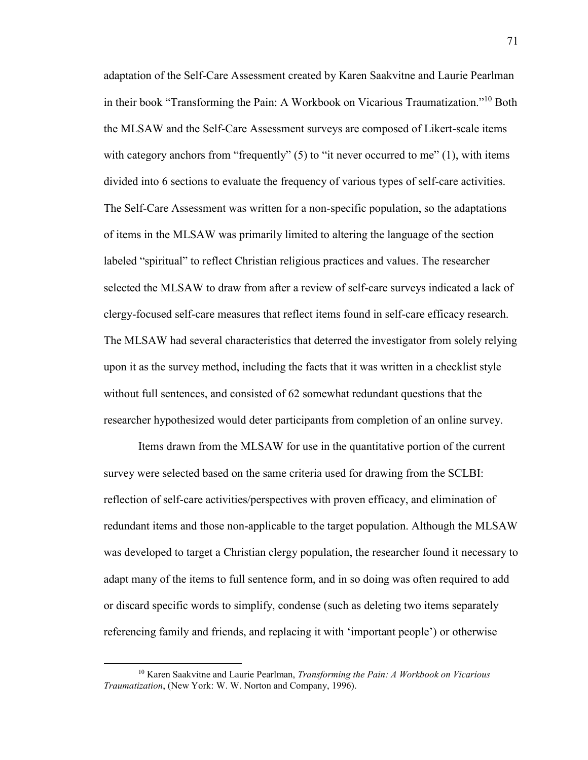adaptation of the Self-Care Assessment created by Karen Saakvitne and Laurie Pearlman in their book "Transforming the Pain: A Workbook on Vicarious Traumatization."<sup>10</sup> Both the MLSAW and the Self-Care Assessment surveys are composed of Likert-scale items with category anchors from "frequently"  $(5)$  to "it never occurred to me"  $(1)$ , with items divided into 6 sections to evaluate the frequency of various types of self-care activities. The Self-Care Assessment was written for a non-specific population, so the adaptations of items in the MLSAW was primarily limited to altering the language of the section labeled "spiritual" to reflect Christian religious practices and values. The researcher selected the MLSAW to draw from after a review of self-care surveys indicated a lack of clergy-focused self-care measures that reflect items found in self-care efficacy research. The MLSAW had several characteristics that deterred the investigator from solely relying upon it as the survey method, including the facts that it was written in a checklist style without full sentences, and consisted of 62 somewhat redundant questions that the researcher hypothesized would deter participants from completion of an online survey.

Items drawn from the MLSAW for use in the quantitative portion of the current survey were selected based on the same criteria used for drawing from the SCLBI: reflection of self-care activities/perspectives with proven efficacy, and elimination of redundant items and those non-applicable to the target population. Although the MLSAW was developed to target a Christian clergy population, the researcher found it necessary to adapt many of the items to full sentence form, and in so doing was often required to add or discard specific words to simplify, condense (such as deleting two items separately referencing family and friends, and replacing it with 'important people') or otherwise

 $\overline{\phantom{a}}$ 

<sup>10</sup> Karen Saakvitne and Laurie Pearlman, *Transforming the Pain: A Workbook on Vicarious Traumatization*, (New York: W. W. Norton and Company, 1996).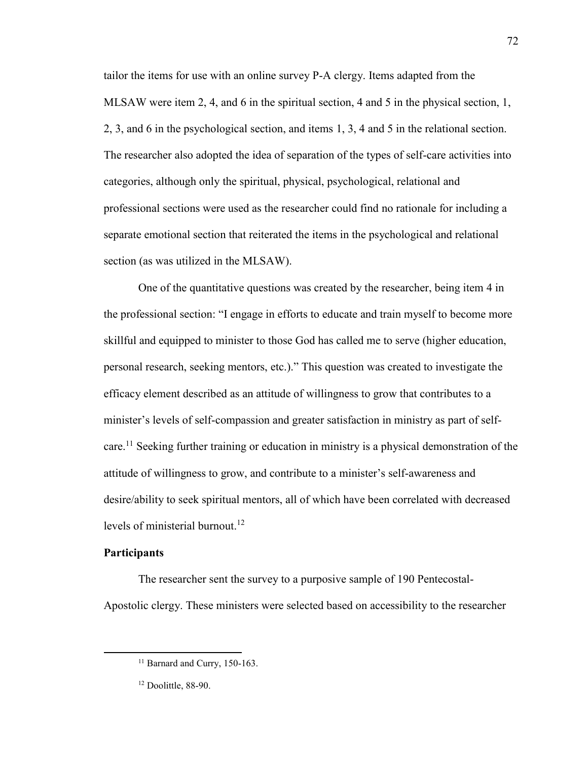tailor the items for use with an online survey P-A clergy. Items adapted from the MLSAW were item 2, 4, and 6 in the spiritual section, 4 and 5 in the physical section, 1, 2, 3, and 6 in the psychological section, and items 1, 3, 4 and 5 in the relational section. The researcher also adopted the idea of separation of the types of self-care activities into categories, although only the spiritual, physical, psychological, relational and professional sections were used as the researcher could find no rationale for including a separate emotional section that reiterated the items in the psychological and relational section (as was utilized in the MLSAW).

 One of the quantitative questions was created by the researcher, being item 4 in the professional section: "I engage in efforts to educate and train myself to become more skillful and equipped to minister to those God has called me to serve (higher education, personal research, seeking mentors, etc.)." This question was created to investigate the efficacy element described as an attitude of willingness to grow that contributes to a minister's levels of self-compassion and greater satisfaction in ministry as part of selfcare.<sup>11</sup> Seeking further training or education in ministry is a physical demonstration of the attitude of willingness to grow, and contribute to a minister's self-awareness and desire/ability to seek spiritual mentors, all of which have been correlated with decreased levels of ministerial burnout.<sup>12</sup>

# **Participants**

 $\overline{\phantom{a}}$ 

 The researcher sent the survey to a purposive sample of 190 Pentecostal-Apostolic clergy. These ministers were selected based on accessibility to the researcher

72

<sup>&</sup>lt;sup>11</sup> Barnard and Curry, 150-163.

 $12$  Doolittle, 88-90.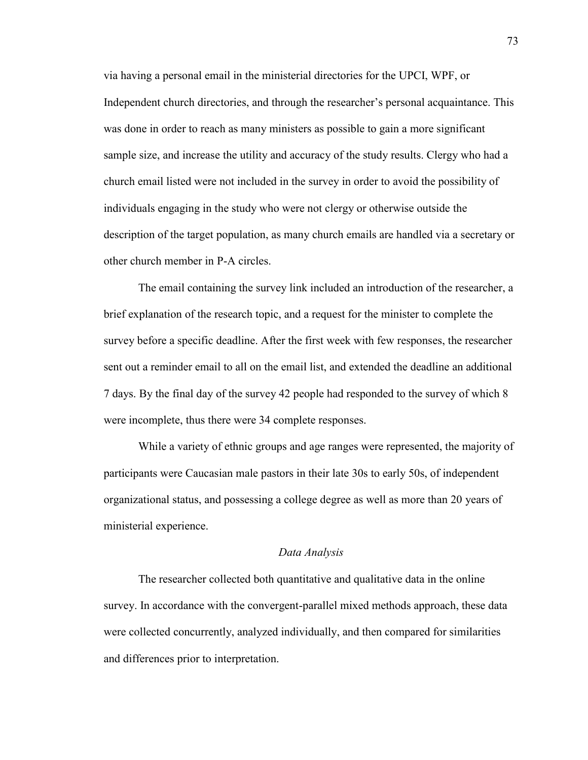via having a personal email in the ministerial directories for the UPCI, WPF, or Independent church directories, and through the researcher's personal acquaintance. This was done in order to reach as many ministers as possible to gain a more significant sample size, and increase the utility and accuracy of the study results. Clergy who had a church email listed were not included in the survey in order to avoid the possibility of individuals engaging in the study who were not clergy or otherwise outside the description of the target population, as many church emails are handled via a secretary or other church member in P-A circles.

The email containing the survey link included an introduction of the researcher, a brief explanation of the research topic, and a request for the minister to complete the survey before a specific deadline. After the first week with few responses, the researcher sent out a reminder email to all on the email list, and extended the deadline an additional 7 days. By the final day of the survey 42 people had responded to the survey of which 8 were incomplete, thus there were 34 complete responses.

 While a variety of ethnic groups and age ranges were represented, the majority of participants were Caucasian male pastors in their late 30s to early 50s, of independent organizational status, and possessing a college degree as well as more than 20 years of ministerial experience.

#### *Data Analysis*

 The researcher collected both quantitative and qualitative data in the online survey. In accordance with the convergent-parallel mixed methods approach, these data were collected concurrently, analyzed individually, and then compared for similarities and differences prior to interpretation.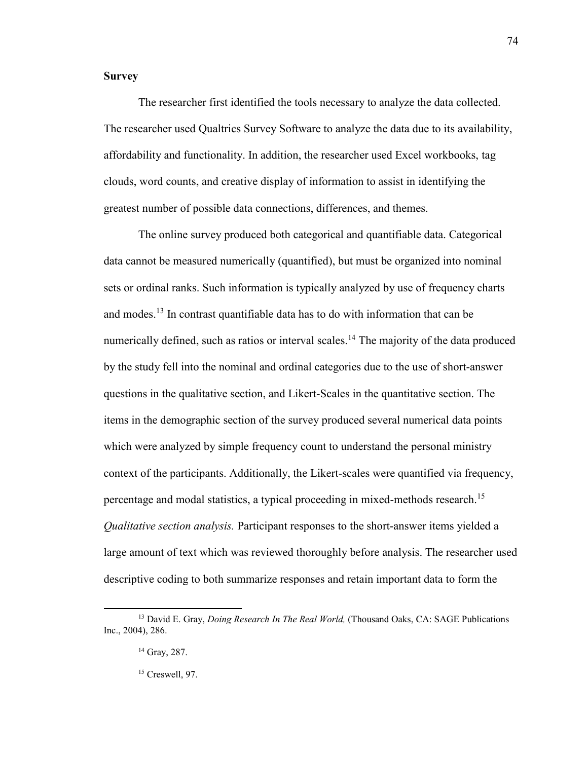# **Survey**

The researcher first identified the tools necessary to analyze the data collected. The researcher used Qualtrics Survey Software to analyze the data due to its availability, affordability and functionality. In addition, the researcher used Excel workbooks, tag clouds, word counts, and creative display of information to assist in identifying the greatest number of possible data connections, differences, and themes.

 The online survey produced both categorical and quantifiable data. Categorical data cannot be measured numerically (quantified), but must be organized into nominal sets or ordinal ranks. Such information is typically analyzed by use of frequency charts and modes.<sup>13</sup> In contrast quantifiable data has to do with information that can be numerically defined, such as ratios or interval scales.<sup>14</sup> The majority of the data produced by the study fell into the nominal and ordinal categories due to the use of short-answer questions in the qualitative section, and Likert-Scales in the quantitative section. The items in the demographic section of the survey produced several numerical data points which were analyzed by simple frequency count to understand the personal ministry context of the participants. Additionally, the Likert-scales were quantified via frequency, percentage and modal statistics, a typical proceeding in mixed-methods research.<sup>15</sup> *Qualitative section analysis.* Participant responses to the short-answer items yielded a large amount of text which was reviewed thoroughly before analysis. The researcher used descriptive coding to both summarize responses and retain important data to form the

 $\overline{\phantom{a}}$ 

<sup>13</sup> David E. Gray, *Doing Research In The Real World,* (Thousand Oaks, CA: SAGE Publications Inc., 2004), 286.

<sup>&</sup>lt;sup>14</sup> Gray, 287.

<sup>15</sup> Creswell, 97.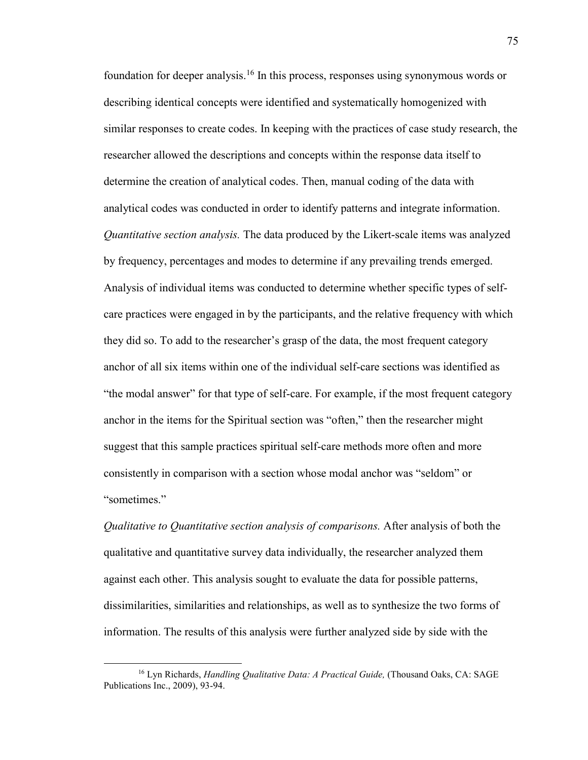foundation for deeper analysis.<sup>16</sup> In this process, responses using synonymous words or describing identical concepts were identified and systematically homogenized with similar responses to create codes. In keeping with the practices of case study research, the researcher allowed the descriptions and concepts within the response data itself to determine the creation of analytical codes. Then, manual coding of the data with analytical codes was conducted in order to identify patterns and integrate information. *Quantitative section analysis.* The data produced by the Likert-scale items was analyzed by frequency, percentages and modes to determine if any prevailing trends emerged. Analysis of individual items was conducted to determine whether specific types of selfcare practices were engaged in by the participants, and the relative frequency with which they did so. To add to the researcher's grasp of the data, the most frequent category anchor of all six items within one of the individual self-care sections was identified as "the modal answer" for that type of self-care. For example, if the most frequent category anchor in the items for the Spiritual section was "often," then the researcher might suggest that this sample practices spiritual self-care methods more often and more consistently in comparison with a section whose modal anchor was "seldom" or "sometimes."

*Qualitative to Quantitative section analysis of comparisons.* After analysis of both the qualitative and quantitative survey data individually, the researcher analyzed them against each other. This analysis sought to evaluate the data for possible patterns, dissimilarities, similarities and relationships, as well as to synthesize the two forms of information. The results of this analysis were further analyzed side by side with the

 $\overline{\phantom{a}}$ 

<sup>16</sup> Lyn Richards, *Handling Qualitative Data: A Practical Guide,* (Thousand Oaks, CA: SAGE Publications Inc., 2009), 93-94.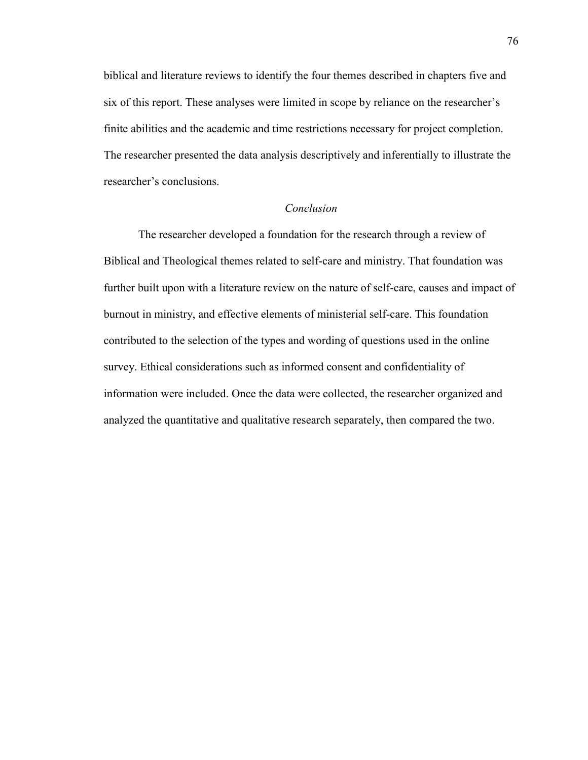biblical and literature reviews to identify the four themes described in chapters five and six of this report. These analyses were limited in scope by reliance on the researcher's finite abilities and the academic and time restrictions necessary for project completion. The researcher presented the data analysis descriptively and inferentially to illustrate the researcher's conclusions.

# *Conclusion*

The researcher developed a foundation for the research through a review of Biblical and Theological themes related to self-care and ministry. That foundation was further built upon with a literature review on the nature of self-care, causes and impact of burnout in ministry, and effective elements of ministerial self-care. This foundation contributed to the selection of the types and wording of questions used in the online survey. Ethical considerations such as informed consent and confidentiality of information were included. Once the data were collected, the researcher organized and analyzed the quantitative and qualitative research separately, then compared the two.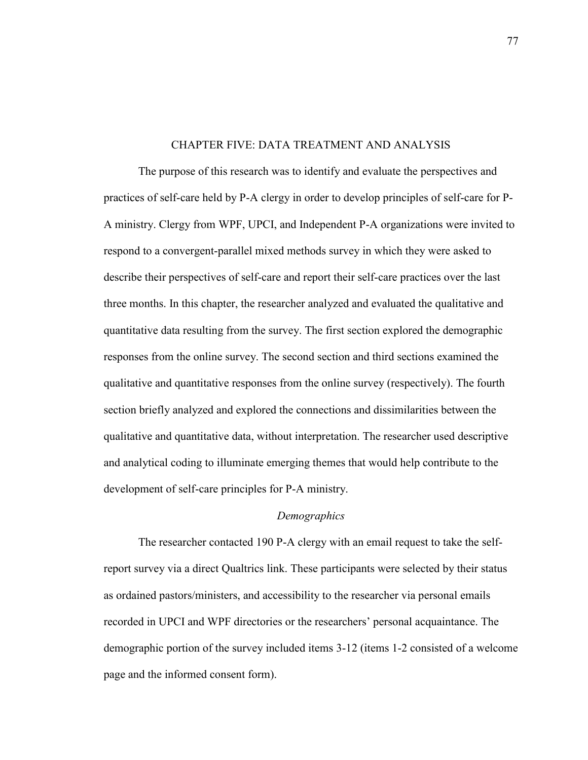## CHAPTER FIVE: DATA TREATMENT AND ANALYSIS

The purpose of this research was to identify and evaluate the perspectives and practices of self-care held by P-A clergy in order to develop principles of self-care for P-A ministry. Clergy from WPF, UPCI, and Independent P-A organizations were invited to respond to a convergent-parallel mixed methods survey in which they were asked to describe their perspectives of self-care and report their self-care practices over the last three months. In this chapter, the researcher analyzed and evaluated the qualitative and quantitative data resulting from the survey. The first section explored the demographic responses from the online survey. The second section and third sections examined the qualitative and quantitative responses from the online survey (respectively). The fourth section briefly analyzed and explored the connections and dissimilarities between the qualitative and quantitative data, without interpretation. The researcher used descriptive and analytical coding to illuminate emerging themes that would help contribute to the development of self-care principles for P-A ministry.

#### *Demographics*

 The researcher contacted 190 P-A clergy with an email request to take the selfreport survey via a direct Qualtrics link. These participants were selected by their status as ordained pastors/ministers, and accessibility to the researcher via personal emails recorded in UPCI and WPF directories or the researchers' personal acquaintance. The demographic portion of the survey included items 3-12 (items 1-2 consisted of a welcome page and the informed consent form).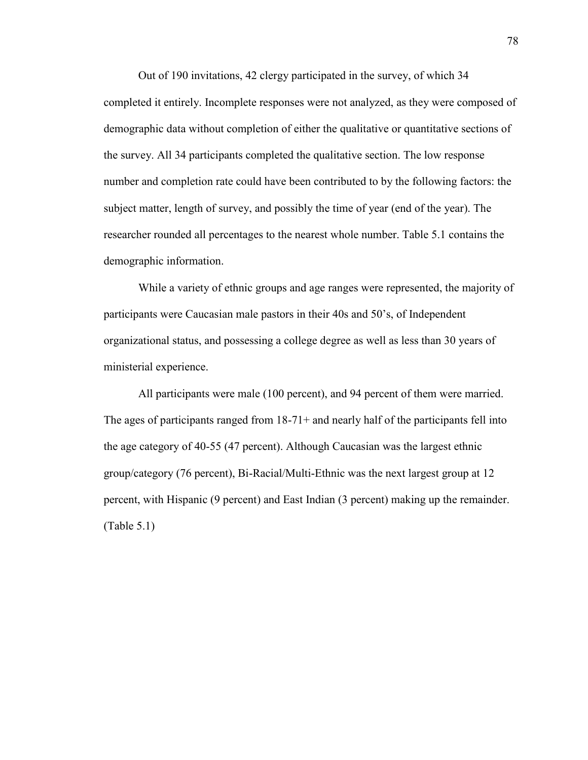Out of 190 invitations, 42 clergy participated in the survey, of which 34 completed it entirely. Incomplete responses were not analyzed, as they were composed of demographic data without completion of either the qualitative or quantitative sections of the survey. All 34 participants completed the qualitative section. The low response number and completion rate could have been contributed to by the following factors: the subject matter, length of survey, and possibly the time of year (end of the year). The researcher rounded all percentages to the nearest whole number. Table 5.1 contains the demographic information.

While a variety of ethnic groups and age ranges were represented, the majority of participants were Caucasian male pastors in their 40s and 50's, of Independent organizational status, and possessing a college degree as well as less than 30 years of ministerial experience.

All participants were male (100 percent), and 94 percent of them were married. The ages of participants ranged from  $18-71+$  and nearly half of the participants fell into the age category of 40-55 (47 percent). Although Caucasian was the largest ethnic group/category (76 percent), Bi-Racial/Multi-Ethnic was the next largest group at 12 percent, with Hispanic (9 percent) and East Indian (3 percent) making up the remainder. (Table 5.1)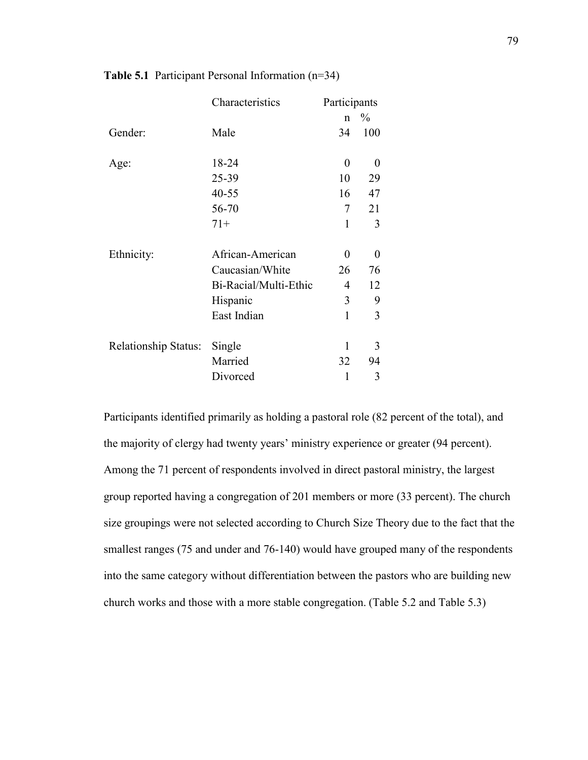|                      | Characteristics       | Participants     |          |
|----------------------|-----------------------|------------------|----------|
|                      |                       | $\mathbf n$      | $\%$     |
| Gender:              | Male                  | 34               | 100      |
| Age:                 | 18-24                 | $\boldsymbol{0}$ | $\theta$ |
|                      | 25-39                 | 10               | 29       |
|                      | $40 - 55$             | 16               | 47       |
|                      | 56-70                 | 7                | 21       |
|                      | $71+$                 | 1                | 3        |
| Ethnicity:           | African-American      | 0                | $\theta$ |
|                      | Caucasian/White       | 26               | 76       |
|                      | Bi-Racial/Multi-Ethic | 4                | 12       |
|                      | Hispanic              | 3                | 9        |
|                      | East Indian           | $\mathbf{1}$     | 3        |
|                      |                       |                  |          |
| Relationship Status: | Single                | 1                | 3        |
|                      | Married               | 32               | 94       |
|                      | Divorced              | 1                | 3        |

## **Table 5.1** Participant Personal Information (n=34)

Participants identified primarily as holding a pastoral role (82 percent of the total), and the majority of clergy had twenty years' ministry experience or greater (94 percent). Among the 71 percent of respondents involved in direct pastoral ministry, the largest group reported having a congregation of 201 members or more (33 percent). The church size groupings were not selected according to Church Size Theory due to the fact that the smallest ranges (75 and under and 76-140) would have grouped many of the respondents into the same category without differentiation between the pastors who are building new church works and those with a more stable congregation. (Table 5.2 and Table 5.3)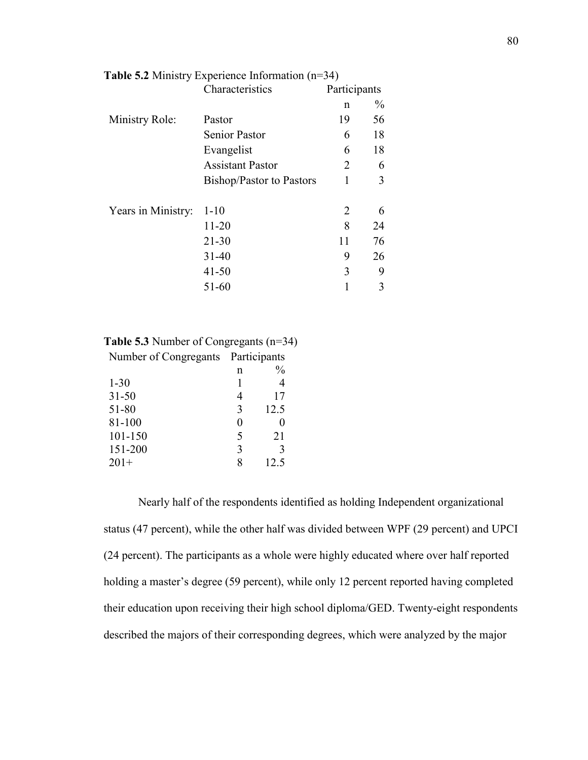|                    | Characteristics          | Participants |               |
|--------------------|--------------------------|--------------|---------------|
|                    |                          | n            | $\frac{0}{0}$ |
| Ministry Role:     | Pastor                   | 19           | 56            |
|                    | <b>Senior Pastor</b>     | 6            | 18            |
|                    | Evangelist               | 6            | 18            |
|                    | <b>Assistant Pastor</b>  | 2            | 6             |
|                    | Bishop/Pastor to Pastors | 1            | 3             |
|                    |                          |              |               |
| Years in Ministry: | $1 - 10$                 | 2            | 6             |
|                    | $11 - 20$                | 8            | 24            |
|                    | $21 - 30$                | 11           | 76            |
|                    | $31 - 40$                | 9            | 26            |
|                    | $41 - 50$                | 3            | 9             |
|                    | 51-60                    |              | 3             |

|  |  | <b>Table 5.2</b> Ministry Experience Information $(n=34)$ |  |
|--|--|-----------------------------------------------------------|--|
|  |  |                                                           |  |

| <b>Table 5.3</b> Number of Congregants $(n=34)$ |   |               |  |
|-------------------------------------------------|---|---------------|--|
| Number of Congregants Participants              |   |               |  |
|                                                 | n | $\frac{0}{0}$ |  |
| $1 - 30$                                        |   |               |  |
| $31 - 50$                                       |   | 17            |  |
| 51-80                                           | 3 | 12.5          |  |
| 81-100                                          |   |               |  |
| 101-150                                         | 5 | 21            |  |
| 151-200                                         | 3 | 3             |  |
| $201+$                                          | 8 | 12.5          |  |
|                                                 |   |               |  |

Nearly half of the respondents identified as holding Independent organizational status (47 percent), while the other half was divided between WPF (29 percent) and UPCI (24 percent). The participants as a whole were highly educated where over half reported holding a master's degree (59 percent), while only 12 percent reported having completed their education upon receiving their high school diploma/GED. Twenty-eight respondents described the majors of their corresponding degrees, which were analyzed by the major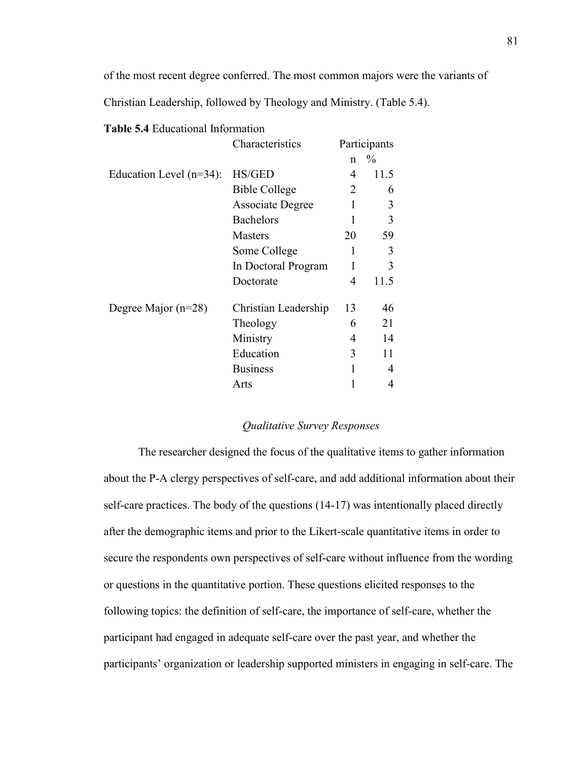of the most recent degree conferred. The most common majors were the variants of

Christian Leadership, followed by Theology and Ministry. (Table 5.4).

| <b>Table 5.4 Educational Information</b> |  |
|------------------------------------------|--|
|------------------------------------------|--|

|                            | Characteristics         | Participants |      |
|----------------------------|-------------------------|--------------|------|
|                            |                         | n            | $\%$ |
| Education Level $(n=34)$ : | <b>HS/GED</b>           | 4            | 11.5 |
|                            | <b>Bible College</b>    | 2            | 6    |
|                            | <b>Associate Degree</b> |              | 3    |
|                            | <b>Bachelors</b>        | 1            | 3    |
|                            | <b>Masters</b>          | 20           | 59   |
|                            | Some College            | 1            | 3    |
|                            | In Doctoral Program     | 1            | 3    |
|                            | Doctorate               | 4            | 11.5 |
| Degree Major $(n=28)$      | Christian Leadership    | 13           | 46   |
|                            | Theology                | 6            | 21   |
|                            | Ministry                | 4            | 14   |
|                            | Education               | 3            | 11   |
|                            | <b>Business</b>         | 1            | 4    |
|                            | Arts                    |              | 4    |

## *Qualitative Survey Responses*

The researcher designed the focus of the qualitative items to gather information about the P-A clergy perspectives of self-care, and add additional information about their self-care practices. The body of the questions (14-17) was intentionally placed directly after the demographic items and prior to the Likert-scale quantitative items in order to secure the respondents own perspectives of self-care without influence from the wording or questions in the quantitative portion. These questions elicited responses to the following topics: the definition of self-care, the importance of self-care, whether the participant had engaged in adequate self-care over the past year, and whether the participants' organization or leadership supported ministers in engaging in self-care. The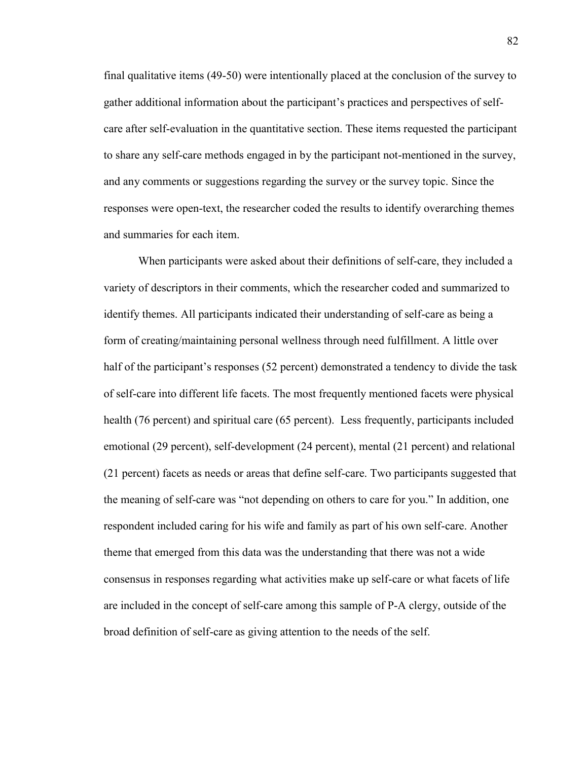final qualitative items (49-50) were intentionally placed at the conclusion of the survey to gather additional information about the participant's practices and perspectives of selfcare after self-evaluation in the quantitative section. These items requested the participant to share any self-care methods engaged in by the participant not-mentioned in the survey, and any comments or suggestions regarding the survey or the survey topic. Since the responses were open-text, the researcher coded the results to identify overarching themes and summaries for each item.

When participants were asked about their definitions of self-care, they included a variety of descriptors in their comments, which the researcher coded and summarized to identify themes. All participants indicated their understanding of self-care as being a form of creating/maintaining personal wellness through need fulfillment. A little over half of the participant's responses (52 percent) demonstrated a tendency to divide the task of self-care into different life facets. The most frequently mentioned facets were physical health (76 percent) and spiritual care (65 percent). Less frequently, participants included emotional (29 percent), self-development (24 percent), mental (21 percent) and relational (21 percent) facets as needs or areas that define self-care. Two participants suggested that the meaning of self-care was "not depending on others to care for you." In addition, one respondent included caring for his wife and family as part of his own self-care. Another theme that emerged from this data was the understanding that there was not a wide consensus in responses regarding what activities make up self-care or what facets of life are included in the concept of self-care among this sample of P-A clergy, outside of the broad definition of self-care as giving attention to the needs of the self.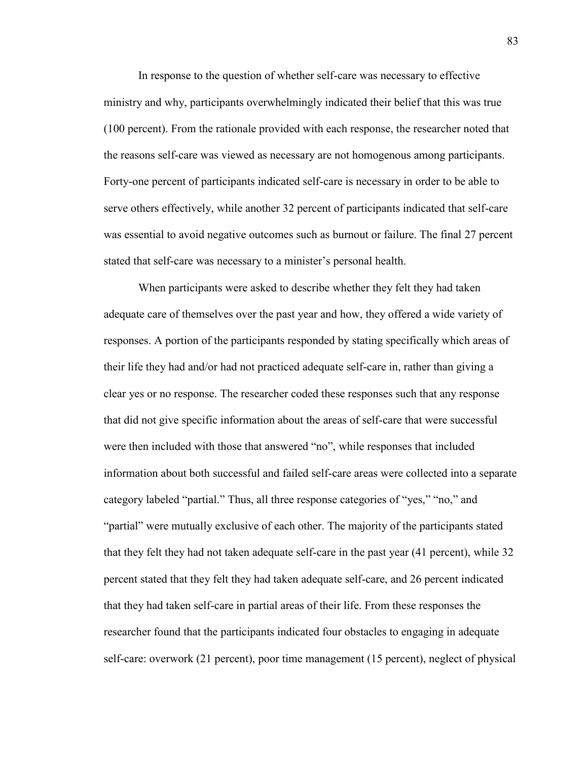In response to the question of whether self-care was necessary to effective ministry and why, participants overwhelmingly indicated their belief that this was true (100 percent). From the rationale provided with each response, the researcher noted that the reasons self-care was viewed as necessary are not homogenous among participants. Forty-one percent of participants indicated self-care is necessary in order to be able to serve others effectively, while another 32 percent of participants indicated that self-care was essential to avoid negative outcomes such as burnout or failure. The final 27 percent stated that self-care was necessary to a minister's personal health.

When participants were asked to describe whether they felt they had taken adequate care of themselves over the past year and how, they offered a wide variety of responses. A portion of the participants responded by stating specifically which areas of their life they had and/or had not practiced adequate self-care in, rather than giving a clear yes or no response. The researcher coded these responses such that any response that did not give specific information about the areas of self-care that were successful were then included with those that answered "no", while responses that included information about both successful and failed self-care areas were collected into a separate category labeled "partial." Thus, all three response categories of "yes," "no," and "partial" were mutually exclusive of each other. The majority of the participants stated that they felt they had not taken adequate self-care in the past year (41 percent), while 32 percent stated that they felt they had taken adequate self-care, and 26 percent indicated that they had taken self-care in partial areas of their life. From these responses the researcher found that the participants indicated four obstacles to engaging in adequate self-care: overwork (21 percent), poor time management (15 percent), neglect of physical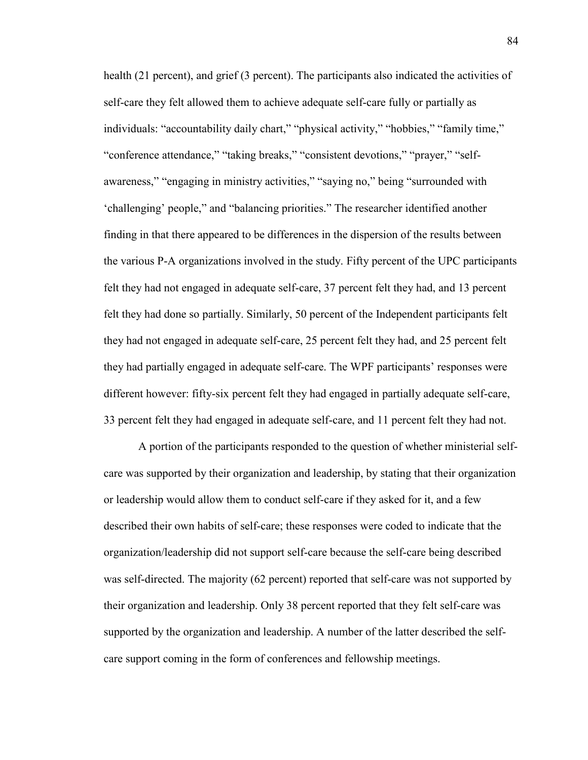health (21 percent), and grief (3 percent). The participants also indicated the activities of self-care they felt allowed them to achieve adequate self-care fully or partially as individuals: "accountability daily chart," "physical activity," "hobbies," "family time," "conference attendance," "taking breaks," "consistent devotions," "prayer," "selfawareness," "engaging in ministry activities," "saying no," being "surrounded with 'challenging' people," and "balancing priorities." The researcher identified another finding in that there appeared to be differences in the dispersion of the results between the various P-A organizations involved in the study. Fifty percent of the UPC participants felt they had not engaged in adequate self-care, 37 percent felt they had, and 13 percent felt they had done so partially. Similarly, 50 percent of the Independent participants felt they had not engaged in adequate self-care, 25 percent felt they had, and 25 percent felt they had partially engaged in adequate self-care. The WPF participants' responses were different however: fifty-six percent felt they had engaged in partially adequate self-care, 33 percent felt they had engaged in adequate self-care, and 11 percent felt they had not.

A portion of the participants responded to the question of whether ministerial selfcare was supported by their organization and leadership, by stating that their organization or leadership would allow them to conduct self-care if they asked for it, and a few described their own habits of self-care; these responses were coded to indicate that the organization/leadership did not support self-care because the self-care being described was self-directed. The majority (62 percent) reported that self-care was not supported by their organization and leadership. Only 38 percent reported that they felt self-care was supported by the organization and leadership. A number of the latter described the selfcare support coming in the form of conferences and fellowship meetings.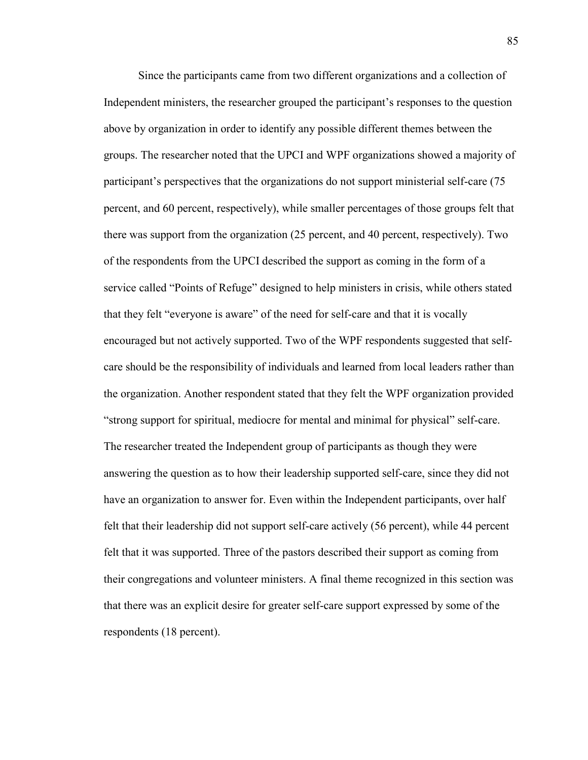Since the participants came from two different organizations and a collection of Independent ministers, the researcher grouped the participant's responses to the question above by organization in order to identify any possible different themes between the groups. The researcher noted that the UPCI and WPF organizations showed a majority of participant's perspectives that the organizations do not support ministerial self-care (75 percent, and 60 percent, respectively), while smaller percentages of those groups felt that there was support from the organization (25 percent, and 40 percent, respectively). Two of the respondents from the UPCI described the support as coming in the form of a service called "Points of Refuge" designed to help ministers in crisis, while others stated that they felt "everyone is aware" of the need for self-care and that it is vocally encouraged but not actively supported. Two of the WPF respondents suggested that selfcare should be the responsibility of individuals and learned from local leaders rather than the organization. Another respondent stated that they felt the WPF organization provided "strong support for spiritual, mediocre for mental and minimal for physical" self-care. The researcher treated the Independent group of participants as though they were answering the question as to how their leadership supported self-care, since they did not have an organization to answer for. Even within the Independent participants, over half felt that their leadership did not support self-care actively (56 percent), while 44 percent felt that it was supported. Three of the pastors described their support as coming from their congregations and volunteer ministers. A final theme recognized in this section was that there was an explicit desire for greater self-care support expressed by some of the respondents (18 percent).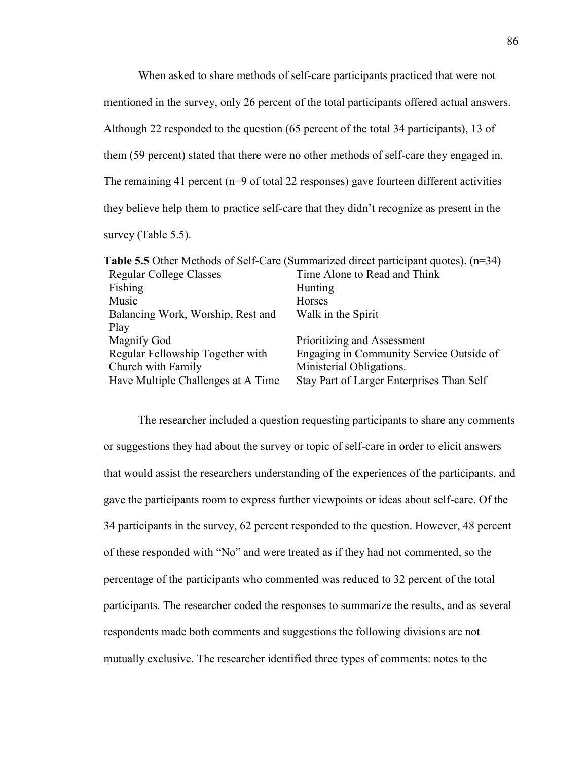When asked to share methods of self-care participants practiced that were not mentioned in the survey, only 26 percent of the total participants offered actual answers. Although 22 responded to the question (65 percent of the total 34 participants), 13 of them (59 percent) stated that there were no other methods of self-care they engaged in. The remaining 41 percent (n=9 of total 22 responses) gave fourteen different activities they believe help them to practice self-care that they didn't recognize as present in the survey (Table 5.5).

|                                    | <b>Table 5.5</b> Other Methods of Self-Care (Summarized direct participant quotes). $(n=34)$ |
|------------------------------------|----------------------------------------------------------------------------------------------|
| <b>Regular College Classes</b>     | Time Alone to Read and Think                                                                 |
| Fishing                            | Hunting                                                                                      |
| Music                              | Horses                                                                                       |
| Balancing Work, Worship, Rest and  | Walk in the Spirit                                                                           |
| Play                               |                                                                                              |
| Magnify God                        | Prioritizing and Assessment                                                                  |
| Regular Fellowship Together with   | Engaging in Community Service Outside of                                                     |
| Church with Family                 | Ministerial Obligations.                                                                     |
| Have Multiple Challenges at A Time | Stay Part of Larger Enterprises Than Self                                                    |
|                                    |                                                                                              |

The researcher included a question requesting participants to share any comments or suggestions they had about the survey or topic of self-care in order to elicit answers that would assist the researchers understanding of the experiences of the participants, and gave the participants room to express further viewpoints or ideas about self-care. Of the 34 participants in the survey, 62 percent responded to the question. However, 48 percent of these responded with "No" and were treated as if they had not commented, so the percentage of the participants who commented was reduced to 32 percent of the total participants. The researcher coded the responses to summarize the results, and as several respondents made both comments and suggestions the following divisions are not mutually exclusive. The researcher identified three types of comments: notes to the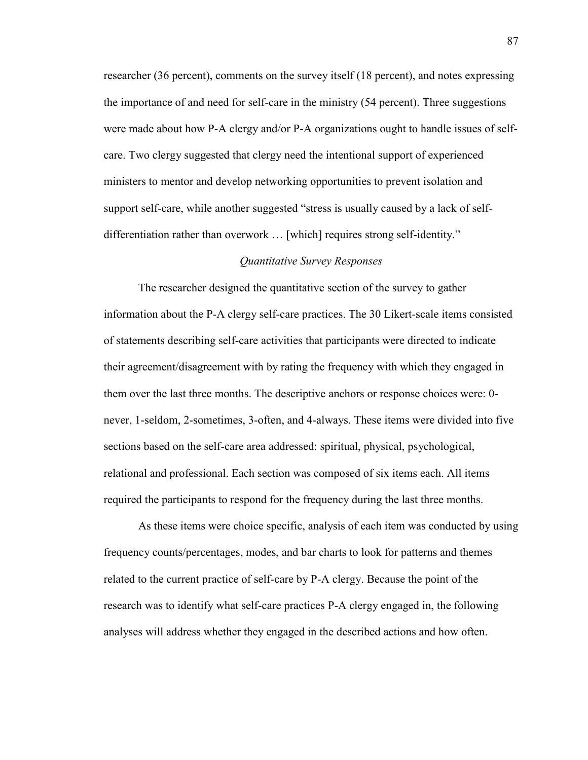researcher (36 percent), comments on the survey itself (18 percent), and notes expressing the importance of and need for self-care in the ministry (54 percent). Three suggestions were made about how P-A clergy and/or P-A organizations ought to handle issues of selfcare. Two clergy suggested that clergy need the intentional support of experienced ministers to mentor and develop networking opportunities to prevent isolation and support self-care, while another suggested "stress is usually caused by a lack of selfdifferentiation rather than overwork … [which] requires strong self-identity."

## *Quantitative Survey Responses*

 The researcher designed the quantitative section of the survey to gather information about the P-A clergy self-care practices. The 30 Likert-scale items consisted of statements describing self-care activities that participants were directed to indicate their agreement/disagreement with by rating the frequency with which they engaged in them over the last three months. The descriptive anchors or response choices were: 0 never, 1-seldom, 2-sometimes, 3-often, and 4-always. These items were divided into five sections based on the self-care area addressed: spiritual, physical, psychological, relational and professional. Each section was composed of six items each. All items required the participants to respond for the frequency during the last three months.

As these items were choice specific, analysis of each item was conducted by using frequency counts/percentages, modes, and bar charts to look for patterns and themes related to the current practice of self-care by P-A clergy. Because the point of the research was to identify what self-care practices P-A clergy engaged in, the following analyses will address whether they engaged in the described actions and how often.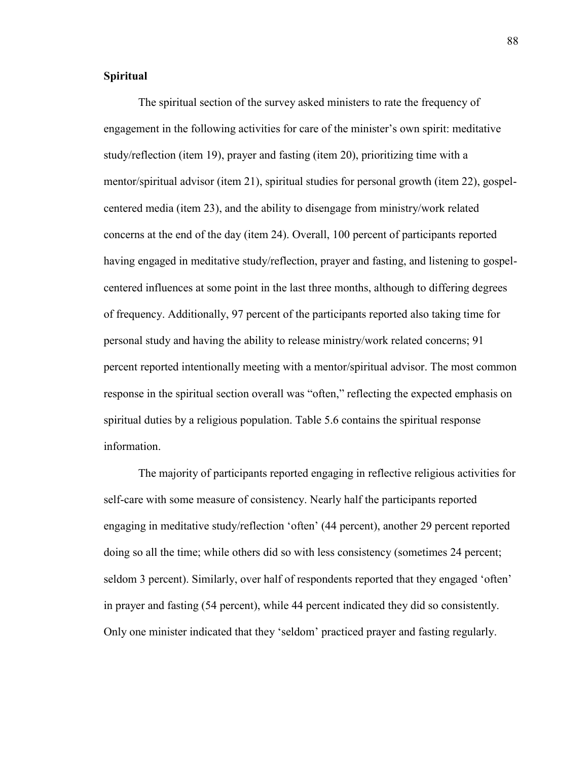## **Spiritual**

 The spiritual section of the survey asked ministers to rate the frequency of engagement in the following activities for care of the minister's own spirit: meditative study/reflection (item 19), prayer and fasting (item 20), prioritizing time with a mentor/spiritual advisor (item 21), spiritual studies for personal growth (item 22), gospelcentered media (item 23), and the ability to disengage from ministry/work related concerns at the end of the day (item 24). Overall, 100 percent of participants reported having engaged in meditative study/reflection, prayer and fasting, and listening to gospelcentered influences at some point in the last three months, although to differing degrees of frequency. Additionally, 97 percent of the participants reported also taking time for personal study and having the ability to release ministry/work related concerns; 91 percent reported intentionally meeting with a mentor/spiritual advisor. The most common response in the spiritual section overall was "often," reflecting the expected emphasis on spiritual duties by a religious population. Table 5.6 contains the spiritual response information.

 The majority of participants reported engaging in reflective religious activities for self-care with some measure of consistency. Nearly half the participants reported engaging in meditative study/reflection 'often' (44 percent), another 29 percent reported doing so all the time; while others did so with less consistency (sometimes 24 percent; seldom 3 percent). Similarly, over half of respondents reported that they engaged 'often' in prayer and fasting (54 percent), while 44 percent indicated they did so consistently. Only one minister indicated that they 'seldom' practiced prayer and fasting regularly.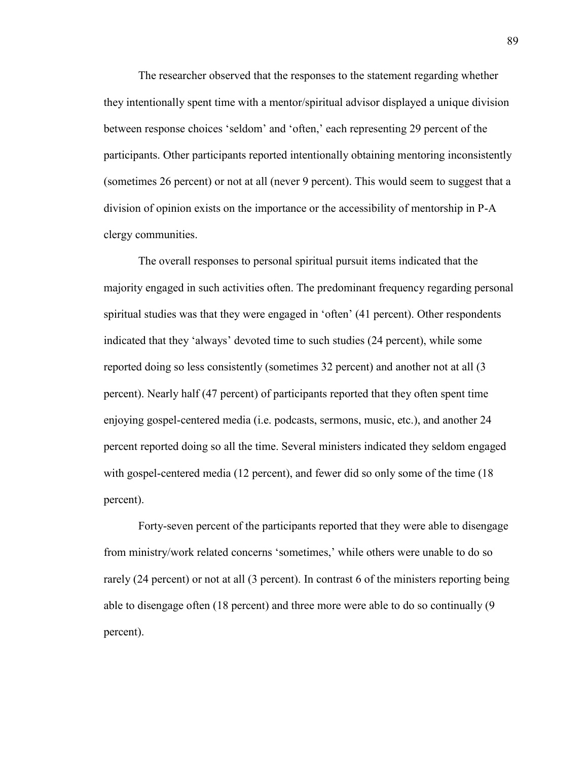The researcher observed that the responses to the statement regarding whether they intentionally spent time with a mentor/spiritual advisor displayed a unique division between response choices 'seldom' and 'often,' each representing 29 percent of the participants. Other participants reported intentionally obtaining mentoring inconsistently (sometimes 26 percent) or not at all (never 9 percent). This would seem to suggest that a division of opinion exists on the importance or the accessibility of mentorship in P-A clergy communities.

 The overall responses to personal spiritual pursuit items indicated that the majority engaged in such activities often. The predominant frequency regarding personal spiritual studies was that they were engaged in 'often' (41 percent). Other respondents indicated that they 'always' devoted time to such studies (24 percent), while some reported doing so less consistently (sometimes 32 percent) and another not at all (3 percent). Nearly half (47 percent) of participants reported that they often spent time enjoying gospel-centered media (i.e. podcasts, sermons, music, etc.), and another 24 percent reported doing so all the time. Several ministers indicated they seldom engaged with gospel-centered media (12 percent), and fewer did so only some of the time (18 percent).

 Forty-seven percent of the participants reported that they were able to disengage from ministry/work related concerns 'sometimes,' while others were unable to do so rarely (24 percent) or not at all (3 percent). In contrast 6 of the ministers reporting being able to disengage often (18 percent) and three more were able to do so continually (9 percent).

89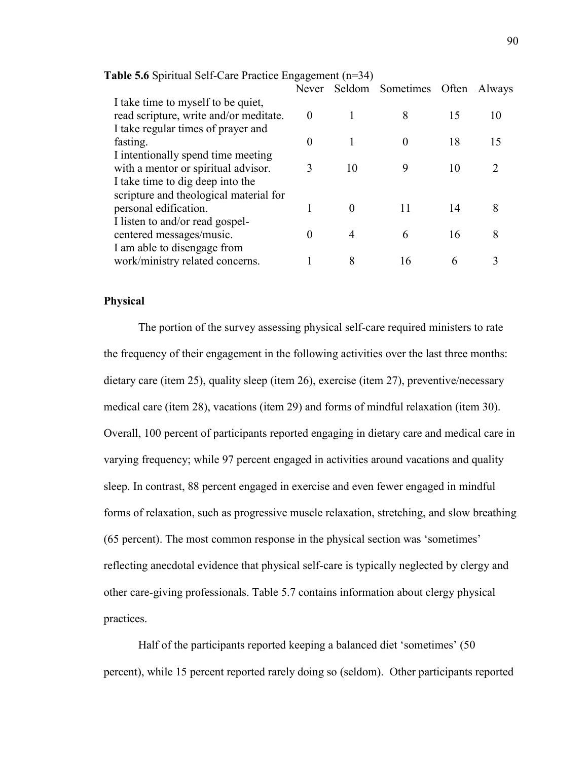|                                                                              | Never    |          | Seldom Sometimes Often |    | Always        |
|------------------------------------------------------------------------------|----------|----------|------------------------|----|---------------|
| I take time to myself to be quiet,<br>read scripture, write and/or meditate. | $\Omega$ |          | 8                      | 15 | 10            |
| I take regular times of prayer and                                           |          |          |                        |    |               |
| fasting.                                                                     | $\theta$ |          | $\Omega$               | 18 | 15            |
| I intentionally spend time meeting<br>with a mentor or spiritual advisor.    |          | 10       | 9                      | 10 | $\mathcal{D}$ |
| I take time to dig deep into the<br>scripture and theological material for   |          |          |                        |    |               |
| personal edification.                                                        |          | $\Omega$ |                        | 14 | 8             |
| I listen to and/or read gospel-                                              |          |          |                        |    |               |
| centered messages/music.                                                     |          | 4        | 6                      | 16 | 8             |
| I am able to disengage from                                                  |          |          |                        |    |               |
| work/ministry related concerns.                                              |          | 8        | 16                     | 6  |               |

| Table 5.6 Spiritual Self-Care Practice Engagement (n=34) |  |
|----------------------------------------------------------|--|
|                                                          |  |

#### **Physical**

 The portion of the survey assessing physical self-care required ministers to rate the frequency of their engagement in the following activities over the last three months: dietary care (item 25), quality sleep (item 26), exercise (item 27), preventive/necessary medical care (item 28), vacations (item 29) and forms of mindful relaxation (item 30). Overall, 100 percent of participants reported engaging in dietary care and medical care in varying frequency; while 97 percent engaged in activities around vacations and quality sleep. In contrast, 88 percent engaged in exercise and even fewer engaged in mindful forms of relaxation, such as progressive muscle relaxation, stretching, and slow breathing (65 percent). The most common response in the physical section was 'sometimes' reflecting anecdotal evidence that physical self-care is typically neglected by clergy and other care-giving professionals. Table 5.7 contains information about clergy physical practices.

Half of the participants reported keeping a balanced diet 'sometimes' (50 percent), while 15 percent reported rarely doing so (seldom). Other participants reported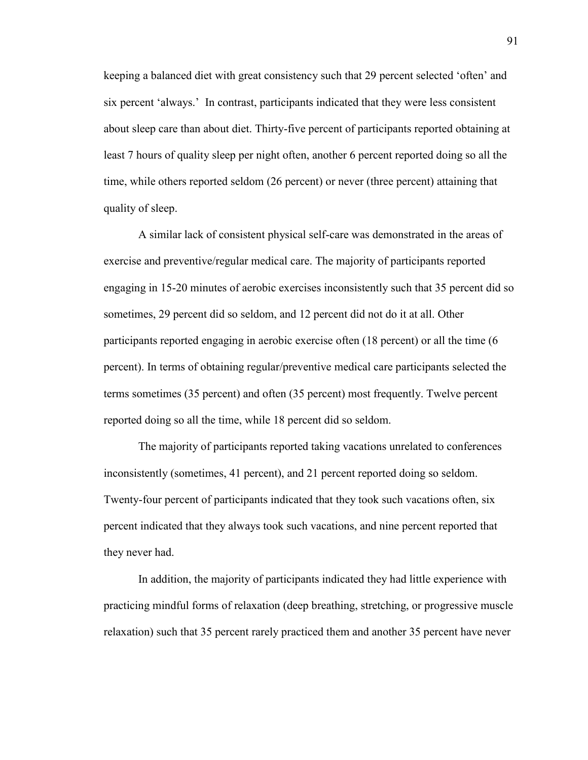keeping a balanced diet with great consistency such that 29 percent selected 'often' and six percent 'always.' In contrast, participants indicated that they were less consistent about sleep care than about diet. Thirty-five percent of participants reported obtaining at least 7 hours of quality sleep per night often, another 6 percent reported doing so all the time, while others reported seldom (26 percent) or never (three percent) attaining that quality of sleep.

A similar lack of consistent physical self-care was demonstrated in the areas of exercise and preventive/regular medical care. The majority of participants reported engaging in 15-20 minutes of aerobic exercises inconsistently such that 35 percent did so sometimes, 29 percent did so seldom, and 12 percent did not do it at all. Other participants reported engaging in aerobic exercise often (18 percent) or all the time (6 percent). In terms of obtaining regular/preventive medical care participants selected the terms sometimes (35 percent) and often (35 percent) most frequently. Twelve percent reported doing so all the time, while 18 percent did so seldom.

The majority of participants reported taking vacations unrelated to conferences inconsistently (sometimes, 41 percent), and 21 percent reported doing so seldom. Twenty-four percent of participants indicated that they took such vacations often, six percent indicated that they always took such vacations, and nine percent reported that they never had.

 In addition, the majority of participants indicated they had little experience with practicing mindful forms of relaxation (deep breathing, stretching, or progressive muscle relaxation) such that 35 percent rarely practiced them and another 35 percent have never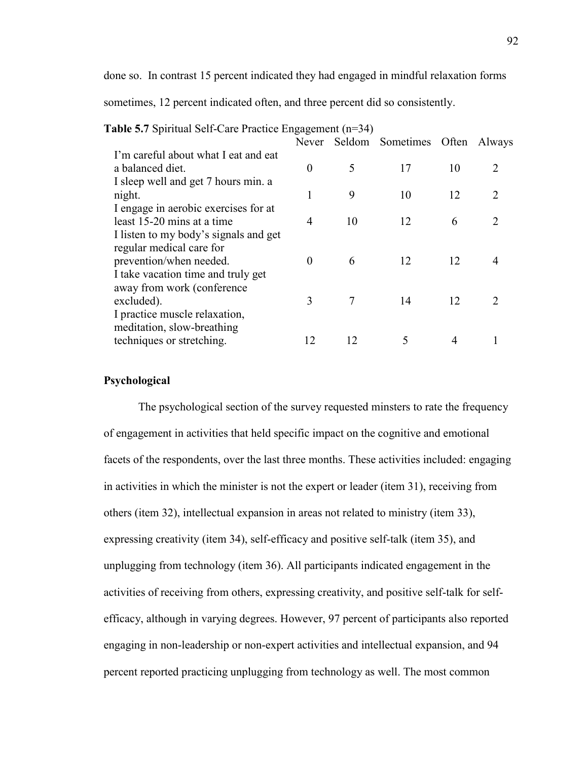done so. In contrast 15 percent indicated they had engaged in mindful relaxation forms

sometimes, 12 percent indicated often, and three percent did so consistently.

|                                                                                                                                    | Never          |    | Seldom Sometimes | <b>Often</b> | Always                      |
|------------------------------------------------------------------------------------------------------------------------------------|----------------|----|------------------|--------------|-----------------------------|
| I'm careful about what I eat and eat<br>a balanced diet.                                                                           | $\theta$       | 5  | 17               | 10           | 2                           |
| I sleep well and get 7 hours min. a<br>night.                                                                                      |                | 9  | 10               | 12           | $\mathcal{D}_{\mathcal{L}}$ |
| I engage in aerobic exercises for at<br>least 15-20 mins at a time                                                                 | $\overline{4}$ | 10 | 12               | 6            | $\mathcal{D}_{\mathcal{L}}$ |
| I listen to my body's signals and get<br>regular medical care for<br>prevention/when needed.<br>I take vacation time and truly get | $\Omega$       | 6  | 12               | 12           |                             |
| away from work (conference)<br>excluded).<br>I practice muscle relaxation,                                                         | 3              |    | 14               | 12           | $\mathcal{D}_{\mathcal{L}}$ |
| meditation, slow-breathing<br>techniques or stretching.                                                                            |                | 12 |                  | 4            |                             |

## **Psychological**

The psychological section of the survey requested minsters to rate the frequency of engagement in activities that held specific impact on the cognitive and emotional facets of the respondents, over the last three months. These activities included: engaging in activities in which the minister is not the expert or leader (item 31), receiving from others (item 32), intellectual expansion in areas not related to ministry (item 33), expressing creativity (item 34), self-efficacy and positive self-talk (item 35), and unplugging from technology (item 36). All participants indicated engagement in the activities of receiving from others, expressing creativity, and positive self-talk for selfefficacy, although in varying degrees. However, 97 percent of participants also reported engaging in non-leadership or non-expert activities and intellectual expansion, and 94 percent reported practicing unplugging from technology as well. The most common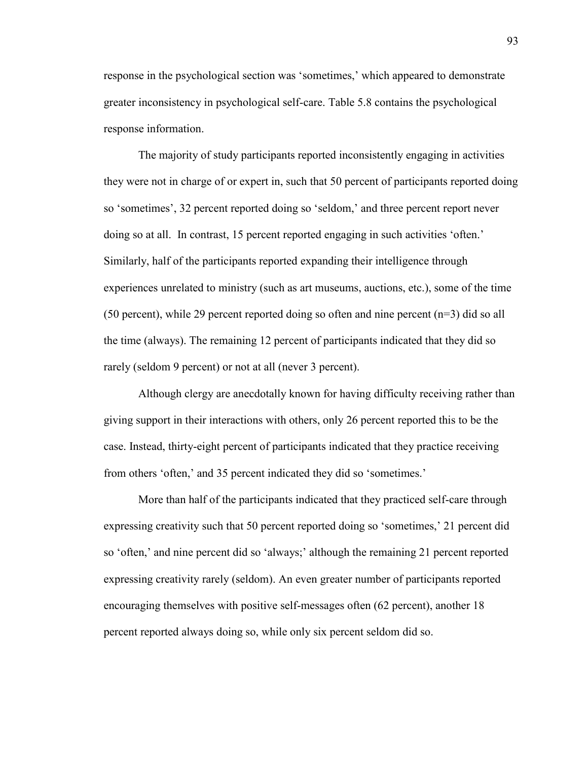response in the psychological section was 'sometimes,' which appeared to demonstrate greater inconsistency in psychological self-care. Table 5.8 contains the psychological response information.

 The majority of study participants reported inconsistently engaging in activities they were not in charge of or expert in, such that 50 percent of participants reported doing so 'sometimes', 32 percent reported doing so 'seldom,' and three percent report never doing so at all. In contrast, 15 percent reported engaging in such activities 'often.' Similarly, half of the participants reported expanding their intelligence through experiences unrelated to ministry (such as art museums, auctions, etc.), some of the time (50 percent), while 29 percent reported doing so often and nine percent (n=3) did so all the time (always). The remaining 12 percent of participants indicated that they did so rarely (seldom 9 percent) or not at all (never 3 percent).

 Although clergy are anecdotally known for having difficulty receiving rather than giving support in their interactions with others, only 26 percent reported this to be the case. Instead, thirty-eight percent of participants indicated that they practice receiving from others 'often,' and 35 percent indicated they did so 'sometimes.'

More than half of the participants indicated that they practiced self-care through expressing creativity such that 50 percent reported doing so 'sometimes,' 21 percent did so 'often,' and nine percent did so 'always;' although the remaining 21 percent reported expressing creativity rarely (seldom). An even greater number of participants reported encouraging themselves with positive self-messages often (62 percent), another 18 percent reported always doing so, while only six percent seldom did so.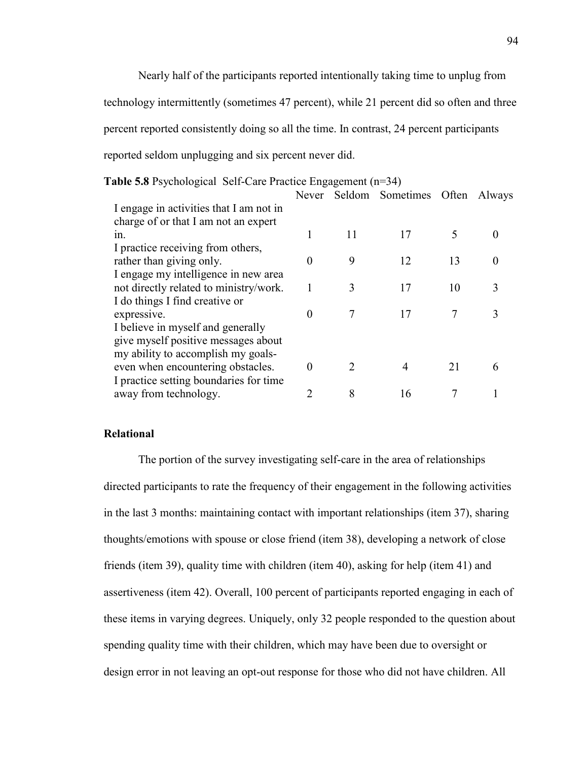Nearly half of the participants reported intentionally taking time to unplug from technology intermittently (sometimes 47 percent), while 21 percent did so often and three percent reported consistently doing so all the time. In contrast, 24 percent participants reported seldom unplugging and six percent never did.

| Table 5.8 Psychological Self-Care Practice Engagement (n=34) |          |    |                        |       |        |
|--------------------------------------------------------------|----------|----|------------------------|-------|--------|
|                                                              |          |    | Never Seldom Sometimes | Often | Always |
| I engage in activities that I am not in                      |          |    |                        |       |        |
| charge of or that I am not an expert                         |          |    |                        |       |        |
| $1n$ .                                                       |          | 11 | 17                     |       |        |
| I practice receiving from others,                            |          |    |                        |       |        |
| rather than giving only.                                     | $\theta$ | 9  | 12                     | 13    |        |
| I engage my intelligence in new area                         |          |    |                        |       |        |
| not directly related to ministry/work.                       |          | 3  | 17                     | 10    | 3      |
| I do things I find creative or                               |          |    |                        |       |        |
| expressive.                                                  | $\Omega$ | 7  | 17                     | 7     |        |
| I believe in myself and generally                            |          |    |                        |       |        |
| give myself positive messages about                          |          |    |                        |       |        |
| my ability to accomplish my goals-                           |          |    |                        |       |        |
| even when encountering obstacles.                            | $\Omega$ | 2  | 4                      | 21    | h      |
| I practice setting boundaries for time                       |          |    |                        |       |        |
| away from technology.                                        |          | 8  | 16                     |       |        |

## **Relational**

 The portion of the survey investigating self-care in the area of relationships directed participants to rate the frequency of their engagement in the following activities in the last 3 months: maintaining contact with important relationships (item 37), sharing thoughts/emotions with spouse or close friend (item 38), developing a network of close friends (item 39), quality time with children (item 40), asking for help (item 41) and assertiveness (item 42). Overall, 100 percent of participants reported engaging in each of these items in varying degrees. Uniquely, only 32 people responded to the question about spending quality time with their children, which may have been due to oversight or design error in not leaving an opt-out response for those who did not have children. All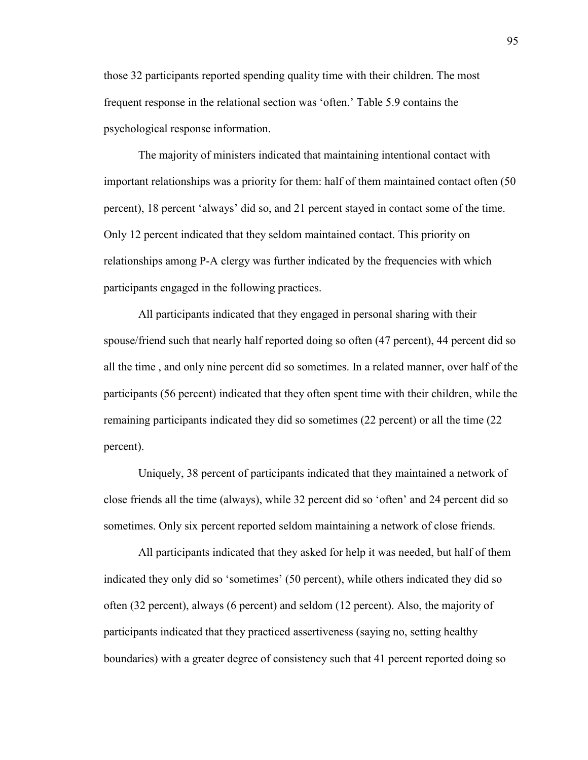those 32 participants reported spending quality time with their children. The most frequent response in the relational section was 'often.' Table 5.9 contains the psychological response information.

 The majority of ministers indicated that maintaining intentional contact with important relationships was a priority for them: half of them maintained contact often (50 percent), 18 percent 'always' did so, and 21 percent stayed in contact some of the time. Only 12 percent indicated that they seldom maintained contact. This priority on relationships among P-A clergy was further indicated by the frequencies with which participants engaged in the following practices.

All participants indicated that they engaged in personal sharing with their spouse/friend such that nearly half reported doing so often (47 percent), 44 percent did so all the time , and only nine percent did so sometimes. In a related manner, over half of the participants (56 percent) indicated that they often spent time with their children, while the remaining participants indicated they did so sometimes (22 percent) or all the time (22 percent).

 Uniquely, 38 percent of participants indicated that they maintained a network of close friends all the time (always), while 32 percent did so 'often' and 24 percent did so sometimes. Only six percent reported seldom maintaining a network of close friends.

 All participants indicated that they asked for help it was needed, but half of them indicated they only did so 'sometimes' (50 percent), while others indicated they did so often (32 percent), always (6 percent) and seldom (12 percent). Also, the majority of participants indicated that they practiced assertiveness (saying no, setting healthy boundaries) with a greater degree of consistency such that 41 percent reported doing so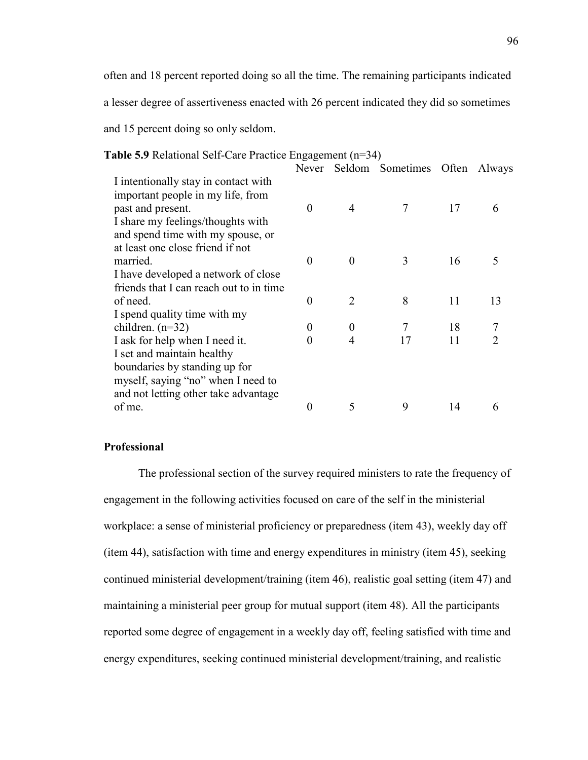often and 18 percent reported doing so all the time. The remaining participants indicated

a lesser degree of assertiveness enacted with 26 percent indicated they did so sometimes

and 15 percent doing so only seldom.

|                                         |          |          | Never Seldom Sometimes Often |    | Always |
|-----------------------------------------|----------|----------|------------------------------|----|--------|
| I intentionally stay in contact with    |          |          |                              |    |        |
| important people in my life, from       |          |          |                              |    |        |
| past and present.                       | $\Omega$ | 4        |                              | 17 | 6      |
| I share my feelings/thoughts with       |          |          |                              |    |        |
| and spend time with my spouse, or       |          |          |                              |    |        |
| at least one close friend if not        |          |          |                              |    |        |
| married.                                | $\theta$ | $\Omega$ | 3                            | 16 | 5      |
| I have developed a network of close     |          |          |                              |    |        |
| friends that I can reach out to in time |          |          |                              |    |        |
| of need.                                | $\theta$ | 2        | 8                            | 11 | 13     |
| I spend quality time with my            |          |          |                              |    |        |
| children. $(n=32)$                      | $\theta$ | $\theta$ |                              | 18 |        |
| I ask for help when I need it.          | 0        |          | 17                           | 11 |        |
| I set and maintain healthy              |          |          |                              |    |        |
| boundaries by standing up for           |          |          |                              |    |        |
| myself, saying "no" when I need to      |          |          |                              |    |        |
| and not letting other take advantage    |          |          |                              |    |        |
| of me.                                  | 0        | 5        | 9                            | 14 | 6      |
|                                         |          |          |                              |    |        |

# **Table 5.9** Relational Self-Care Practice Engagement (n=34)

## **Professional**

The professional section of the survey required ministers to rate the frequency of engagement in the following activities focused on care of the self in the ministerial workplace: a sense of ministerial proficiency or preparedness (item 43), weekly day off (item 44), satisfaction with time and energy expenditures in ministry (item 45), seeking continued ministerial development/training (item 46), realistic goal setting (item 47) and maintaining a ministerial peer group for mutual support (item 48). All the participants reported some degree of engagement in a weekly day off, feeling satisfied with time and energy expenditures, seeking continued ministerial development/training, and realistic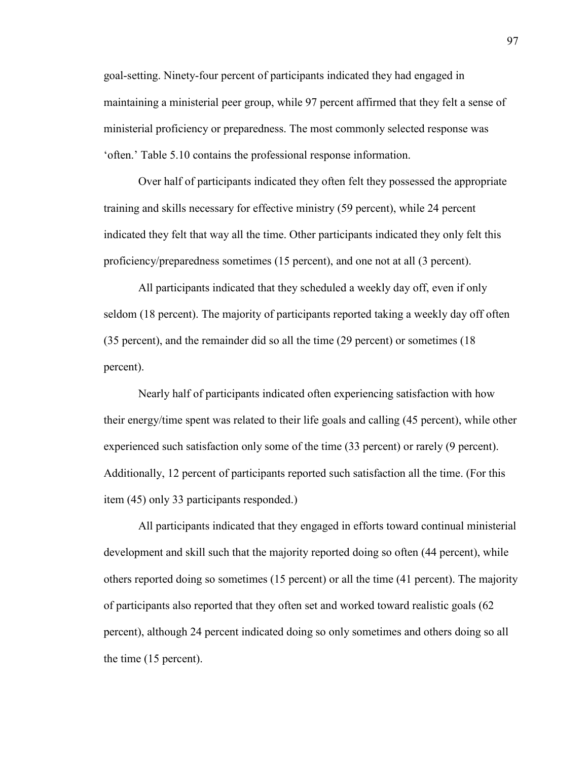goal-setting. Ninety-four percent of participants indicated they had engaged in maintaining a ministerial peer group, while 97 percent affirmed that they felt a sense of ministerial proficiency or preparedness. The most commonly selected response was 'often.' Table 5.10 contains the professional response information.

Over half of participants indicated they often felt they possessed the appropriate training and skills necessary for effective ministry (59 percent), while 24 percent indicated they felt that way all the time. Other participants indicated they only felt this proficiency/preparedness sometimes (15 percent), and one not at all (3 percent).

All participants indicated that they scheduled a weekly day off, even if only seldom (18 percent). The majority of participants reported taking a weekly day off often (35 percent), and the remainder did so all the time (29 percent) or sometimes (18 percent).

Nearly half of participants indicated often experiencing satisfaction with how their energy/time spent was related to their life goals and calling (45 percent), while other experienced such satisfaction only some of the time (33 percent) or rarely (9 percent). Additionally, 12 percent of participants reported such satisfaction all the time. (For this item (45) only 33 participants responded.)

All participants indicated that they engaged in efforts toward continual ministerial development and skill such that the majority reported doing so often (44 percent), while others reported doing so sometimes (15 percent) or all the time (41 percent). The majority of participants also reported that they often set and worked toward realistic goals (62 percent), although 24 percent indicated doing so only sometimes and others doing so all the time (15 percent).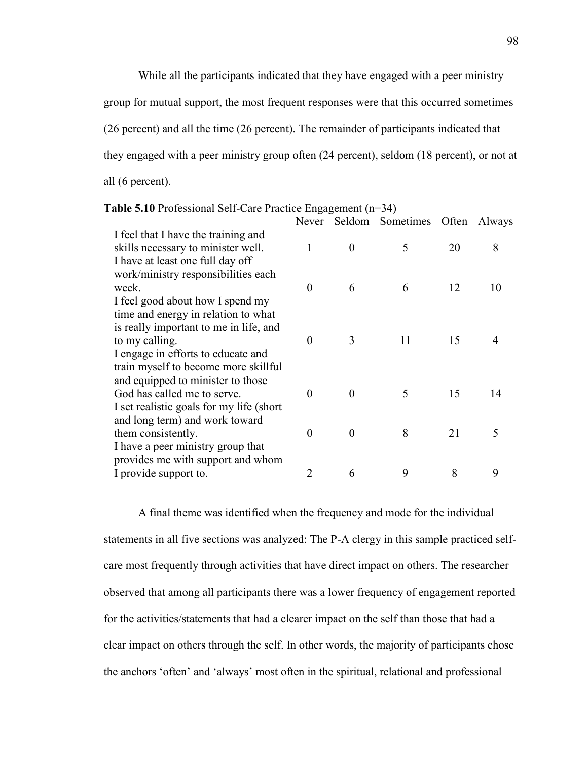While all the participants indicated that they have engaged with a peer ministry group for mutual support, the most frequent responses were that this occurred sometimes (26 percent) and all the time (26 percent). The remainder of participants indicated that they engaged with a peer ministry group often (24 percent), seldom (18 percent), or not at all (6 percent).

| <b>Table 5.10</b> Professional Self-Care Practice Engagement $(n=34)$ |  |  |  |
|-----------------------------------------------------------------------|--|--|--|
|                                                                       |  |  |  |

| <b>abit</b> $3.10$ I foressional Bell-Care I factive Engagement (if $37$ ) |                |          |                  |       |        |
|----------------------------------------------------------------------------|----------------|----------|------------------|-------|--------|
|                                                                            | Never          |          | Seldom Sometimes | Often | Always |
| I feel that I have the training and                                        |                |          |                  |       |        |
| skills necessary to minister well.                                         | 1              | $\theta$ | 5                | 20    | 8      |
| I have at least one full day off                                           |                |          |                  |       |        |
| work/ministry responsibilities each                                        |                |          |                  |       |        |
| week.                                                                      | $\Omega$       | 6        | 6                | 12    | 10     |
| I feel good about how I spend my                                           |                |          |                  |       |        |
| time and energy in relation to what                                        |                |          |                  |       |        |
| is really important to me in life, and                                     |                |          |                  |       |        |
| to my calling.                                                             | $\Omega$       | 3        | 11               | 15    |        |
| I engage in efforts to educate and                                         |                |          |                  |       |        |
| train myself to become more skillful                                       |                |          |                  |       |        |
| and equipped to minister to those                                          |                |          |                  |       |        |
| God has called me to serve.                                                | $\Omega$       | $\Omega$ | 5                | 15    | 14     |
| I set realistic goals for my life (short)                                  |                |          |                  |       |        |
| and long term) and work toward                                             |                |          |                  |       |        |
| them consistently.                                                         | $\Omega$       | $\Omega$ | 8                | 21    | 5      |
| I have a peer ministry group that                                          |                |          |                  |       |        |
| provides me with support and whom                                          |                |          |                  |       |        |
| I provide support to.                                                      | $\overline{2}$ | 6        | 9                | 8     | 9      |

A final theme was identified when the frequency and mode for the individual statements in all five sections was analyzed: The P-A clergy in this sample practiced selfcare most frequently through activities that have direct impact on others. The researcher observed that among all participants there was a lower frequency of engagement reported for the activities/statements that had a clearer impact on the self than those that had a clear impact on others through the self. In other words, the majority of participants chose the anchors 'often' and 'always' most often in the spiritual, relational and professional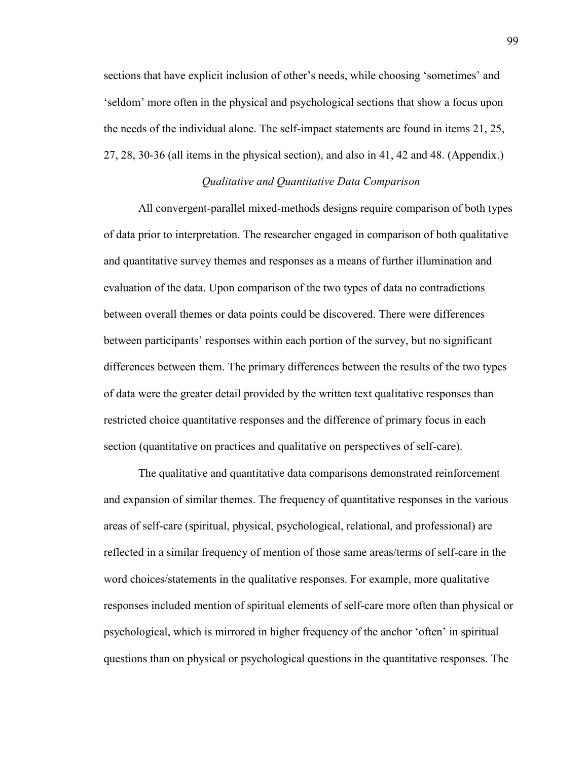sections that have explicit inclusion of other's needs, while choosing 'sometimes' and 'seldom' more often in the physical and psychological sections that show a focus upon the needs of the individual alone. The self-impact statements are found in items 21, 25, 27, 28, 30-36 (all items in the physical section), and also in 41, 42 and 48. (Appendix.)

# *Qualitative and Quantitative Data Comparison*

 All convergent-parallel mixed-methods designs require comparison of both types of data prior to interpretation. The researcher engaged in comparison of both qualitative and quantitative survey themes and responses as a means of further illumination and evaluation of the data. Upon comparison of the two types of data no contradictions between overall themes or data points could be discovered. There were differences between participants' responses within each portion of the survey, but no significant differences between them. The primary differences between the results of the two types of data were the greater detail provided by the written text qualitative responses than restricted choice quantitative responses and the difference of primary focus in each section (quantitative on practices and qualitative on perspectives of self-care).

 The qualitative and quantitative data comparisons demonstrated reinforcement and expansion of similar themes. The frequency of quantitative responses in the various areas of self-care (spiritual, physical, psychological, relational, and professional) are reflected in a similar frequency of mention of those same areas/terms of self-care in the word choices/statements in the qualitative responses. For example, more qualitative responses included mention of spiritual elements of self-care more often than physical or psychological, which is mirrored in higher frequency of the anchor 'often' in spiritual questions than on physical or psychological questions in the quantitative responses. The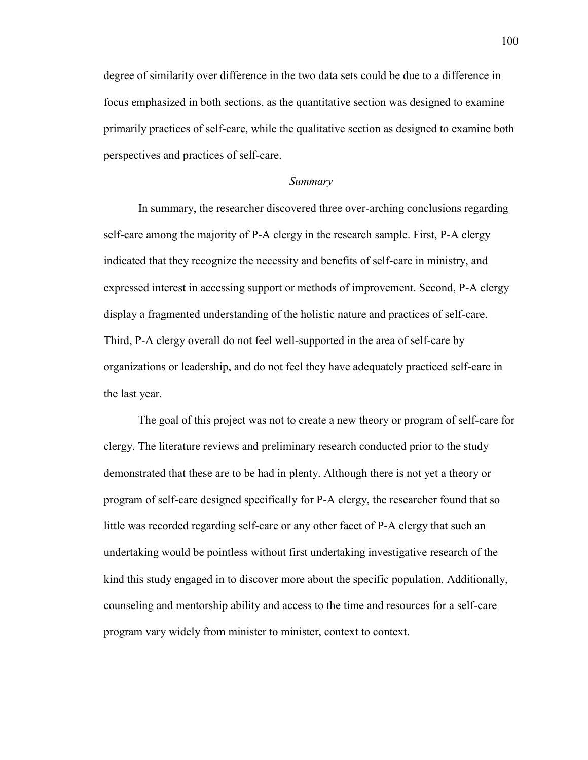degree of similarity over difference in the two data sets could be due to a difference in focus emphasized in both sections, as the quantitative section was designed to examine primarily practices of self-care, while the qualitative section as designed to examine both perspectives and practices of self-care.

#### *Summary*

In summary, the researcher discovered three over-arching conclusions regarding self-care among the majority of P-A clergy in the research sample. First, P-A clergy indicated that they recognize the necessity and benefits of self-care in ministry, and expressed interest in accessing support or methods of improvement. Second, P-A clergy display a fragmented understanding of the holistic nature and practices of self-care. Third, P-A clergy overall do not feel well-supported in the area of self-care by organizations or leadership, and do not feel they have adequately practiced self-care in the last year.

The goal of this project was not to create a new theory or program of self-care for clergy. The literature reviews and preliminary research conducted prior to the study demonstrated that these are to be had in plenty. Although there is not yet a theory or program of self-care designed specifically for P-A clergy, the researcher found that so little was recorded regarding self-care or any other facet of P-A clergy that such an undertaking would be pointless without first undertaking investigative research of the kind this study engaged in to discover more about the specific population. Additionally, counseling and mentorship ability and access to the time and resources for a self-care program vary widely from minister to minister, context to context.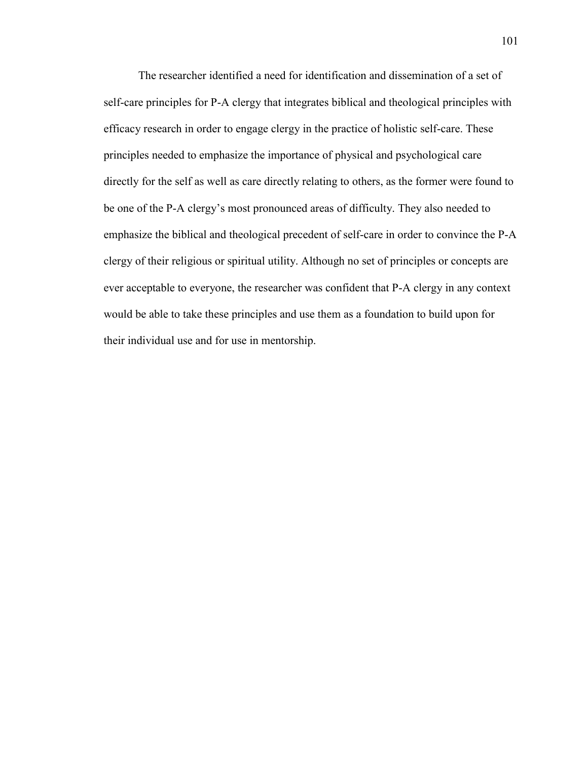The researcher identified a need for identification and dissemination of a set of self-care principles for P-A clergy that integrates biblical and theological principles with efficacy research in order to engage clergy in the practice of holistic self-care. These principles needed to emphasize the importance of physical and psychological care directly for the self as well as care directly relating to others, as the former were found to be one of the P-A clergy's most pronounced areas of difficulty. They also needed to emphasize the biblical and theological precedent of self-care in order to convince the P-A clergy of their religious or spiritual utility. Although no set of principles or concepts are ever acceptable to everyone, the researcher was confident that P-A clergy in any context would be able to take these principles and use them as a foundation to build upon for their individual use and for use in mentorship.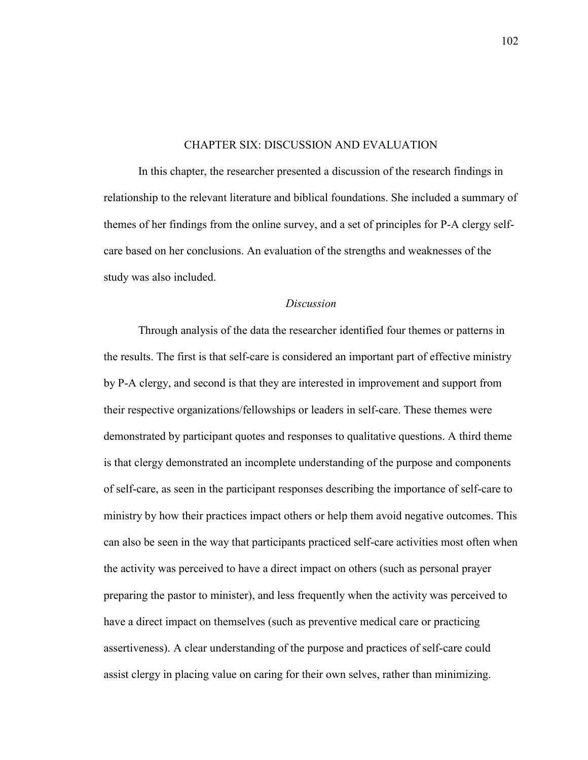### CHAPTER SIX: DISCUSSION AND EVALUATION

 In this chapter, the researcher presented a discussion of the research findings in relationship to the relevant literature and biblical foundations. She included a summary of themes of her findings from the online survey, and a set of principles for P-A clergy selfcare based on her conclusions. An evaluation of the strengths and weaknesses of the study was also included.

#### *Discussion*

Through analysis of the data the researcher identified four themes or patterns in the results. The first is that self-care is considered an important part of effective ministry by P-A clergy, and second is that they are interested in improvement and support from their respective organizations/fellowships or leaders in self-care. These themes were demonstrated by participant quotes and responses to qualitative questions. A third theme is that clergy demonstrated an incomplete understanding of the purpose and components of self-care, as seen in the participant responses describing the importance of self-care to ministry by how their practices impact others or help them avoid negative outcomes. This can also be seen in the way that participants practiced self-care activities most often when the activity was perceived to have a direct impact on others (such as personal prayer preparing the pastor to minister), and less frequently when the activity was perceived to have a direct impact on themselves (such as preventive medical care or practicing assertiveness). A clear understanding of the purpose and practices of self-care could assist clergy in placing value on caring for their own selves, rather than minimizing.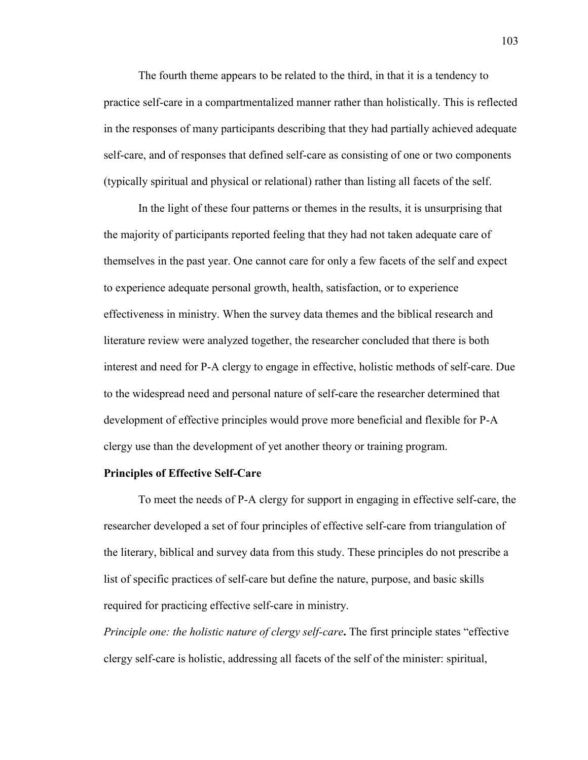The fourth theme appears to be related to the third, in that it is a tendency to practice self-care in a compartmentalized manner rather than holistically. This is reflected in the responses of many participants describing that they had partially achieved adequate self-care, and of responses that defined self-care as consisting of one or two components (typically spiritual and physical or relational) rather than listing all facets of the self.

In the light of these four patterns or themes in the results, it is unsurprising that the majority of participants reported feeling that they had not taken adequate care of themselves in the past year. One cannot care for only a few facets of the self and expect to experience adequate personal growth, health, satisfaction, or to experience effectiveness in ministry. When the survey data themes and the biblical research and literature review were analyzed together, the researcher concluded that there is both interest and need for P-A clergy to engage in effective, holistic methods of self-care. Due to the widespread need and personal nature of self-care the researcher determined that development of effective principles would prove more beneficial and flexible for P-A clergy use than the development of yet another theory or training program.

## **Principles of Effective Self-Care**

To meet the needs of P-A clergy for support in engaging in effective self-care, the researcher developed a set of four principles of effective self-care from triangulation of the literary, biblical and survey data from this study. These principles do not prescribe a list of specific practices of self-care but define the nature, purpose, and basic skills required for practicing effective self-care in ministry.

*Principle one: the holistic nature of clergy self-care.* The first principle states "effective" clergy self-care is holistic, addressing all facets of the self of the minister: spiritual,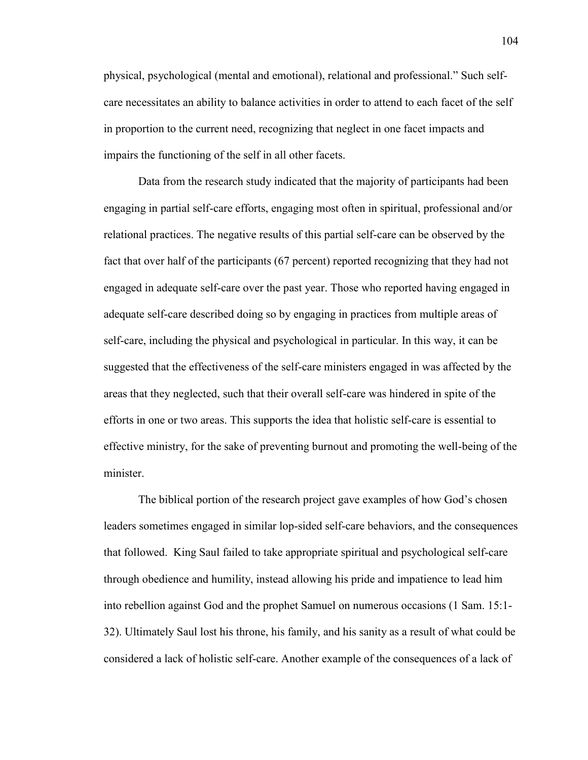physical, psychological (mental and emotional), relational and professional." Such selfcare necessitates an ability to balance activities in order to attend to each facet of the self in proportion to the current need, recognizing that neglect in one facet impacts and impairs the functioning of the self in all other facets.

 Data from the research study indicated that the majority of participants had been engaging in partial self-care efforts, engaging most often in spiritual, professional and/or relational practices. The negative results of this partial self-care can be observed by the fact that over half of the participants (67 percent) reported recognizing that they had not engaged in adequate self-care over the past year. Those who reported having engaged in adequate self-care described doing so by engaging in practices from multiple areas of self-care, including the physical and psychological in particular. In this way, it can be suggested that the effectiveness of the self-care ministers engaged in was affected by the areas that they neglected, such that their overall self-care was hindered in spite of the efforts in one or two areas. This supports the idea that holistic self-care is essential to effective ministry, for the sake of preventing burnout and promoting the well-being of the minister.

The biblical portion of the research project gave examples of how God's chosen leaders sometimes engaged in similar lop-sided self-care behaviors, and the consequences that followed. King Saul failed to take appropriate spiritual and psychological self-care through obedience and humility, instead allowing his pride and impatience to lead him into rebellion against God and the prophet Samuel on numerous occasions (1 Sam. 15:1- 32). Ultimately Saul lost his throne, his family, and his sanity as a result of what could be considered a lack of holistic self-care. Another example of the consequences of a lack of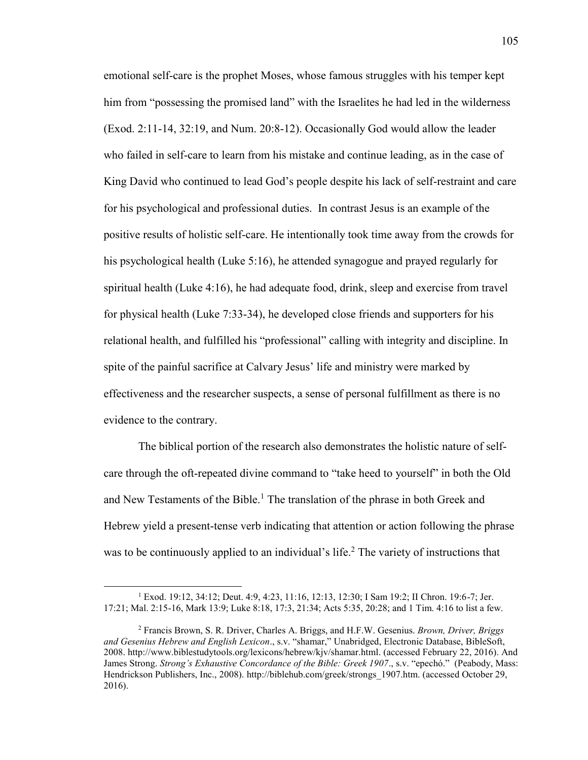emotional self-care is the prophet Moses, whose famous struggles with his temper kept him from "possessing the promised land" with the Israelites he had led in the wilderness (Exod. 2:11-14, 32:19, and Num. 20:8-12). Occasionally God would allow the leader who failed in self-care to learn from his mistake and continue leading, as in the case of King David who continued to lead God's people despite his lack of self-restraint and care for his psychological and professional duties. In contrast Jesus is an example of the positive results of holistic self-care. He intentionally took time away from the crowds for his psychological health (Luke 5:16), he attended synagogue and prayed regularly for spiritual health (Luke 4:16), he had adequate food, drink, sleep and exercise from travel for physical health (Luke 7:33-34), he developed close friends and supporters for his relational health, and fulfilled his "professional" calling with integrity and discipline. In spite of the painful sacrifice at Calvary Jesus' life and ministry were marked by effectiveness and the researcher suspects, a sense of personal fulfillment as there is no evidence to the contrary.

The biblical portion of the research also demonstrates the holistic nature of selfcare through the oft-repeated divine command to "take heed to yourself" in both the Old and New Testaments of the Bible.<sup>1</sup> The translation of the phrase in both Greek and Hebrew yield a present-tense verb indicating that attention or action following the phrase was to be continuously applied to an individual's life.<sup>2</sup> The variety of instructions that

 $\overline{\phantom{a}}$ 

<sup>1</sup> Exod. 19:12, 34:12; Deut. 4:9, 4:23, 11:16, 12:13, 12:30; I Sam 19:2; II Chron. 19:6-7; Jer. 17:21; Mal. 2:15-16, Mark 13:9; Luke 8:18, 17:3, 21:34; Acts 5:35, 20:28; and 1 Tim. 4:16 to list a few.

<sup>2</sup> Francis Brown, S. R. Driver, Charles A. Briggs, and H.F.W. Gesenius. *Brown, Driver, Briggs and Gesenius Hebrew and English Lexicon*., s.v. "shamar," Unabridged, Electronic Database, BibleSoft, 2008. [http://www.biblestudytools.org/lexicons/hebrew/kjv/shamar.html.](http://www.biblestudytools.org/lexicons/hebrew/kjv/shamar.html) (accessed February 22, 2016). And James Strong. *Strong's Exhaustive Concordance of the Bible: Greek 1907*., s.v. "epechó." (Peabody, Mass: Hendrickson Publishers, Inc., 2008). [http://biblehub.com/greek/strongs\\_1907.htm.](http://biblehub.com/greek/strongs_1907.htm) (accessed October 29, 2016).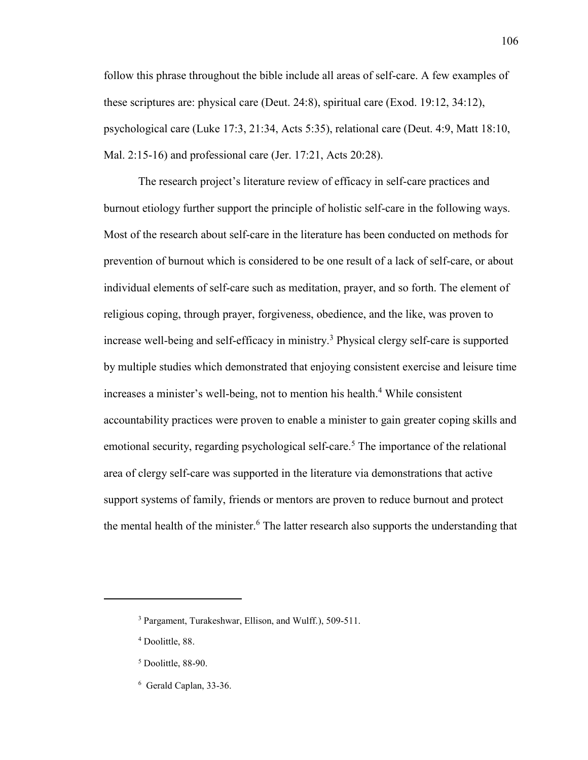follow this phrase throughout the bible include all areas of self-care. A few examples of these scriptures are: physical care (Deut. 24:8), spiritual care (Exod. 19:12, 34:12), psychological care (Luke 17:3, 21:34, Acts 5:35), relational care (Deut. 4:9, Matt 18:10, Mal. 2:15-16) and professional care (Jer. 17:21, Acts 20:28).

The research project's literature review of efficacy in self-care practices and burnout etiology further support the principle of holistic self-care in the following ways. Most of the research about self-care in the literature has been conducted on methods for prevention of burnout which is considered to be one result of a lack of self-care, or about individual elements of self-care such as meditation, prayer, and so forth. The element of religious coping, through prayer, forgiveness, obedience, and the like, was proven to increase well-being and self-efficacy in ministry.<sup>3</sup> Physical clergy self-care is supported by multiple studies which demonstrated that enjoying consistent exercise and leisure time increases a minister's well-being, not to mention his health.<sup>4</sup> While consistent accountability practices were proven to enable a minister to gain greater coping skills and emotional security, regarding psychological self-care.<sup>5</sup> The importance of the relational area of clergy self-care was supported in the literature via demonstrations that active support systems of family, friends or mentors are proven to reduce burnout and protect the mental health of the minister.<sup>6</sup> The latter research also supports the understanding that

 $\overline{a}$ 

106

<sup>3</sup> Pargament, Turakeshwar, Ellison, and Wulff.), 509-511.

<sup>4</sup> Doolittle, 88.

<sup>5</sup> Doolittle, 88-90.

<sup>6</sup> Gerald Caplan, 33-36.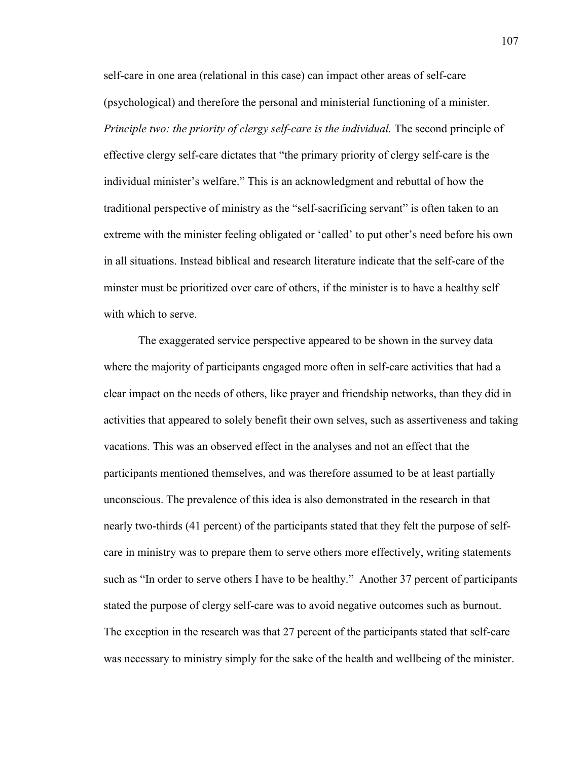self-care in one area (relational in this case) can impact other areas of self-care (psychological) and therefore the personal and ministerial functioning of a minister. *Principle two: the priority of clergy self-care is the individual.* The second principle of effective clergy self-care dictates that "the primary priority of clergy self-care is the individual minister's welfare." This is an acknowledgment and rebuttal of how the traditional perspective of ministry as the "self-sacrificing servant" is often taken to an extreme with the minister feeling obligated or 'called' to put other's need before his own in all situations. Instead biblical and research literature indicate that the self-care of the minster must be prioritized over care of others, if the minister is to have a healthy self with which to serve.

The exaggerated service perspective appeared to be shown in the survey data where the majority of participants engaged more often in self-care activities that had a clear impact on the needs of others, like prayer and friendship networks, than they did in activities that appeared to solely benefit their own selves, such as assertiveness and taking vacations. This was an observed effect in the analyses and not an effect that the participants mentioned themselves, and was therefore assumed to be at least partially unconscious. The prevalence of this idea is also demonstrated in the research in that nearly two-thirds (41 percent) of the participants stated that they felt the purpose of selfcare in ministry was to prepare them to serve others more effectively, writing statements such as "In order to serve others I have to be healthy." Another 37 percent of participants stated the purpose of clergy self-care was to avoid negative outcomes such as burnout. The exception in the research was that 27 percent of the participants stated that self-care was necessary to ministry simply for the sake of the health and wellbeing of the minister.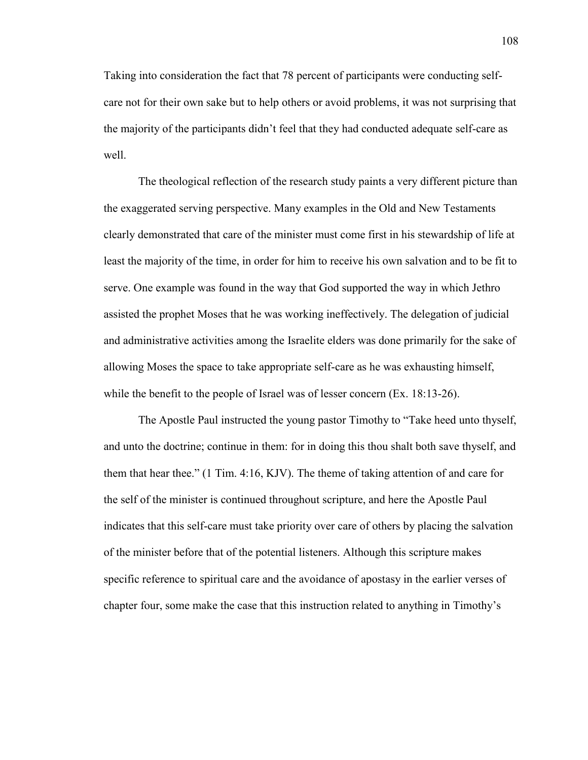Taking into consideration the fact that 78 percent of participants were conducting selfcare not for their own sake but to help others or avoid problems, it was not surprising that the majority of the participants didn't feel that they had conducted adequate self-care as well.

The theological reflection of the research study paints a very different picture than the exaggerated serving perspective. Many examples in the Old and New Testaments clearly demonstrated that care of the minister must come first in his stewardship of life at least the majority of the time, in order for him to receive his own salvation and to be fit to serve. One example was found in the way that God supported the way in which Jethro assisted the prophet Moses that he was working ineffectively. The delegation of judicial and administrative activities among the Israelite elders was done primarily for the sake of allowing Moses the space to take appropriate self-care as he was exhausting himself, while the benefit to the people of Israel was of lesser concern (Ex. 18:13-26).

The Apostle Paul instructed the young pastor Timothy to "Take heed unto thyself, and unto the doctrine; continue in them: for in doing this thou shalt both save thyself, and them that hear thee." (1 Tim. 4:16, KJV). The theme of taking attention of and care for the self of the minister is continued throughout scripture, and here the Apostle Paul indicates that this self-care must take priority over care of others by placing the salvation of the minister before that of the potential listeners. Although this scripture makes specific reference to spiritual care and the avoidance of apostasy in the earlier verses of chapter four, some make the case that this instruction related to anything in Timothy's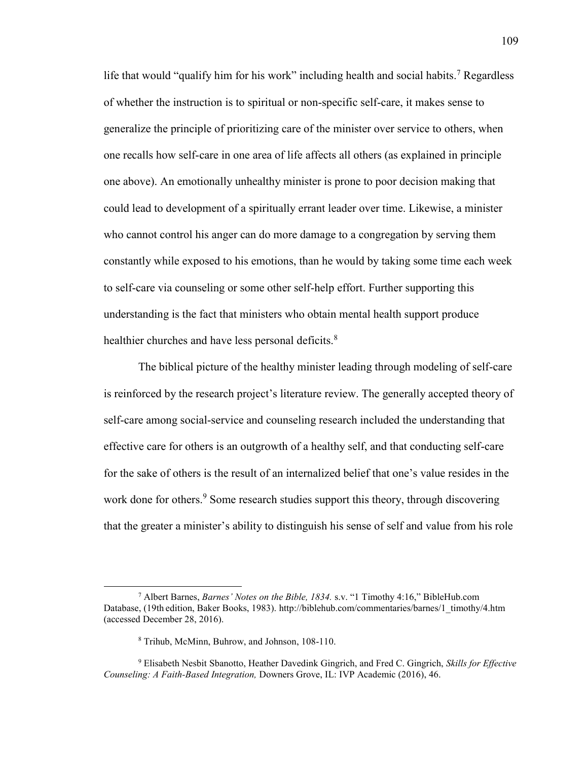life that would "qualify him for his work" including health and social habits.<sup>7</sup> Regardless of whether the instruction is to spiritual or non-specific self-care, it makes sense to generalize the principle of prioritizing care of the minister over service to others, when one recalls how self-care in one area of life affects all others (as explained in principle one above). An emotionally unhealthy minister is prone to poor decision making that could lead to development of a spiritually errant leader over time. Likewise, a minister who cannot control his anger can do more damage to a congregation by serving them constantly while exposed to his emotions, than he would by taking some time each week to self-care via counseling or some other self-help effort. Further supporting this understanding is the fact that ministers who obtain mental health support produce healthier churches and have less personal deficits.<sup>8</sup>

The biblical picture of the healthy minister leading through modeling of self-care is reinforced by the research project's literature review. The generally accepted theory of self-care among social-service and counseling research included the understanding that effective care for others is an outgrowth of a healthy self, and that conducting self-care for the sake of others is the result of an internalized belief that one's value resides in the work done for others.<sup>9</sup> Some research studies support this theory, through discovering that the greater a minister's ability to distinguish his sense of self and value from his role

 $\overline{\phantom{a}}$ 

<sup>7</sup> Albert Barnes, *Barnes' Notes on the Bible, 1834.* s.v. "1 Timothy 4:16," BibleHub.com Database, (19th edition, Baker Books, 1983). http://biblehub.com/commentaries/barnes/1\_timothy/4.htm (accessed December 28, 2016).

<sup>8</sup> Trihub, McMinn, Buhrow, and Johnson, 108-110.

<sup>9</sup> Elisabeth Nesbit Sbanotto, Heather Davedink Gingrich, and Fred C. Gingrich, *Skills for Effective Counseling: A Faith-Based Integration,* Downers Grove, IL: IVP Academic (2016), 46.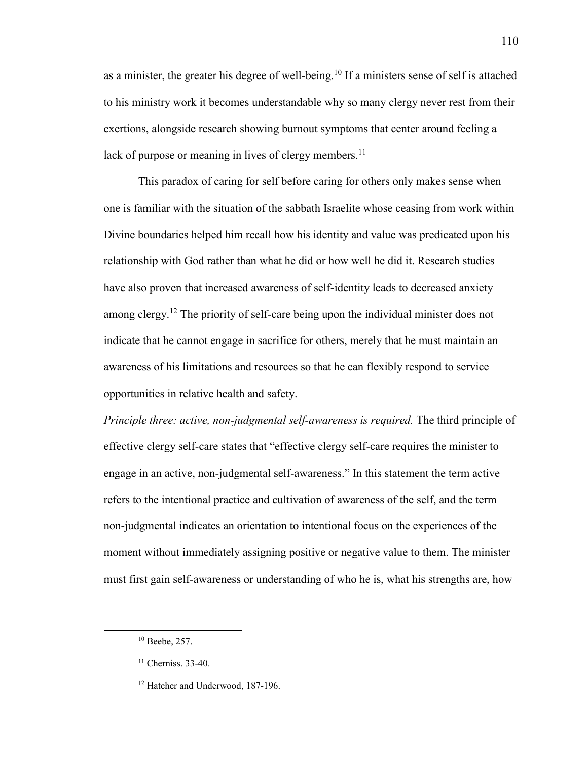as a minister, the greater his degree of well-being.<sup>10</sup> If a ministers sense of self is attached to his ministry work it becomes understandable why so many clergy never rest from their exertions, alongside research showing burnout symptoms that center around feeling a lack of purpose or meaning in lives of clergy members.<sup>11</sup>

This paradox of caring for self before caring for others only makes sense when one is familiar with the situation of the sabbath Israelite whose ceasing from work within Divine boundaries helped him recall how his identity and value was predicated upon his relationship with God rather than what he did or how well he did it. Research studies have also proven that increased awareness of self-identity leads to decreased anxiety among clergy.<sup>12</sup> The priority of self-care being upon the individual minister does not indicate that he cannot engage in sacrifice for others, merely that he must maintain an awareness of his limitations and resources so that he can flexibly respond to service opportunities in relative health and safety.

*Principle three: active, non-judgmental self-awareness is required.* The third principle of effective clergy self-care states that "effective clergy self-care requires the minister to engage in an active, non-judgmental self-awareness." In this statement the term active refers to the intentional practice and cultivation of awareness of the self, and the term non-judgmental indicates an orientation to intentional focus on the experiences of the moment without immediately assigning positive or negative value to them. The minister must first gain self-awareness or understanding of who he is, what his strengths are, how

 $\overline{a}$ 

<sup>10</sup> Beebe, 257.

<sup>&</sup>lt;sup>11</sup> Cherniss. 33-40.

<sup>&</sup>lt;sup>12</sup> Hatcher and Underwood, 187-196.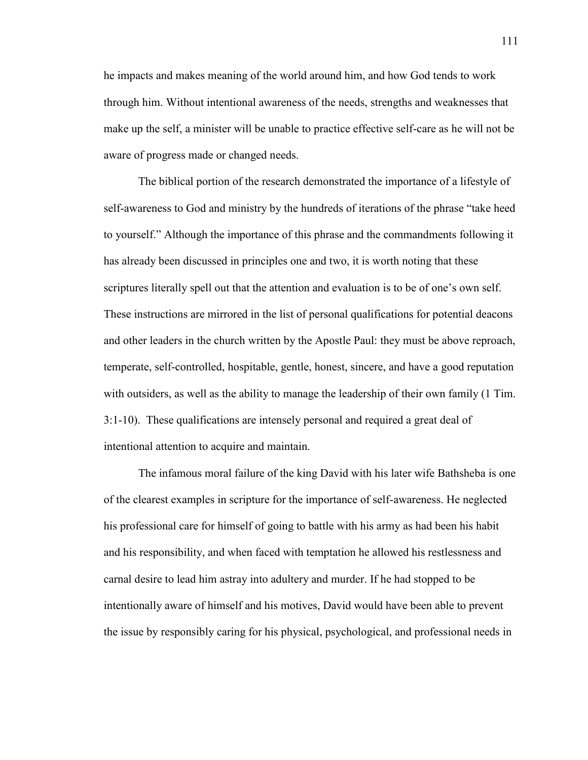he impacts and makes meaning of the world around him, and how God tends to work through him. Without intentional awareness of the needs, strengths and weaknesses that make up the self, a minister will be unable to practice effective self-care as he will not be aware of progress made or changed needs.

 The biblical portion of the research demonstrated the importance of a lifestyle of self-awareness to God and ministry by the hundreds of iterations of the phrase "take heed to yourself." Although the importance of this phrase and the commandments following it has already been discussed in principles one and two, it is worth noting that these scriptures literally spell out that the attention and evaluation is to be of one's own self. These instructions are mirrored in the list of personal qualifications for potential deacons and other leaders in the church written by the Apostle Paul: they must be above reproach, temperate, self-controlled, hospitable, gentle, honest, sincere, and have a good reputation with outsiders, as well as the ability to manage the leadership of their own family (1 Tim. 3:1-10). These qualifications are intensely personal and required a great deal of intentional attention to acquire and maintain.

The infamous moral failure of the king David with his later wife Bathsheba is one of the clearest examples in scripture for the importance of self-awareness. He neglected his professional care for himself of going to battle with his army as had been his habit and his responsibility, and when faced with temptation he allowed his restlessness and carnal desire to lead him astray into adultery and murder. If he had stopped to be intentionally aware of himself and his motives, David would have been able to prevent the issue by responsibly caring for his physical, psychological, and professional needs in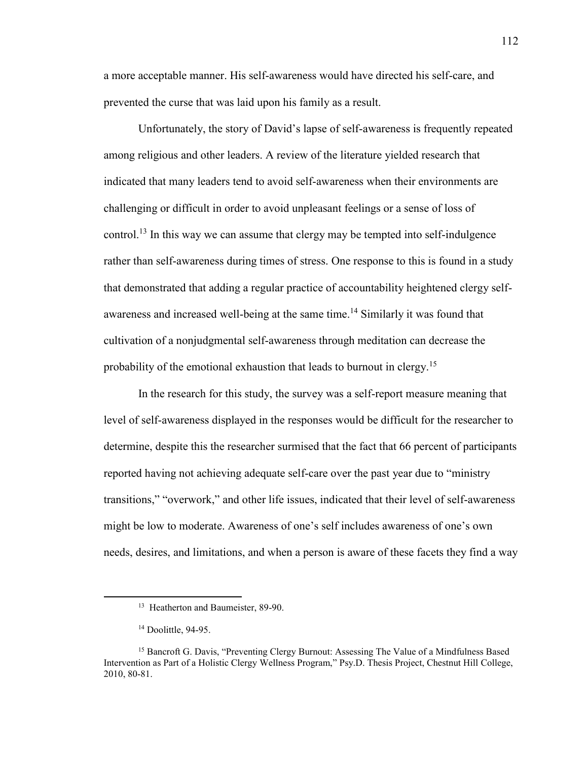a more acceptable manner. His self-awareness would have directed his self-care, and prevented the curse that was laid upon his family as a result.

Unfortunately, the story of David's lapse of self-awareness is frequently repeated among religious and other leaders. A review of the literature yielded research that indicated that many leaders tend to avoid self-awareness when their environments are challenging or difficult in order to avoid unpleasant feelings or a sense of loss of control.<sup>13</sup> In this way we can assume that clergy may be tempted into self-indulgence rather than self-awareness during times of stress. One response to this is found in a study that demonstrated that adding a regular practice of accountability heightened clergy selfawareness and increased well-being at the same time.<sup>14</sup> Similarly it was found that cultivation of a nonjudgmental self-awareness through meditation can decrease the probability of the emotional exhaustion that leads to burnout in clergy.<sup>15</sup>

In the research for this study, the survey was a self-report measure meaning that level of self-awareness displayed in the responses would be difficult for the researcher to determine, despite this the researcher surmised that the fact that 66 percent of participants reported having not achieving adequate self-care over the past year due to "ministry transitions," "overwork," and other life issues, indicated that their level of self-awareness might be low to moderate. Awareness of one's self includes awareness of one's own needs, desires, and limitations, and when a person is aware of these facets they find a way

 $\overline{\phantom{a}}$ 

<sup>&</sup>lt;sup>13</sup> Heatherton and Baumeister, 89-90.

<sup>&</sup>lt;sup>14</sup> Doolittle, 94-95.

<sup>&</sup>lt;sup>15</sup> Bancroft G. Davis, "Preventing Clergy Burnout: Assessing The Value of a Mindfulness Based Intervention as Part of a Holistic Clergy Wellness Program," Psy.D. Thesis Project, Chestnut Hill College, 2010, 80-81.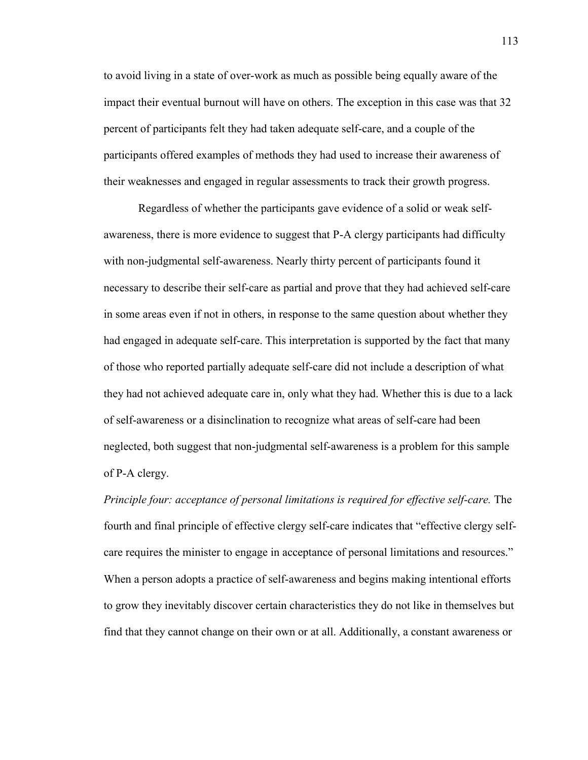to avoid living in a state of over-work as much as possible being equally aware of the impact their eventual burnout will have on others. The exception in this case was that 32 percent of participants felt they had taken adequate self-care, and a couple of the participants offered examples of methods they had used to increase their awareness of their weaknesses and engaged in regular assessments to track their growth progress.

Regardless of whether the participants gave evidence of a solid or weak selfawareness, there is more evidence to suggest that P-A clergy participants had difficulty with non-judgmental self-awareness. Nearly thirty percent of participants found it necessary to describe their self-care as partial and prove that they had achieved self-care in some areas even if not in others, in response to the same question about whether they had engaged in adequate self-care. This interpretation is supported by the fact that many of those who reported partially adequate self-care did not include a description of what they had not achieved adequate care in, only what they had. Whether this is due to a lack of self-awareness or a disinclination to recognize what areas of self-care had been neglected, both suggest that non-judgmental self-awareness is a problem for this sample of P-A clergy.

*Principle four: acceptance of personal limitations is required for effective self-care.* The fourth and final principle of effective clergy self-care indicates that "effective clergy selfcare requires the minister to engage in acceptance of personal limitations and resources." When a person adopts a practice of self-awareness and begins making intentional efforts to grow they inevitably discover certain characteristics they do not like in themselves but find that they cannot change on their own or at all. Additionally, a constant awareness or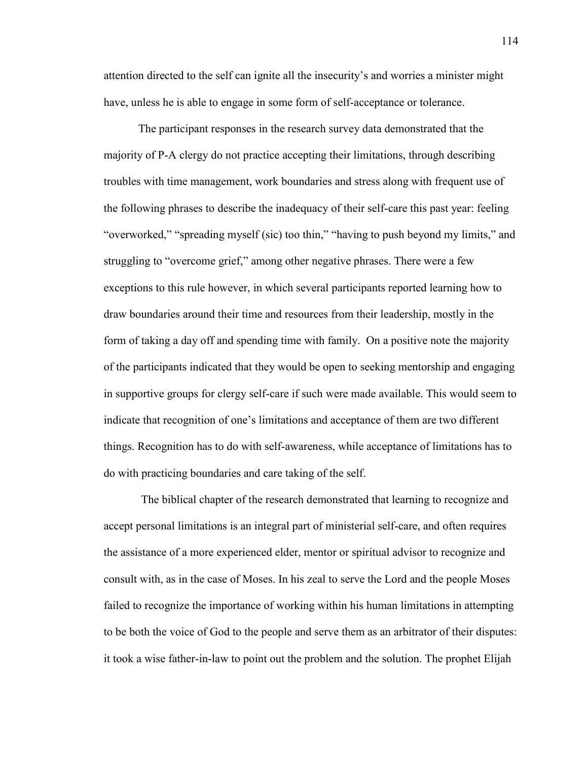attention directed to the self can ignite all the insecurity's and worries a minister might have, unless he is able to engage in some form of self-acceptance or tolerance.

 The participant responses in the research survey data demonstrated that the majority of P-A clergy do not practice accepting their limitations, through describing troubles with time management, work boundaries and stress along with frequent use of the following phrases to describe the inadequacy of their self-care this past year: feeling "overworked," "spreading myself (sic) too thin," "having to push beyond my limits," and struggling to "overcome grief," among other negative phrases. There were a few exceptions to this rule however, in which several participants reported learning how to draw boundaries around their time and resources from their leadership, mostly in the form of taking a day off and spending time with family. On a positive note the majority of the participants indicated that they would be open to seeking mentorship and engaging in supportive groups for clergy self-care if such were made available. This would seem to indicate that recognition of one's limitations and acceptance of them are two different things. Recognition has to do with self-awareness, while acceptance of limitations has to do with practicing boundaries and care taking of the self.

The biblical chapter of the research demonstrated that learning to recognize and accept personal limitations is an integral part of ministerial self-care, and often requires the assistance of a more experienced elder, mentor or spiritual advisor to recognize and consult with, as in the case of Moses. In his zeal to serve the Lord and the people Moses failed to recognize the importance of working within his human limitations in attempting to be both the voice of God to the people and serve them as an arbitrator of their disputes: it took a wise father-in-law to point out the problem and the solution. The prophet Elijah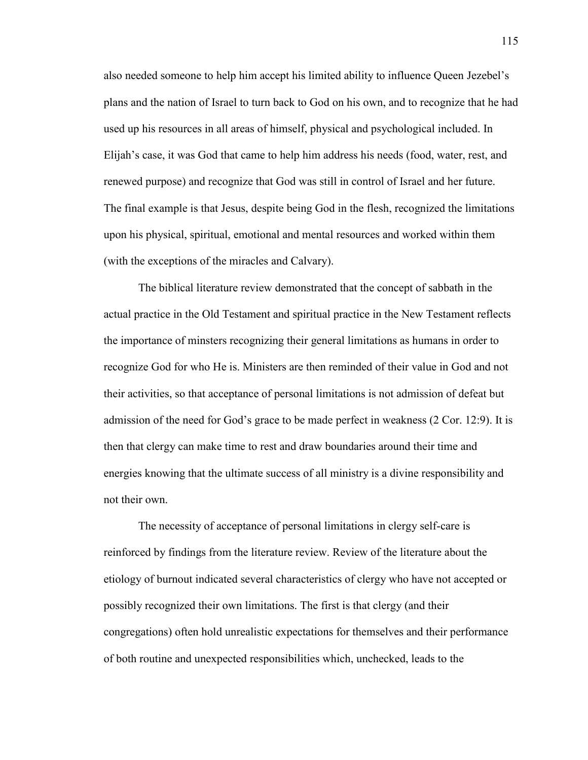also needed someone to help him accept his limited ability to influence Queen Jezebel's plans and the nation of Israel to turn back to God on his own, and to recognize that he had used up his resources in all areas of himself, physical and psychological included. In Elijah's case, it was God that came to help him address his needs (food, water, rest, and renewed purpose) and recognize that God was still in control of Israel and her future. The final example is that Jesus, despite being God in the flesh, recognized the limitations upon his physical, spiritual, emotional and mental resources and worked within them (with the exceptions of the miracles and Calvary).

The biblical literature review demonstrated that the concept of sabbath in the actual practice in the Old Testament and spiritual practice in the New Testament reflects the importance of minsters recognizing their general limitations as humans in order to recognize God for who He is. Ministers are then reminded of their value in God and not their activities, so that acceptance of personal limitations is not admission of defeat but admission of the need for God's grace to be made perfect in weakness (2 Cor. 12:9). It is then that clergy can make time to rest and draw boundaries around their time and energies knowing that the ultimate success of all ministry is a divine responsibility and not their own.

The necessity of acceptance of personal limitations in clergy self-care is reinforced by findings from the literature review. Review of the literature about the etiology of burnout indicated several characteristics of clergy who have not accepted or possibly recognized their own limitations. The first is that clergy (and their congregations) often hold unrealistic expectations for themselves and their performance of both routine and unexpected responsibilities which, unchecked, leads to the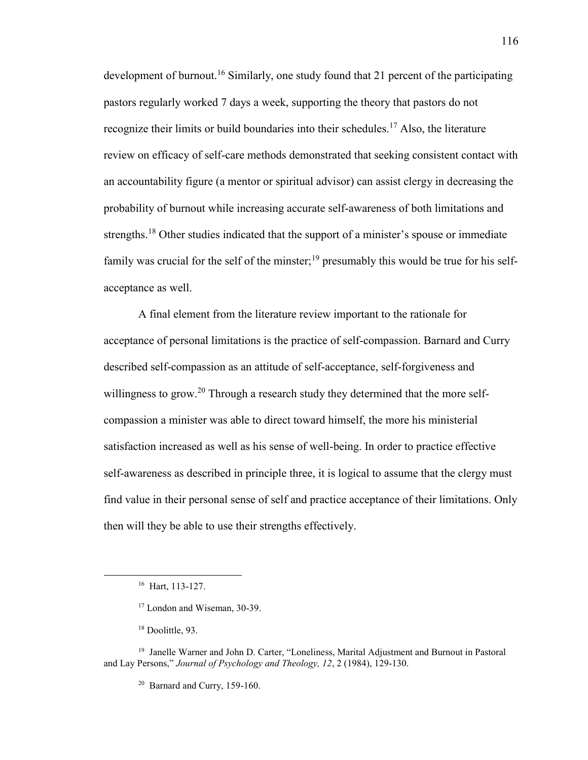development of burnout.<sup>16</sup> Similarly, one study found that 21 percent of the participating pastors regularly worked 7 days a week, supporting the theory that pastors do not recognize their limits or build boundaries into their schedules.<sup>17</sup> Also, the literature review on efficacy of self-care methods demonstrated that seeking consistent contact with an accountability figure (a mentor or spiritual advisor) can assist clergy in decreasing the probability of burnout while increasing accurate self-awareness of both limitations and strengths.<sup>18</sup> Other studies indicated that the support of a minister's spouse or immediate family was crucial for the self of the minster;<sup>19</sup> presumably this would be true for his selfacceptance as well.

A final element from the literature review important to the rationale for acceptance of personal limitations is the practice of self-compassion. Barnard and Curry described self-compassion as an attitude of self-acceptance, self-forgiveness and willingness to grow.<sup>20</sup> Through a research study they determined that the more selfcompassion a minister was able to direct toward himself, the more his ministerial satisfaction increased as well as his sense of well-being. In order to practice effective self-awareness as described in principle three, it is logical to assume that the clergy must find value in their personal sense of self and practice acceptance of their limitations. Only then will they be able to use their strengths effectively.

 $\overline{\phantom{a}}$ 

<sup>16</sup> Hart, 113-127.

<sup>17</sup> London and Wiseman, 30-39.

<sup>&</sup>lt;sup>18</sup> Doolittle, 93.

<sup>&</sup>lt;sup>19</sup> Janelle Warner and John D. Carter, "Loneliness, Marital Adjustment and Burnout in Pastoral and Lay Persons," *Journal of Psychology and Theology, 12*, 2 (1984), 129-130.

 $20$  Barnard and Curry, 159-160.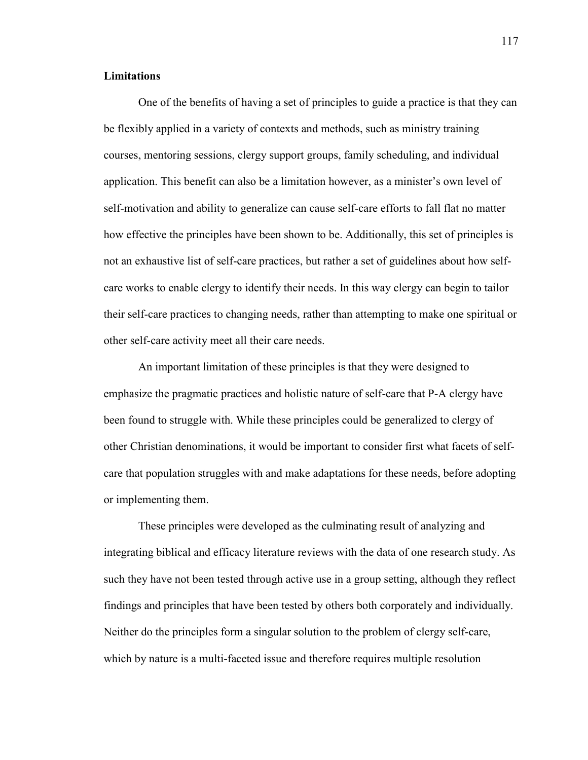# **Limitations**

One of the benefits of having a set of principles to guide a practice is that they can be flexibly applied in a variety of contexts and methods, such as ministry training courses, mentoring sessions, clergy support groups, family scheduling, and individual application. This benefit can also be a limitation however, as a minister's own level of self-motivation and ability to generalize can cause self-care efforts to fall flat no matter how effective the principles have been shown to be. Additionally, this set of principles is not an exhaustive list of self-care practices, but rather a set of guidelines about how selfcare works to enable clergy to identify their needs. In this way clergy can begin to tailor their self-care practices to changing needs, rather than attempting to make one spiritual or other self-care activity meet all their care needs.

 An important limitation of these principles is that they were designed to emphasize the pragmatic practices and holistic nature of self-care that P-A clergy have been found to struggle with. While these principles could be generalized to clergy of other Christian denominations, it would be important to consider first what facets of selfcare that population struggles with and make adaptations for these needs, before adopting or implementing them.

 These principles were developed as the culminating result of analyzing and integrating biblical and efficacy literature reviews with the data of one research study. As such they have not been tested through active use in a group setting, although they reflect findings and principles that have been tested by others both corporately and individually. Neither do the principles form a singular solution to the problem of clergy self-care, which by nature is a multi-faceted issue and therefore requires multiple resolution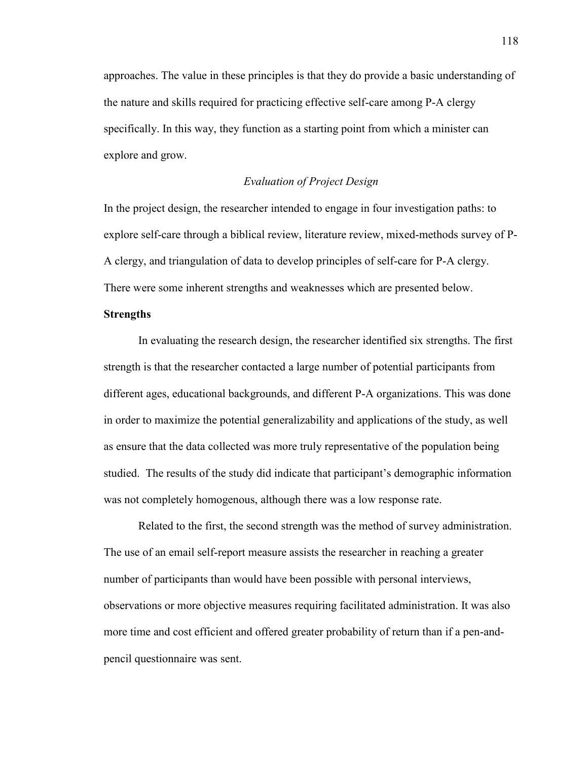approaches. The value in these principles is that they do provide a basic understanding of the nature and skills required for practicing effective self-care among P-A clergy specifically. In this way, they function as a starting point from which a minister can explore and grow.

# *Evaluation of Project Design*

In the project design, the researcher intended to engage in four investigation paths: to explore self-care through a biblical review, literature review, mixed-methods survey of P-A clergy, and triangulation of data to develop principles of self-care for P-A clergy. There were some inherent strengths and weaknesses which are presented below.

# **Strengths**

In evaluating the research design, the researcher identified six strengths. The first strength is that the researcher contacted a large number of potential participants from different ages, educational backgrounds, and different P-A organizations. This was done in order to maximize the potential generalizability and applications of the study, as well as ensure that the data collected was more truly representative of the population being studied. The results of the study did indicate that participant's demographic information was not completely homogenous, although there was a low response rate.

 Related to the first, the second strength was the method of survey administration. The use of an email self-report measure assists the researcher in reaching a greater number of participants than would have been possible with personal interviews, observations or more objective measures requiring facilitated administration. It was also more time and cost efficient and offered greater probability of return than if a pen-andpencil questionnaire was sent.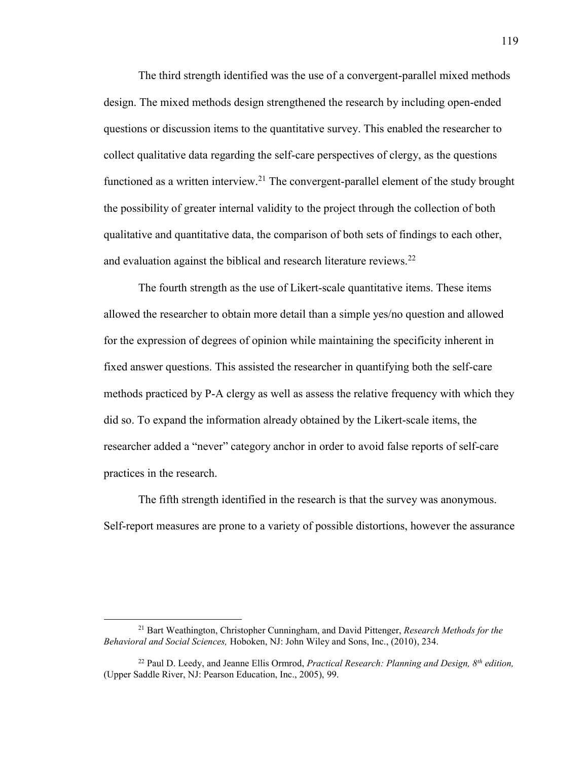The third strength identified was the use of a convergent-parallel mixed methods design. The mixed methods design strengthened the research by including open-ended questions or discussion items to the quantitative survey. This enabled the researcher to collect qualitative data regarding the self-care perspectives of clergy, as the questions functioned as a written interview.<sup>21</sup> The convergent-parallel element of the study brought the possibility of greater internal validity to the project through the collection of both qualitative and quantitative data, the comparison of both sets of findings to each other, and evaluation against the biblical and research literature reviews.<sup>22</sup>

 The fourth strength as the use of Likert-scale quantitative items. These items allowed the researcher to obtain more detail than a simple yes/no question and allowed for the expression of degrees of opinion while maintaining the specificity inherent in fixed answer questions. This assisted the researcher in quantifying both the self-care methods practiced by P-A clergy as well as assess the relative frequency with which they did so. To expand the information already obtained by the Likert-scale items, the researcher added a "never" category anchor in order to avoid false reports of self-care practices in the research.

 The fifth strength identified in the research is that the survey was anonymous. Self-report measures are prone to a variety of possible distortions, however the assurance

l

<sup>21</sup> Bart Weathington, Christopher Cunningham, and David Pittenger, *Research Methods for the Behavioral and Social Sciences,* Hoboken, NJ: John Wiley and Sons, Inc., (2010), 234.

<sup>22</sup> Paul D. Leedy, and Jeanne Ellis Ormrod, *Practical Research: Planning and Design, 8th edition,*  (Upper Saddle River, NJ: Pearson Education, Inc., 2005), 99.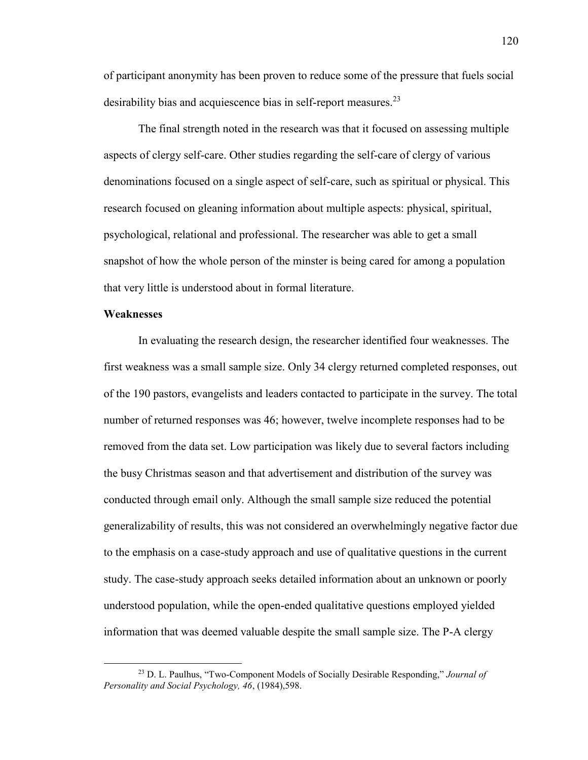of participant anonymity has been proven to reduce some of the pressure that fuels social desirability bias and acquiescence bias in self-report measures.<sup>23</sup>

 The final strength noted in the research was that it focused on assessing multiple aspects of clergy self-care. Other studies regarding the self-care of clergy of various denominations focused on a single aspect of self-care, such as spiritual or physical. This research focused on gleaning information about multiple aspects: physical, spiritual, psychological, relational and professional. The researcher was able to get a small snapshot of how the whole person of the minster is being cared for among a population that very little is understood about in formal literature.

# **Weaknesses**

 $\overline{\phantom{a}}$ 

In evaluating the research design, the researcher identified four weaknesses. The first weakness was a small sample size. Only 34 clergy returned completed responses, out of the 190 pastors, evangelists and leaders contacted to participate in the survey. The total number of returned responses was 46; however, twelve incomplete responses had to be removed from the data set. Low participation was likely due to several factors including the busy Christmas season and that advertisement and distribution of the survey was conducted through email only. Although the small sample size reduced the potential generalizability of results, this was not considered an overwhelmingly negative factor due to the emphasis on a case-study approach and use of qualitative questions in the current study. The case-study approach seeks detailed information about an unknown or poorly understood population, while the open-ended qualitative questions employed yielded information that was deemed valuable despite the small sample size. The P-A clergy

<sup>23</sup> D. L. Paulhus, "Two-Component Models of Socially Desirable Responding," *Journal of Personality and Social Psychology, 46*, (1984),598.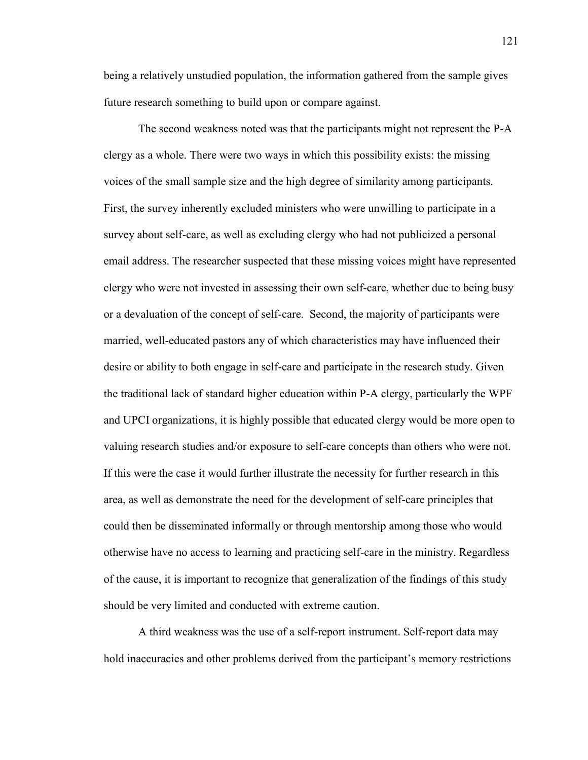being a relatively unstudied population, the information gathered from the sample gives future research something to build upon or compare against.

The second weakness noted was that the participants might not represent the P-A clergy as a whole. There were two ways in which this possibility exists: the missing voices of the small sample size and the high degree of similarity among participants. First, the survey inherently excluded ministers who were unwilling to participate in a survey about self-care, as well as excluding clergy who had not publicized a personal email address. The researcher suspected that these missing voices might have represented clergy who were not invested in assessing their own self-care, whether due to being busy or a devaluation of the concept of self-care. Second, the majority of participants were married, well-educated pastors any of which characteristics may have influenced their desire or ability to both engage in self-care and participate in the research study. Given the traditional lack of standard higher education within P-A clergy, particularly the WPF and UPCI organizations, it is highly possible that educated clergy would be more open to valuing research studies and/or exposure to self-care concepts than others who were not. If this were the case it would further illustrate the necessity for further research in this area, as well as demonstrate the need for the development of self-care principles that could then be disseminated informally or through mentorship among those who would otherwise have no access to learning and practicing self-care in the ministry. Regardless of the cause, it is important to recognize that generalization of the findings of this study should be very limited and conducted with extreme caution.

A third weakness was the use of a self-report instrument. Self-report data may hold inaccuracies and other problems derived from the participant's memory restrictions

121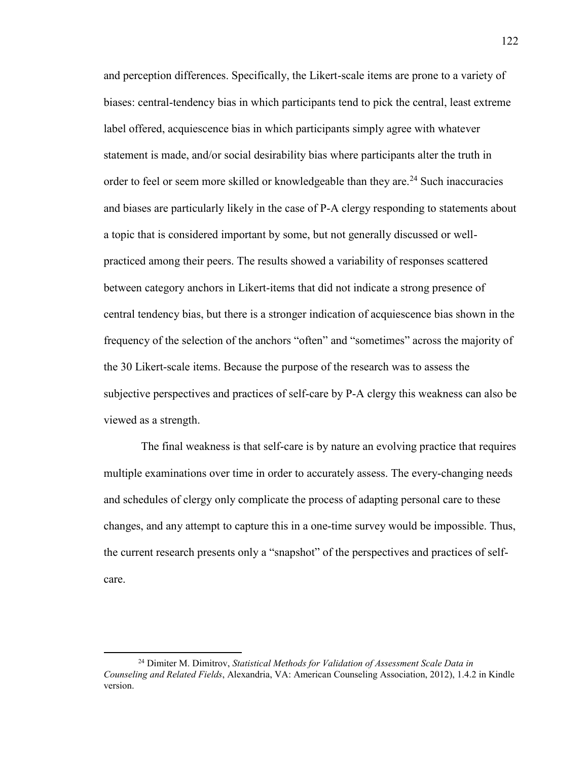and perception differences. Specifically, the Likert-scale items are prone to a variety of biases: central-tendency bias in which participants tend to pick the central, least extreme label offered, acquiescence bias in which participants simply agree with whatever statement is made, and/or social desirability bias where participants alter the truth in order to feel or seem more skilled or knowledgeable than they are.<sup>24</sup> Such inaccuracies and biases are particularly likely in the case of P-A clergy responding to statements about a topic that is considered important by some, but not generally discussed or wellpracticed among their peers. The results showed a variability of responses scattered between category anchors in Likert-items that did not indicate a strong presence of central tendency bias, but there is a stronger indication of acquiescence bias shown in the frequency of the selection of the anchors "often" and "sometimes" across the majority of the 30 Likert-scale items. Because the purpose of the research was to assess the subjective perspectives and practices of self-care by P-A clergy this weakness can also be viewed as a strength.

The final weakness is that self-care is by nature an evolving practice that requires multiple examinations over time in order to accurately assess. The every-changing needs and schedules of clergy only complicate the process of adapting personal care to these changes, and any attempt to capture this in a one-time survey would be impossible. Thus, the current research presents only a "snapshot" of the perspectives and practices of selfcare.

 $\overline{\phantom{a}}$ 

<sup>24</sup> Dimiter M. Dimitrov, *Statistical Methods for Validation of Assessment Scale Data in Counseling and Related Fields*, Alexandria, VA: American Counseling Association, 2012), 1.4.2 in Kindle version.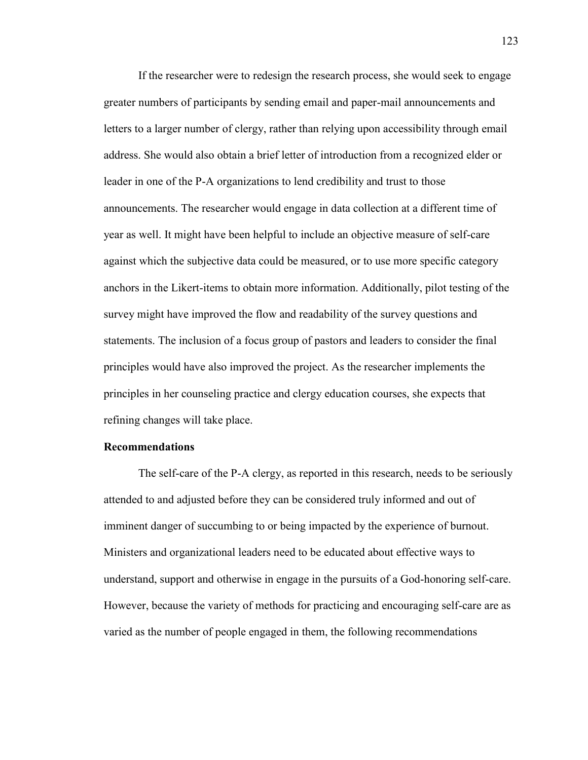If the researcher were to redesign the research process, she would seek to engage greater numbers of participants by sending email and paper-mail announcements and letters to a larger number of clergy, rather than relying upon accessibility through email address. She would also obtain a brief letter of introduction from a recognized elder or leader in one of the P-A organizations to lend credibility and trust to those announcements. The researcher would engage in data collection at a different time of year as well. It might have been helpful to include an objective measure of self-care against which the subjective data could be measured, or to use more specific category anchors in the Likert-items to obtain more information. Additionally, pilot testing of the survey might have improved the flow and readability of the survey questions and statements. The inclusion of a focus group of pastors and leaders to consider the final principles would have also improved the project. As the researcher implements the principles in her counseling practice and clergy education courses, she expects that refining changes will take place.

## **Recommendations**

The self-care of the P-A clergy, as reported in this research, needs to be seriously attended to and adjusted before they can be considered truly informed and out of imminent danger of succumbing to or being impacted by the experience of burnout. Ministers and organizational leaders need to be educated about effective ways to understand, support and otherwise in engage in the pursuits of a God-honoring self-care. However, because the variety of methods for practicing and encouraging self-care are as varied as the number of people engaged in them, the following recommendations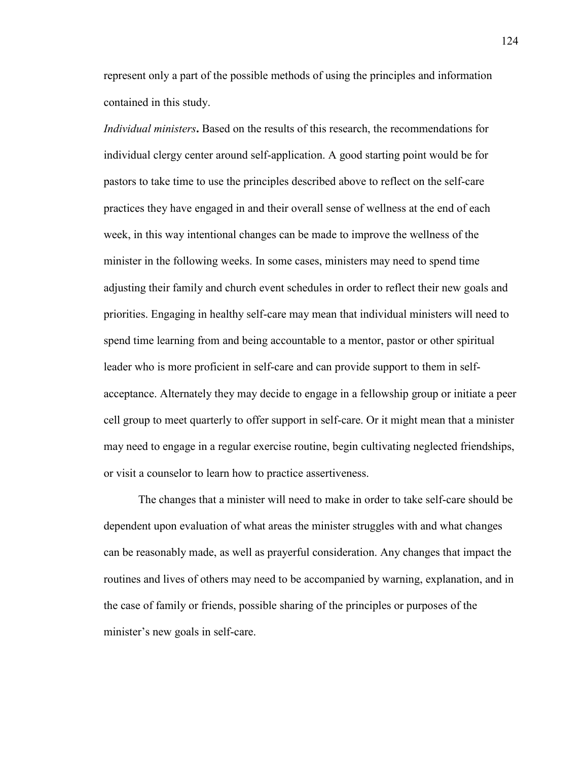represent only a part of the possible methods of using the principles and information contained in this study.

*Individual ministers***.** Based on the results of this research, the recommendations for individual clergy center around self-application. A good starting point would be for pastors to take time to use the principles described above to reflect on the self-care practices they have engaged in and their overall sense of wellness at the end of each week, in this way intentional changes can be made to improve the wellness of the minister in the following weeks. In some cases, ministers may need to spend time adjusting their family and church event schedules in order to reflect their new goals and priorities. Engaging in healthy self-care may mean that individual ministers will need to spend time learning from and being accountable to a mentor, pastor or other spiritual leader who is more proficient in self-care and can provide support to them in selfacceptance. Alternately they may decide to engage in a fellowship group or initiate a peer cell group to meet quarterly to offer support in self-care. Or it might mean that a minister may need to engage in a regular exercise routine, begin cultivating neglected friendships, or visit a counselor to learn how to practice assertiveness.

The changes that a minister will need to make in order to take self-care should be dependent upon evaluation of what areas the minister struggles with and what changes can be reasonably made, as well as prayerful consideration. Any changes that impact the routines and lives of others may need to be accompanied by warning, explanation, and in the case of family or friends, possible sharing of the principles or purposes of the minister's new goals in self-care.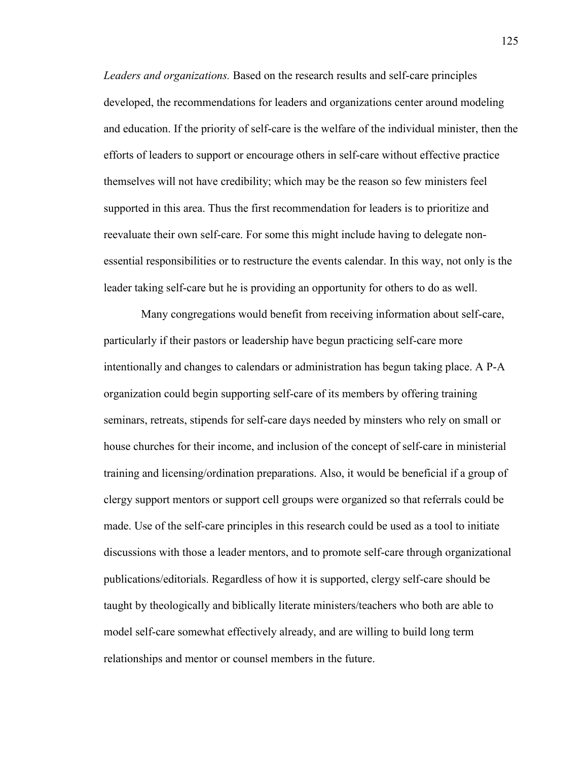*Leaders and organizations.* Based on the research results and self-care principles developed, the recommendations for leaders and organizations center around modeling and education. If the priority of self-care is the welfare of the individual minister, then the efforts of leaders to support or encourage others in self-care without effective practice themselves will not have credibility; which may be the reason so few ministers feel supported in this area. Thus the first recommendation for leaders is to prioritize and reevaluate their own self-care. For some this might include having to delegate nonessential responsibilities or to restructure the events calendar. In this way, not only is the leader taking self-care but he is providing an opportunity for others to do as well.

Many congregations would benefit from receiving information about self-care, particularly if their pastors or leadership have begun practicing self-care more intentionally and changes to calendars or administration has begun taking place. A P-A organization could begin supporting self-care of its members by offering training seminars, retreats, stipends for self-care days needed by minsters who rely on small or house churches for their income, and inclusion of the concept of self-care in ministerial training and licensing/ordination preparations. Also, it would be beneficial if a group of clergy support mentors or support cell groups were organized so that referrals could be made. Use of the self-care principles in this research could be used as a tool to initiate discussions with those a leader mentors, and to promote self-care through organizational publications/editorials. Regardless of how it is supported, clergy self-care should be taught by theologically and biblically literate ministers/teachers who both are able to model self-care somewhat effectively already, and are willing to build long term relationships and mentor or counsel members in the future.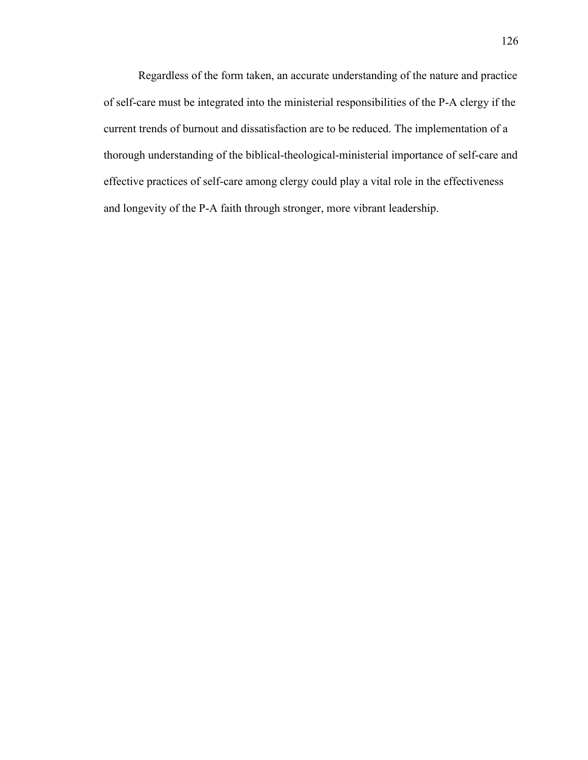Regardless of the form taken, an accurate understanding of the nature and practice of self-care must be integrated into the ministerial responsibilities of the P-A clergy if the current trends of burnout and dissatisfaction are to be reduced. The implementation of a thorough understanding of the biblical-theological-ministerial importance of self-care and effective practices of self-care among clergy could play a vital role in the effectiveness and longevity of the P-A faith through stronger, more vibrant leadership.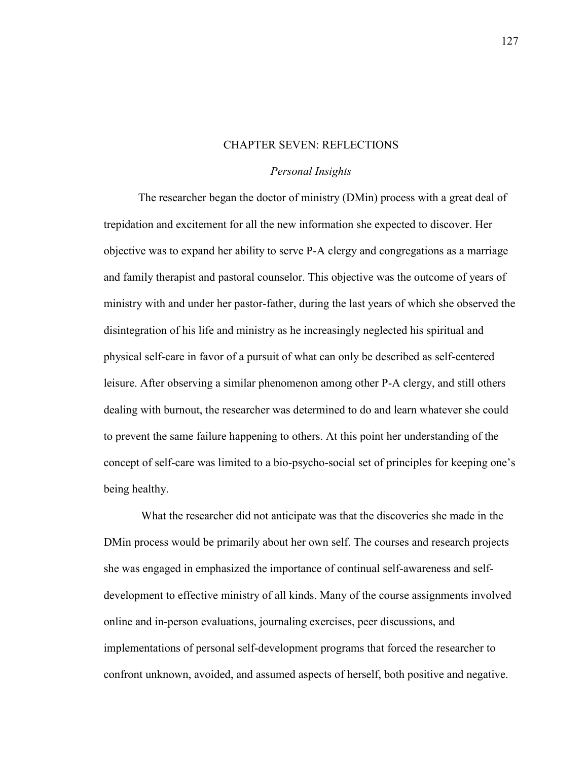### CHAPTER SEVEN: REFLECTIONS

# *Personal Insights*

The researcher began the doctor of ministry (DMin) process with a great deal of trepidation and excitement for all the new information she expected to discover. Her objective was to expand her ability to serve P-A clergy and congregations as a marriage and family therapist and pastoral counselor. This objective was the outcome of years of ministry with and under her pastor-father, during the last years of which she observed the disintegration of his life and ministry as he increasingly neglected his spiritual and physical self-care in favor of a pursuit of what can only be described as self-centered leisure. After observing a similar phenomenon among other P-A clergy, and still others dealing with burnout, the researcher was determined to do and learn whatever she could to prevent the same failure happening to others. At this point her understanding of the concept of self-care was limited to a bio-psycho-social set of principles for keeping one's being healthy.

What the researcher did not anticipate was that the discoveries she made in the DMin process would be primarily about her own self. The courses and research projects she was engaged in emphasized the importance of continual self-awareness and selfdevelopment to effective ministry of all kinds. Many of the course assignments involved online and in-person evaluations, journaling exercises, peer discussions, and implementations of personal self-development programs that forced the researcher to confront unknown, avoided, and assumed aspects of herself, both positive and negative.

127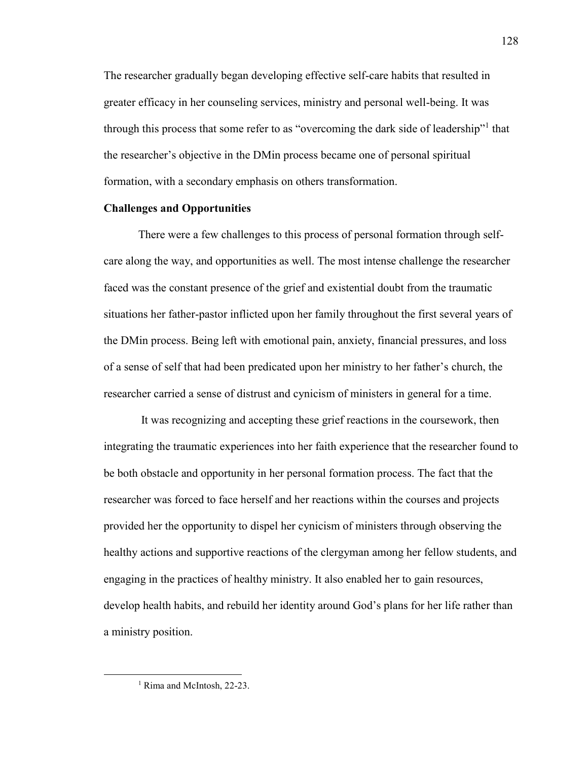The researcher gradually began developing effective self-care habits that resulted in greater efficacy in her counseling services, ministry and personal well-being. It was through this process that some refer to as "overcoming the dark side of leadership"<sup>1</sup> that the researcher's objective in the DMin process became one of personal spiritual formation, with a secondary emphasis on others transformation.

# **Challenges and Opportunities**

 There were a few challenges to this process of personal formation through selfcare along the way, and opportunities as well. The most intense challenge the researcher faced was the constant presence of the grief and existential doubt from the traumatic situations her father-pastor inflicted upon her family throughout the first several years of the DMin process. Being left with emotional pain, anxiety, financial pressures, and loss of a sense of self that had been predicated upon her ministry to her father's church, the researcher carried a sense of distrust and cynicism of ministers in general for a time.

 It was recognizing and accepting these grief reactions in the coursework, then integrating the traumatic experiences into her faith experience that the researcher found to be both obstacle and opportunity in her personal formation process. The fact that the researcher was forced to face herself and her reactions within the courses and projects provided her the opportunity to dispel her cynicism of ministers through observing the healthy actions and supportive reactions of the clergyman among her fellow students, and engaging in the practices of healthy ministry. It also enabled her to gain resources, develop health habits, and rebuild her identity around God's plans for her life rather than a ministry position.

 $\overline{\phantom{a}}$ 

<sup>&</sup>lt;sup>1</sup> Rima and McIntosh, 22-23.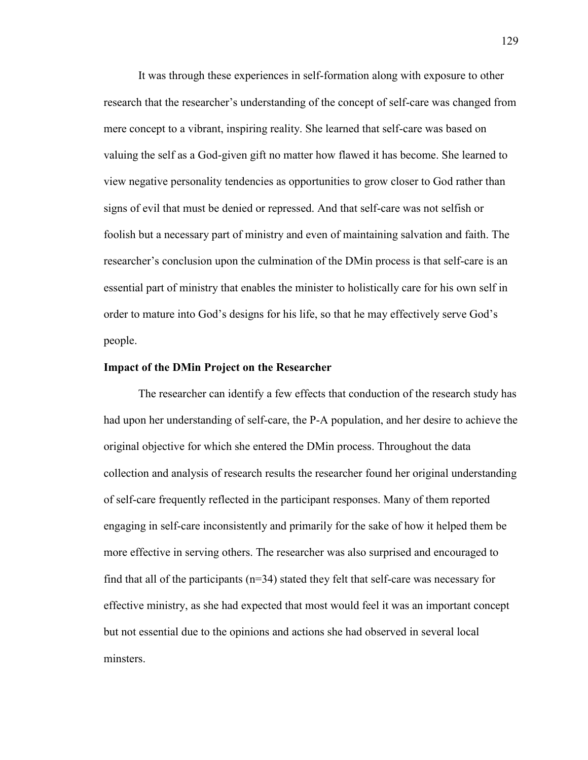It was through these experiences in self-formation along with exposure to other research that the researcher's understanding of the concept of self-care was changed from mere concept to a vibrant, inspiring reality. She learned that self-care was based on valuing the self as a God-given gift no matter how flawed it has become. She learned to view negative personality tendencies as opportunities to grow closer to God rather than signs of evil that must be denied or repressed. And that self-care was not selfish or foolish but a necessary part of ministry and even of maintaining salvation and faith. The researcher's conclusion upon the culmination of the DMin process is that self-care is an essential part of ministry that enables the minister to holistically care for his own self in order to mature into God's designs for his life, so that he may effectively serve God's people.

# **Impact of the DMin Project on the Researcher**

 The researcher can identify a few effects that conduction of the research study has had upon her understanding of self-care, the P-A population, and her desire to achieve the original objective for which she entered the DMin process. Throughout the data collection and analysis of research results the researcher found her original understanding of self-care frequently reflected in the participant responses. Many of them reported engaging in self-care inconsistently and primarily for the sake of how it helped them be more effective in serving others. The researcher was also surprised and encouraged to find that all of the participants  $(n=34)$  stated they felt that self-care was necessary for effective ministry, as she had expected that most would feel it was an important concept but not essential due to the opinions and actions she had observed in several local minsters.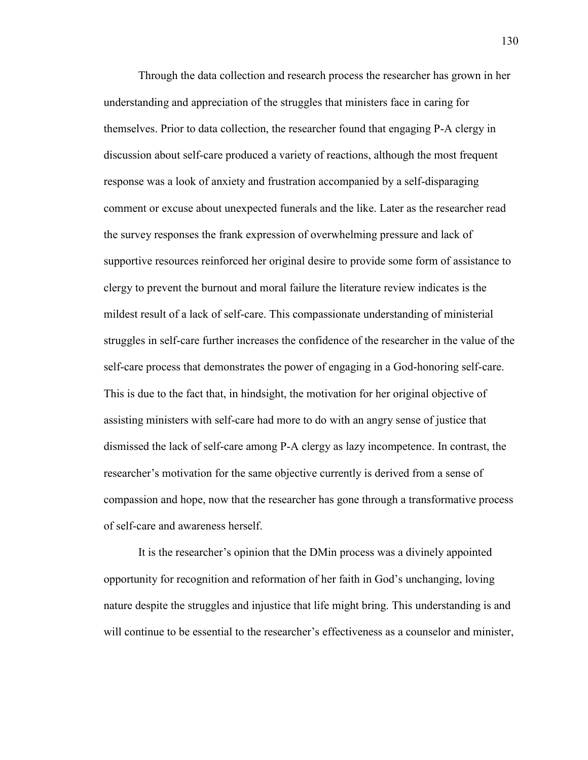Through the data collection and research process the researcher has grown in her understanding and appreciation of the struggles that ministers face in caring for themselves. Prior to data collection, the researcher found that engaging P-A clergy in discussion about self-care produced a variety of reactions, although the most frequent response was a look of anxiety and frustration accompanied by a self-disparaging comment or excuse about unexpected funerals and the like. Later as the researcher read the survey responses the frank expression of overwhelming pressure and lack of supportive resources reinforced her original desire to provide some form of assistance to clergy to prevent the burnout and moral failure the literature review indicates is the mildest result of a lack of self-care. This compassionate understanding of ministerial struggles in self-care further increases the confidence of the researcher in the value of the self-care process that demonstrates the power of engaging in a God-honoring self-care. This is due to the fact that, in hindsight, the motivation for her original objective of assisting ministers with self-care had more to do with an angry sense of justice that dismissed the lack of self-care among P-A clergy as lazy incompetence. In contrast, the researcher's motivation for the same objective currently is derived from a sense of compassion and hope, now that the researcher has gone through a transformative process of self-care and awareness herself.

It is the researcher's opinion that the DMin process was a divinely appointed opportunity for recognition and reformation of her faith in God's unchanging, loving nature despite the struggles and injustice that life might bring. This understanding is and will continue to be essential to the researcher's effectiveness as a counselor and minister,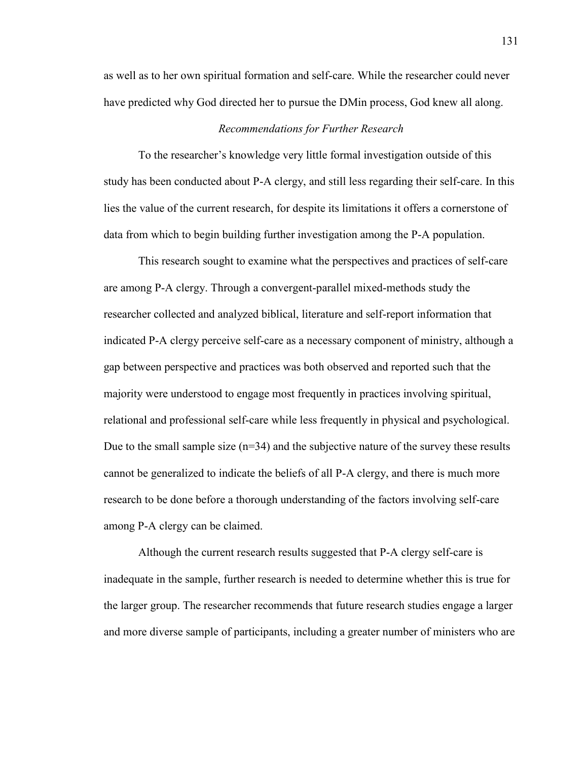as well as to her own spiritual formation and self-care. While the researcher could never have predicted why God directed her to pursue the DMin process, God knew all along.

# *Recommendations for Further Research*

 To the researcher's knowledge very little formal investigation outside of this study has been conducted about P-A clergy, and still less regarding their self-care. In this lies the value of the current research, for despite its limitations it offers a cornerstone of data from which to begin building further investigation among the P-A population.

 This research sought to examine what the perspectives and practices of self-care are among P-A clergy. Through a convergent-parallel mixed-methods study the researcher collected and analyzed biblical, literature and self-report information that indicated P-A clergy perceive self-care as a necessary component of ministry, although a gap between perspective and practices was both observed and reported such that the majority were understood to engage most frequently in practices involving spiritual, relational and professional self-care while less frequently in physical and psychological. Due to the small sample size  $(n=34)$  and the subjective nature of the survey these results cannot be generalized to indicate the beliefs of all P-A clergy, and there is much more research to be done before a thorough understanding of the factors involving self-care among P-A clergy can be claimed.

 Although the current research results suggested that P-A clergy self-care is inadequate in the sample, further research is needed to determine whether this is true for the larger group. The researcher recommends that future research studies engage a larger and more diverse sample of participants, including a greater number of ministers who are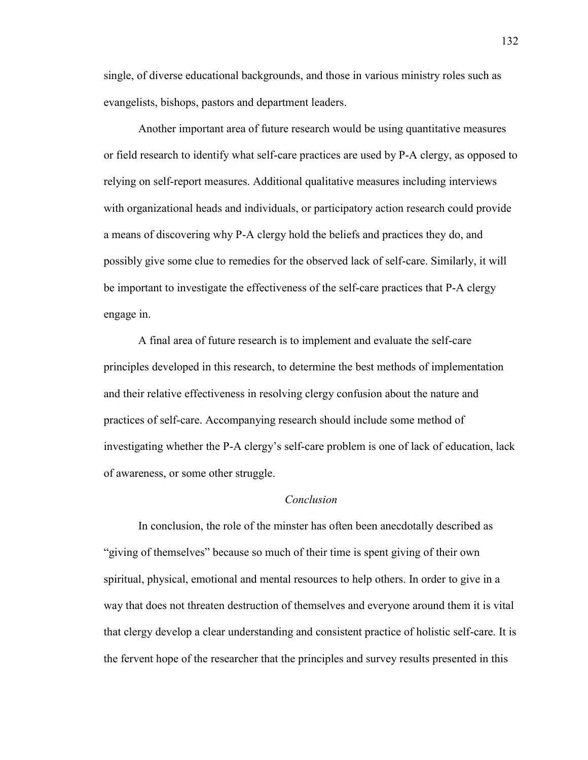single, of diverse educational backgrounds, and those in various ministry roles such as evangelists, bishops, pastors and department leaders.

 Another important area of future research would be using quantitative measures or field research to identify what self-care practices are used by P-A clergy, as opposed to relying on self-report measures. Additional qualitative measures including interviews with organizational heads and individuals, or participatory action research could provide a means of discovering why P-A clergy hold the beliefs and practices they do, and possibly give some clue to remedies for the observed lack of self-care. Similarly, it will be important to investigate the effectiveness of the self-care practices that P-A clergy engage in.

 A final area of future research is to implement and evaluate the self-care principles developed in this research, to determine the best methods of implementation and their relative effectiveness in resolving clergy confusion about the nature and practices of self-care. Accompanying research should include some method of investigating whether the P-A clergy's self-care problem is one of lack of education, lack of awareness, or some other struggle.

# *Conclusion*

 In conclusion, the role of the minster has often been anecdotally described as "giving of themselves" because so much of their time is spent giving of their own spiritual, physical, emotional and mental resources to help others. In order to give in a way that does not threaten destruction of themselves and everyone around them it is vital that clergy develop a clear understanding and consistent practice of holistic self-care. It is the fervent hope of the researcher that the principles and survey results presented in this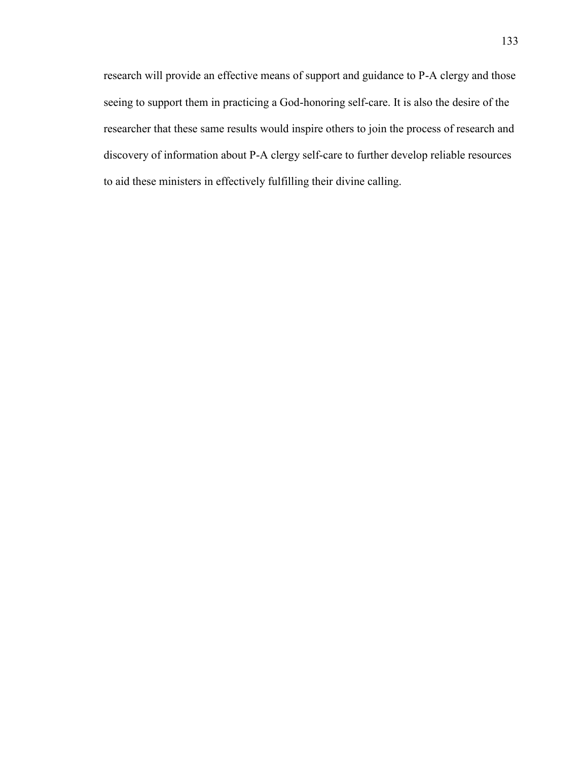research will provide an effective means of support and guidance to P-A clergy and those seeing to support them in practicing a God-honoring self-care. It is also the desire of the researcher that these same results would inspire others to join the process of research and discovery of information about P-A clergy self-care to further develop reliable resources to aid these ministers in effectively fulfilling their divine calling.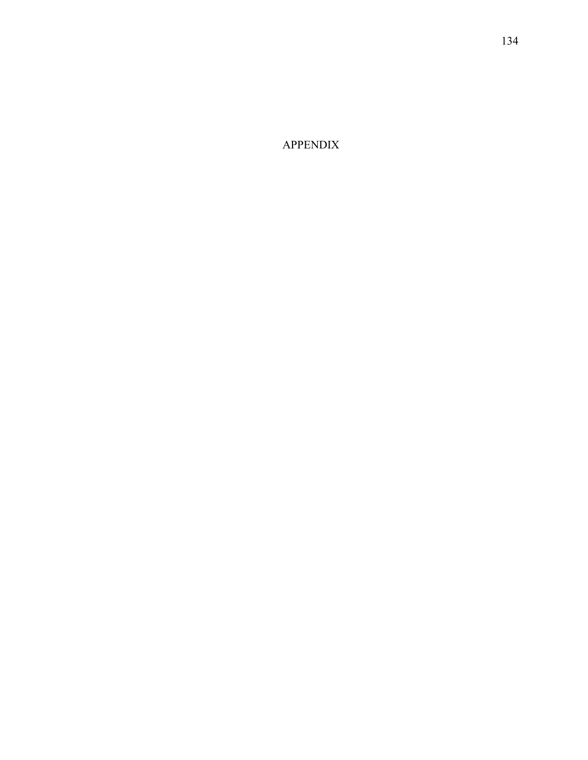APPENDIX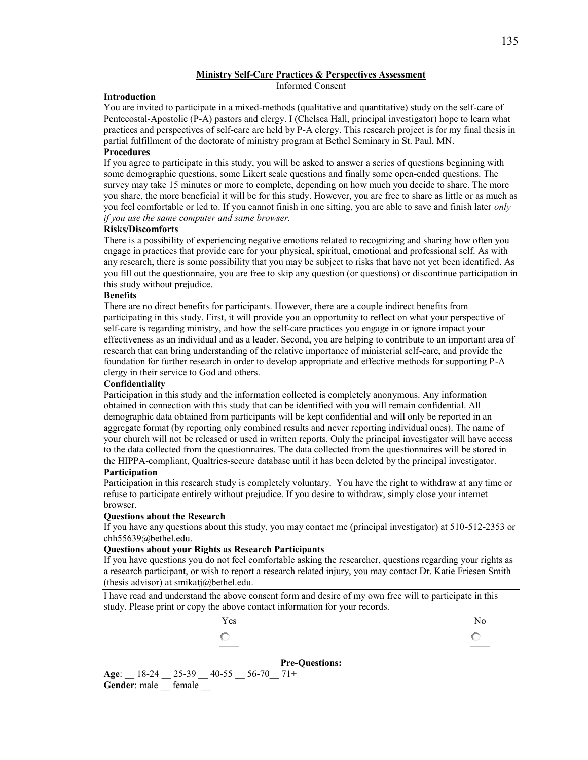### **Ministry Self-Care Practices & Perspectives Assessment**  Informed Consent

### **Introduction**

You are invited to participate in a mixed-methods (qualitative and quantitative) study on the self-care of Pentecostal-Apostolic (P-A) pastors and clergy. I (Chelsea Hall, principal investigator) hope to learn what practices and perspectives of self-care are held by P-A clergy. This research project is for my final thesis in partial fulfillment of the doctorate of ministry program at Bethel Seminary in St. Paul, MN.

### **Procedures**

If you agree to participate in this study, you will be asked to answer a series of questions beginning with some demographic questions, some Likert scale questions and finally some open-ended questions. The survey may take 15 minutes or more to complete, depending on how much you decide to share. The more you share, the more beneficial it will be for this study. However, you are free to share as little or as much as you feel comfortable or led to. If you cannot finish in one sitting, you are able to save and finish later *only if you use the same computer and same browser.* 

#### **Risks/Discomforts**

There is a possibility of experiencing negative emotions related to recognizing and sharing how often you engage in practices that provide care for your physical, spiritual, emotional and professional self. As with any research, there is some possibility that you may be subject to risks that have not yet been identified. As you fill out the questionnaire, you are free to skip any question (or questions) or discontinue participation in this study without prejudice.

### **Benefits**

There are no direct benefits for participants. However, there are a couple indirect benefits from participating in this study. First, it will provide you an opportunity to reflect on what your perspective of self-care is regarding ministry, and how the self-care practices you engage in or ignore impact your effectiveness as an individual and as a leader. Second, you are helping to contribute to an important area of research that can bring understanding of the relative importance of ministerial self-care, and provide the foundation for further research in order to develop appropriate and effective methods for supporting P-A clergy in their service to God and others.

#### **Confidentiality**

Participation in this study and the information collected is completely anonymous. Any information obtained in connection with this study that can be identified with you will remain confidential. All demographic data obtained from participants will be kept confidential and will only be reported in an aggregate format (by reporting only combined results and never reporting individual ones). The name of your church will not be released or used in written reports. Only the principal investigator will have access to the data collected from the questionnaires. The data collected from the questionnaires will be stored in the HIPPA-compliant, Qualtrics-secure database until it has been deleted by the principal investigator.

### **Participation**

Participation in this research study is completely voluntary. You have the right to withdraw at any time or refuse to participate entirely without prejudice. If you desire to withdraw, simply close your internet browser.

#### **Questions about the Research**

If you have any questions about this study, you may contact me (principal investigator) at 510-512-2353 or [chh55639@bethel.edu.](mailto:chh55639@bethel.edu)

#### **Questions about your Rights as Research Participants**

If you have questions you do not feel comfortable asking the researcher, questions regarding your rights as a research participant, or wish to report a research related injury, you may contact Dr. Katie Friesen Smith (thesis advisor) at smikatj $@$ bethel.edu.

I have read and understand the above consent form and desire of my own free will to participate in this study. Please print or copy the above contact information for your records.



**Pre-Questions: Age**: \_\_ 18-24 \_\_ 25-39 \_\_ 40-55 \_\_ 56-70\_\_ 71+ **Gender**: male  $\equiv$  female  $\equiv$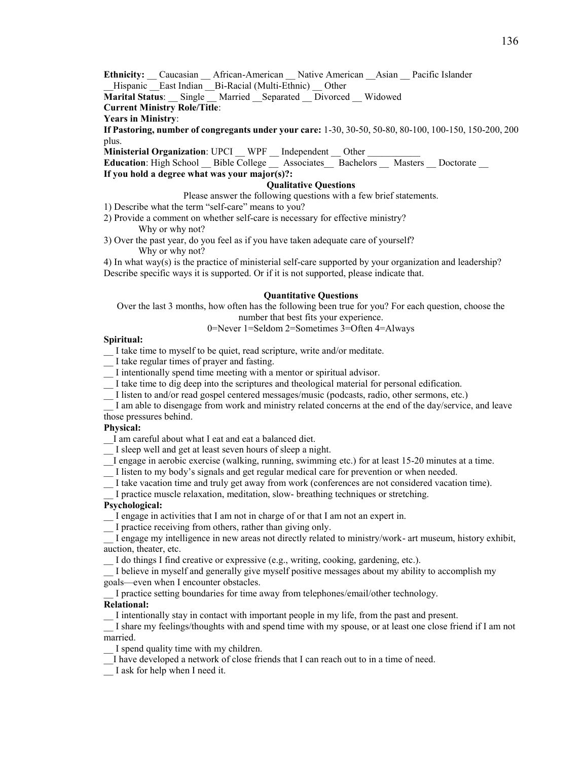Ethnicity: Caucasian African-American Native American Asian Pacific Islander Hispanic East Indian Bi-Racial (Multi-Ethnic) Other

**Marital Status**: \_\_ Single \_\_ Married \_\_Separated \_\_ Divorced \_\_ Widowed

# **Current Ministry Role/Title**:

### **Years in Ministry**:

**If Pastoring, number of congregants under your care:** 1-30, 30-50, 50-80, 80-100, 100-150, 150-200, 200 plus.

**Ministerial Organization**: UPCI \_\_ WPF \_\_ Independent \_\_ Other \_\_

Education: High School \_\_ Bible College \_\_ Associates \_\_ Bachelors \_\_ Masters \_\_ Doctorate \_\_ **If you hold a degree what was your major(s)?:** 

### **Qualitative Questions**

Please answer the following questions with a few brief statements.

- 1) Describe what the term "self-care" means to you?
- 2) Provide a comment on whether self-care is necessary for effective ministry? Why or why not?
- 3) Over the past year, do you feel as if you have taken adequate care of yourself? Why or why not?

4) In what way(s) is the practice of ministerial self-care supported by your organization and leadership? Describe specific ways it is supported. Or if it is not supported, please indicate that.

### **Quantitative Questions**

Over the last 3 months, how often has the following been true for you? For each question, choose the number that best fits your experience.

### 0=Never 1=Seldom 2=Sometimes 3=Often 4=Always

#### **Spiritual:**

\_\_ I take time to myself to be quiet, read scripture, write and/or meditate.

- \_\_ I take regular times of prayer and fasting.
- \_\_ I intentionally spend time meeting with a mentor or spiritual advisor.
- \_\_ I take time to dig deep into the scriptures and theological material for personal edification.
- \_\_ I listen to and/or read gospel centered messages/music (podcasts, radio, other sermons, etc.)

I am able to disengage from work and ministry related concerns at the end of the day/service, and leave those pressures behind.

#### **Physical:**

I am careful about what I eat and eat a balanced diet.

\_\_ I sleep well and get at least seven hours of sleep a night.

- \_\_I engage in aerobic exercise (walking, running, swimming etc.) for at least 15-20 minutes at a time.
- \_\_ I listen to my body's signals and get regular medical care for prevention or when needed.
- \_\_ I take vacation time and truly get away from work (conferences are not considered vacation time).

I practice muscle relaxation, meditation, slow- breathing techniques or stretching.

### **Psychological:**

- \_\_ I engage in activities that I am not in charge of or that I am not an expert in.
- \_\_ I practice receiving from others, rather than giving only.

\_\_ I engage my intelligence in new areas not directly related to ministry/work- art museum, history exhibit, auction, theater, etc.

I do things I find creative or expressive (e.g., writing, cooking, gardening, etc.).

I believe in myself and generally give myself positive messages about my ability to accomplish my goals—even when I encounter obstacles.

\_\_ I practice setting boundaries for time away from telephones/email/other technology.

### **Relational:**

\_\_ I intentionally stay in contact with important people in my life, from the past and present.

\_\_ I share my feelings/thoughts with and spend time with my spouse, or at least one close friend if I am not married.

\_\_ I spend quality time with my children.

\_\_I have developed a network of close friends that I can reach out to in a time of need.

\_\_ I ask for help when I need it.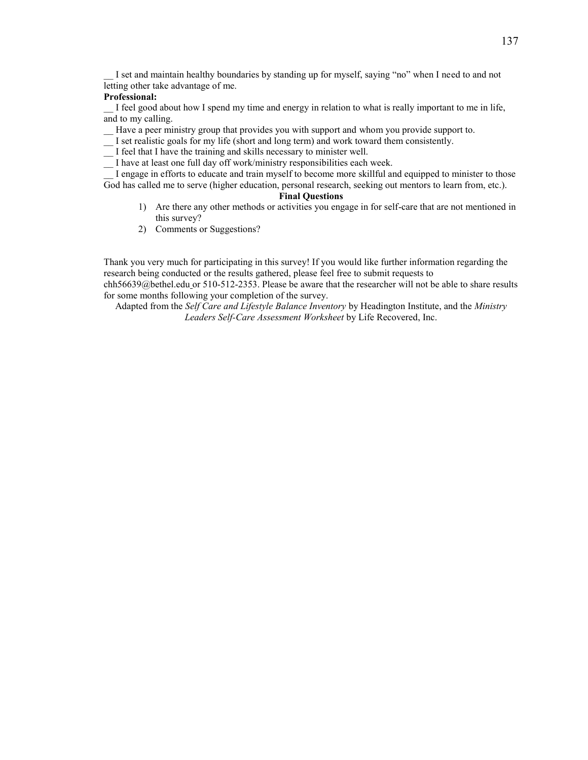I set and maintain healthy boundaries by standing up for myself, saying "no" when I need to and not letting other take advantage of me.

### **Professional:**

I feel good about how I spend my time and energy in relation to what is really important to me in life, and to my calling.

\_\_ Have a peer ministry group that provides you with support and whom you provide support to.

- \_\_ I set realistic goals for my life (short and long term) and work toward them consistently.
- \_\_ I feel that I have the training and skills necessary to minister well.

\_\_ I have at least one full day off work/ministry responsibilities each week.

I engage in efforts to educate and train myself to become more skillful and equipped to minister to those God has called me to serve (higher education, personal research, seeking out mentors to learn from, etc.).

### **Final Questions**

- 1) Are there any other methods or activities you engage in for self-care that are not mentioned in this survey?
- 2) Comments or Suggestions?

Thank you very much for participating in this survey! If you would like further information regarding the research being conducted or the results gathered, please feel free to submit requests to [chh56639@bethel.edu](mailto:chh56639@bethel.edu) or 510-512-2353. Please be aware that the researcher will not be able to share results for some months following your completion of the survey.

Adapted from the *Self Care and Lifestyle Balance Inventory* by Headington Institute, and the *Ministry Leaders Self-Care Assessment Worksheet* by Life Recovered, Inc.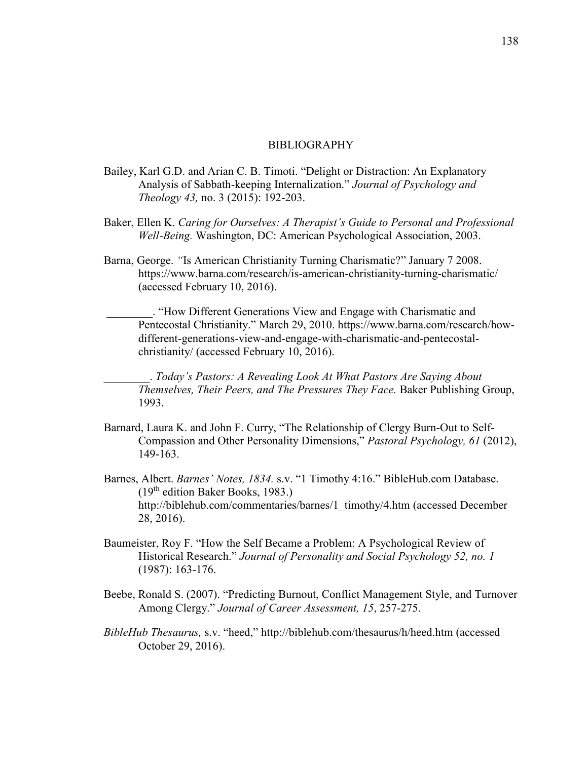# BIBLIOGRAPHY

- Bailey, Karl G.D. and Arian C. B. Timoti. "Delight or Distraction: An Explanatory Analysis of Sabbath-keeping Internalization." *Journal of Psychology and Theology 43,* no. 3 (2015): 192-203.
- Baker, Ellen K. *Caring for Ourselves: A Therapist's Guide to Personal and Professional Well-Being.* Washington, DC: American Psychological Association, 2003.
- Barna, George. *"*Is American Christianity Turning Charismatic?" January 7 2008. <https://www.barna.com/research/is-american-christianity-turning-charismatic/> (accessed February 10, 2016).

\_\_\_\_\_\_\_\_. "How Different Generations View and Engage with Charismatic and Pentecostal Christianity." March 29, 2010. [https://www.barna.com/research/how](https://www.barna.com/research/how-different-%09generations-view-and-engage-with-charismatic-and-pentecostal-christianity/)[different-generations-view-and-engage-with-charismatic-and-pentecostal](https://www.barna.com/research/how-different-%09generations-view-and-engage-with-charismatic-and-pentecostal-christianity/)[christianity/](https://www.barna.com/research/how-different-%09generations-view-and-engage-with-charismatic-and-pentecostal-christianity/) (accessed February 10, 2016).

\_\_\_\_\_\_\_\_. *Today's Pastors: A Revealing Look At What Pastors Are Saying About Themselves, Their Peers, and The Pressures They Face.* Baker Publishing Group, 1993.

- Barnard, Laura K. and John F. Curry, "The Relationship of Clergy Burn-Out to Self-Compassion and Other Personality Dimensions," *Pastoral Psychology, 61* (2012), 149-163.
- Barnes, Albert. *Barnes' Notes, 1834.* s.v. "1 Timothy 4:16." BibleHub.com Database. (19th edition Baker Books, 1983.) http://biblehub.com/commentaries/barnes/1\_timothy/4.htm (accessed December 28, 2016).
- Baumeister, Roy F. "How the Self Became a Problem: A Psychological Review of Historical Research." *Journal of Personality and Social Psychology 52, no. 1*  (1987): 163-176.
- Beebe, Ronald S. (2007). "Predicting Burnout, Conflict Management Style, and Turnover Among Clergy." *Journal of Career Assessment, 15*, 257-275.
- *BibleHub Thesaurus,* s.v. "heed,"<http://biblehub.com/thesaurus/h/heed.htm> (accessed October 29, 2016).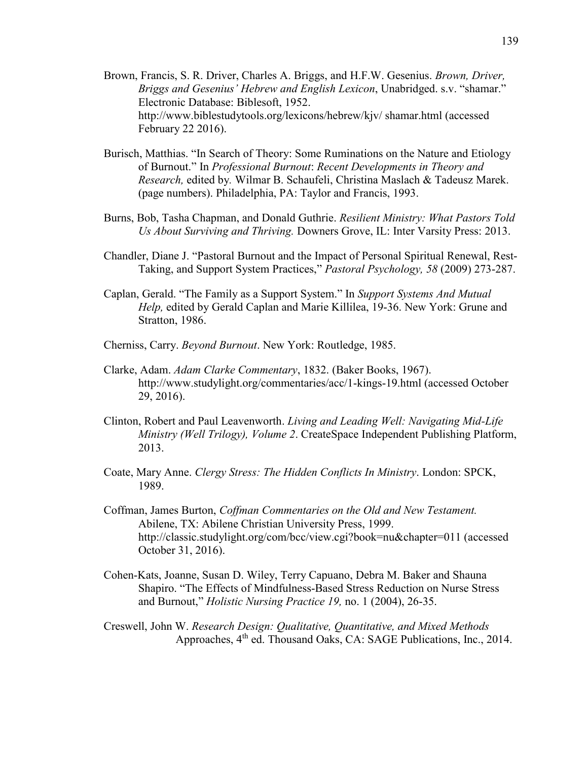- Brown, Francis, S. R. Driver, Charles A. Briggs, and H.F.W. Gesenius. *Brown, Driver, Briggs and Gesenius' Hebrew and English Lexicon*, Unabridged. s.v. "shamar." Electronic Database: Biblesoft, 1952. http://www.biblestudytools.org/lexicons/hebrew/kjv/ shamar.html (accessed February 22 2016).
- Burisch, Matthias. "In Search of Theory: Some Ruminations on the Nature and Etiology of Burnout." In *Professional Burnout*: *Recent Developments in Theory and Research,* edited by*.* Wilmar B. Schaufeli, Christina Maslach & Tadeusz Marek. (page numbers). Philadelphia, PA: Taylor and Francis, 1993.
- Burns, Bob, Tasha Chapman, and Donald Guthrie. *Resilient Ministry: What Pastors Told Us About Surviving and Thriving.* Downers Grove, IL: Inter Varsity Press: 2013.
- Chandler, Diane J. "Pastoral Burnout and the Impact of Personal Spiritual Renewal, Rest-Taking, and Support System Practices," *Pastoral Psychology, 58* (2009) 273-287.
- Caplan, Gerald. "The Family as a Support System." In *Support Systems And Mutual Help,* edited by Gerald Caplan and Marie Killilea, 19-36. New York: Grune and Stratton, 1986.
- Cherniss, Carry. *Beyond Burnout*. New York: Routledge, 1985.
- Clarke, Adam. *Adam Clarke Commentary*, 1832. (Baker Books, 1967). http://www.studylight.org/commentaries/acc/1-kings-19.html (accessed October 29, 2016).
- Clinton, Robert and Paul Leavenworth. *Living and Leading Well: Navigating Mid-Life Ministry (Well Trilogy), Volume 2*. CreateSpace Independent Publishing Platform, 2013.
- Coate, Mary Anne. *Clergy Stress: The Hidden Conflicts In Ministry*. London: SPCK, 1989.
- Coffman, James Burton, *Coffman Commentaries on the Old and New Testament.* Abilene, TX: Abilene Christian University Press, 1999. http://classic.studylight.org/com/bcc/view.cgi?book=nu&chapter=011 (accessed October 31, 2016).
- Cohen-Kats, Joanne, Susan D. Wiley, Terry Capuano, Debra M. Baker and Shauna Shapiro. "The Effects of Mindfulness-Based Stress Reduction on Nurse Stress and Burnout," *Holistic Nursing Practice 19,* no. 1 (2004), 26-35.
- Creswell, John W. *Research Design: Qualitative, Quantitative, and Mixed Methods*  Approaches, 4<sup>th</sup> ed. Thousand Oaks, CA: SAGE Publications, Inc., 2014.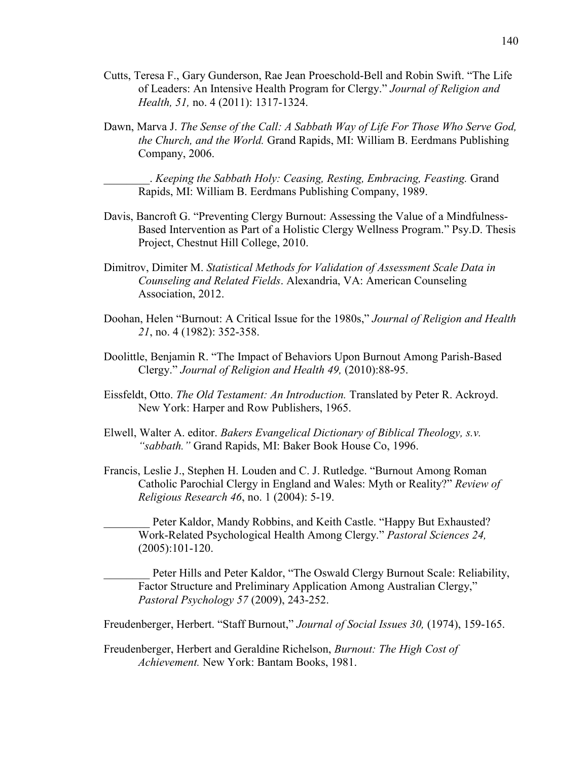- Cutts, Teresa F., Gary Gunderson, Rae Jean Proeschold-Bell and Robin Swift. "The Life of Leaders: An Intensive Health Program for Clergy." *Journal of Religion and Health, 51,* no. 4 (2011): 1317-1324.
- Dawn, Marva J. *The Sense of the Call: A Sabbath Way of Life For Those Who Serve God, the Church, and the World.* Grand Rapids, MI: William B. Eerdmans Publishing Company, 2006.

\_\_\_\_\_\_\_\_. *Keeping the Sabbath Holy: Ceasing, Resting, Embracing, Feasting.* Grand Rapids, MI: William B. Eerdmans Publishing Company, 1989.

- Davis, Bancroft G. "Preventing Clergy Burnout: Assessing the Value of a Mindfulness-Based Intervention as Part of a Holistic Clergy Wellness Program." Psy.D. Thesis Project, Chestnut Hill College, 2010.
- Dimitrov, Dimiter M. *Statistical Methods for Validation of Assessment Scale Data in Counseling and Related Fields*. Alexandria, VA: American Counseling Association, 2012.
- Doohan, Helen "Burnout: A Critical Issue for the 1980s," *Journal of Religion and Health 21*, no. 4 (1982): 352-358.
- Doolittle, Benjamin R. "The Impact of Behaviors Upon Burnout Among Parish-Based Clergy." *Journal of Religion and Health 49,* (2010):88-95.
- Eissfeldt, Otto. *The Old Testament: An Introduction.* Translated by Peter R. Ackroyd. New York: Harper and Row Publishers, 1965.
- Elwell, Walter A. editor. *Bakers Evangelical Dictionary of Biblical Theology, s.v. "sabbath."* Grand Rapids, MI: Baker Book House Co, 1996.
- Francis, Leslie J., Stephen H. Louden and C. J. Rutledge. "Burnout Among Roman Catholic Parochial Clergy in England and Wales: Myth or Reality?" *Review of Religious Research 46*, no. 1 (2004): 5-19.

Peter Kaldor, Mandy Robbins, and Keith Castle. "Happy But Exhausted? Work-Related Psychological Health Among Clergy." *Pastoral Sciences 24,*  (2005):101-120.

Peter Hills and Peter Kaldor, "The Oswald Clergy Burnout Scale: Reliability, Factor Structure and Preliminary Application Among Australian Clergy," *Pastoral Psychology 57* (2009), 243-252.

Freudenberger, Herbert. "Staff Burnout," *Journal of Social Issues 30,* (1974), 159-165.

Freudenberger, Herbert and Geraldine Richelson, *Burnout: The High Cost of Achievement.* New York: Bantam Books, 1981.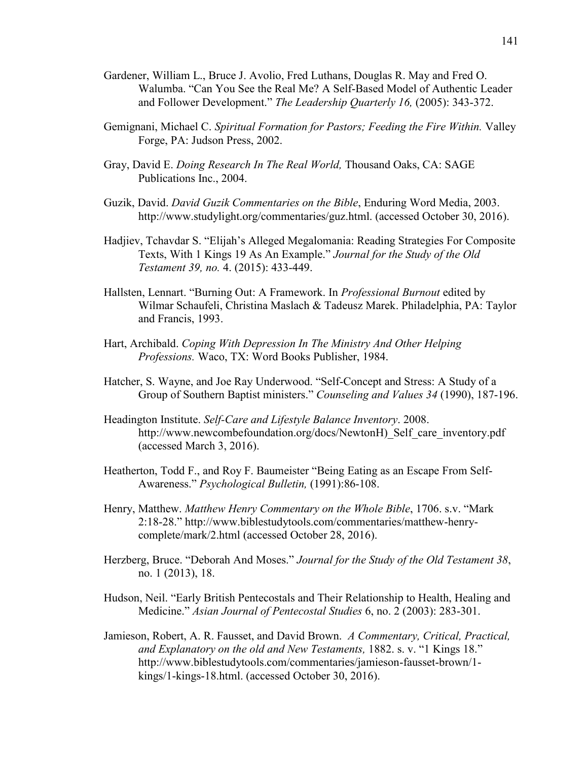- Gardener, William L., Bruce J. Avolio, Fred Luthans, Douglas R. May and Fred O. Walumba. "Can You See the Real Me? A Self-Based Model of Authentic Leader and Follower Development." *The Leadership Quarterly 16,* (2005): 343-372.
- Gemignani, Michael C. *Spiritual Formation for Pastors; Feeding the Fire Within.* Valley Forge, PA: Judson Press, 2002.
- Gray, David E. *Doing Research In The Real World,* Thousand Oaks, CA: SAGE Publications Inc., 2004.
- Guzik, David. *David Guzik Commentaries on the Bible*, Enduring Word Media, 2003. http://www.studylight.org/commentaries/guz.html. (accessed October 30, 2016).
- Hadjiev, Tchavdar S. "Elijah's Alleged Megalomania: Reading Strategies For Composite Texts, With 1 Kings 19 As An Example." *Journal for the Study of the Old Testament 39, no.* 4. (2015): 433-449.
- Hallsten, Lennart. "Burning Out: A Framework. In *Professional Burnout* edited by Wilmar Schaufeli, Christina Maslach & Tadeusz Marek. Philadelphia, PA: Taylor and Francis, 1993.
- Hart, Archibald. *Coping With Depression In The Ministry And Other Helping Professions.* Waco, TX: Word Books Publisher, 1984.
- Hatcher, S. Wayne, and Joe Ray Underwood. "Self-Concept and Stress: A Study of a Group of Southern Baptist ministers." *Counseling and Values 34* (1990), 187-196.
- Headington Institute. *Self-Care and Lifestyle Balance Inventory*. 2008. http://www.newcombefoundation.org/docs/NewtonH) Self care inventory.pdf (accessed March 3, 2016).
- Heatherton, Todd F., and Roy F. Baumeister "Being Eating as an Escape From Self-Awareness." *Psychological Bulletin,* (1991):86-108.
- Henry, Matthew. *Matthew Henry Commentary on the Whole Bible*, 1706. s.v. "Mark 2:18-28." [http://www.biblestudytools.com/commentaries/matthew-henry](http://www.biblestudytools.com/commentaries/matthew-henry-complete/mark/2.html)[complete/mark/2.html](http://www.biblestudytools.com/commentaries/matthew-henry-complete/mark/2.html) (accessed October 28, 2016).
- Herzberg, Bruce. "Deborah And Moses." *Journal for the Study of the Old Testament 38*, no. 1 (2013), 18.
- Hudson, Neil. "Early British Pentecostals and Their Relationship to Health, Healing and Medicine." *Asian Journal of Pentecostal Studies* 6, no. 2 (2003): 283-301.
- Jamieson, Robert, A. R. Fausset, and David Brown. *A Commentary, Critical, Practical, and Explanatory on the old and New Testaments,* 1882. s. v. "1 Kings 18." http://www.biblestudytools.com/commentaries/jamieson-fausset-brown/1 kings/1-kings-18.html. (accessed October 30, 2016).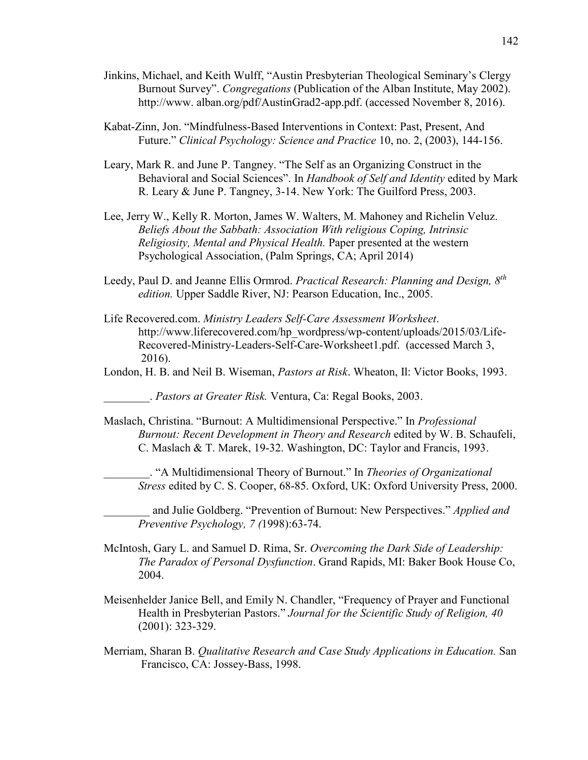- Jinkins, Michael, and Keith Wulff, "Austin Presbyterian Theological Seminary's Clergy Burnout Survey". *Congregations* (Publication of the Alban Institute, May 2002). [http://www.](http://www/) alban.org/pdf/AustinGrad2-app.pdf. (accessed November 8, 2016).
- Kabat-Zinn, Jon. "Mindfulness-Based Interventions in Context: Past, Present, And Future." *Clinical Psychology: Science and Practice* 10, no. 2, (2003), 144-156.
- Leary, Mark R. and June P. Tangney. "The Self as an Organizing Construct in the Behavioral and Social Sciences". In *Handbook of Self and Identity* edited by Mark R. Leary & June P. Tangney, 3-14. New York: The Guilford Press, 2003.
- Lee, Jerry W., Kelly R. Morton, James W. Walters, M. Mahoney and Richelin Veluz. *Beliefs About the Sabbath: Association With religious Coping, Intrinsic Religiosity, Mental and Physical Health.* Paper presented at the western Psychological Association, (Palm Springs, CA; April 2014)
- Leedy, Paul D. and Jeanne Ellis Ormrod. *Practical Research: Planning and Design, 8th edition.* Upper Saddle River, NJ: Pearson Education, Inc., 2005.
- Life Recovered.com. *Ministry Leaders Self-Care Assessment Worksheet*. http://www.liferecovered.com/hp\_wordpress/wp-content/uploads/2015/03/Life- Recovered-Ministry-Leaders-Self-Care-Worksheet1.pdf. (accessed March 3, 2016).
- London, H. B. and Neil B. Wiseman, *Pastors at Risk*. Wheaton, Il: Victor Books, 1993.

\_\_\_\_\_\_\_\_. *Pastors at Greater Risk.* Ventura, Ca: Regal Books, 2003.

Maslach, Christina. "Burnout: A Multidimensional Perspective." In *Professional Burnout: Recent Development in Theory and Research* edited by W. B. Schaufeli, C. Maslach & T. Marek, 19-32. Washington, DC: Taylor and Francis, 1993.

\_\_\_\_\_\_\_\_. "A Multidimensional Theory of Burnout." In *Theories of Organizational Stress* edited by C. S. Cooper, 68-85. Oxford, UK: Oxford University Press, 2000.

\_\_\_\_\_\_\_\_ and Julie Goldberg. "Prevention of Burnout: New Perspectives." *Applied and Preventive Psychology, 7 (*1998):63-74.

- McIntosh, Gary L. and Samuel D. Rima, Sr. *Overcoming the Dark Side of Leadership: The Paradox of Personal Dysfunction*. Grand Rapids, MI: Baker Book House Co, 2004.
- Meisenhelder Janice Bell, and Emily N. Chandler, "Frequency of Prayer and Functional Health in Presbyterian Pastors." *Journal for the Scientific Study of Religion, 40*  (2001): 323-329.
- Merriam, Sharan B. *Qualitative Research and Case Study Applications in Education.* San Francisco, CA: Jossey-Bass, 1998.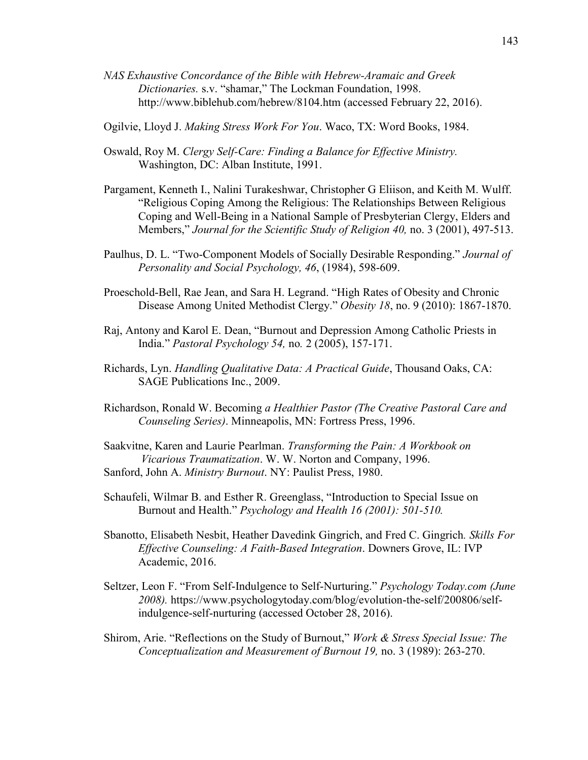*NAS Exhaustive Concordance of the Bible with Hebrew-Aramaic and Greek Dictionaries.* s.v. "shamar," The Lockman Foundation, 1998. <http://www.biblehub.com/hebrew/8104.htm> (accessed February 22, 2016).

Ogilvie, Lloyd J. *Making Stress Work For You*. Waco, TX: Word Books, 1984.

- Oswald, Roy M. *Clergy Self-Care: Finding a Balance for Effective Ministry.*  Washington, DC: Alban Institute, 1991.
- Pargament, Kenneth I., Nalini Turakeshwar, Christopher G Eliison, and Keith M. Wulff. "Religious Coping Among the Religious: The Relationships Between Religious Coping and Well-Being in a National Sample of Presbyterian Clergy, Elders and Members," *Journal for the Scientific Study of Religion 40, no.* 3 (2001), 497-513.
- Paulhus, D. L. "Two-Component Models of Socially Desirable Responding." *Journal of Personality and Social Psychology, 46*, (1984), 598-609.
- Proeschold-Bell, Rae Jean, and Sara H. Legrand. "High Rates of Obesity and Chronic Disease Among United Methodist Clergy." *Obesity 18*, no. 9 (2010): 1867-1870.
- Raj, Antony and Karol E. Dean, "Burnout and Depression Among Catholic Priests in India." *Pastoral Psychology 54,* no*.* 2 (2005), 157-171.
- Richards, Lyn. *Handling Qualitative Data: A Practical Guide*, Thousand Oaks, CA: SAGE Publications Inc., 2009.
- Richardson, Ronald W. Becoming *a Healthier Pastor (The Creative Pastoral Care and Counseling Series)*. Minneapolis, MN: Fortress Press, 1996.
- Saakvitne, Karen and Laurie Pearlman. *Transforming the Pain: A Workbook on Vicarious Traumatization*. W. W. Norton and Company, 1996. Sanford, John A. *Ministry Burnout*. NY: Paulist Press, 1980.
- Schaufeli, Wilmar B. and Esther R. Greenglass, "Introduction to Special Issue on Burnout and Health." *Psychology and Health 16 (2001): 501-510.*
- Sbanotto, Elisabeth Nesbit, Heather Davedink Gingrich, and Fred C. Gingrich*. Skills For Effective Counseling: A Faith-Based Integration*. Downers Grove, IL: IVP Academic, 2016.
- Seltzer, Leon F. "From Self-Indulgence to Self-Nurturing." *Psychology Today.com (June 2008).* [https://www.psychologytoday.com/blog/evolution-the-self/200806/self](https://www.psychologytoday.com/blog/evolution-the-self/200806/self-indulgence-self-%09nurturing)[indulgence-self-nurturing](https://www.psychologytoday.com/blog/evolution-the-self/200806/self-indulgence-self-%09nurturing) (accessed October 28, 2016).
- Shirom, Arie. "Reflections on the Study of Burnout," *Work & Stress Special Issue: The Conceptualization and Measurement of Burnout 19,* no. 3 (1989): 263-270.